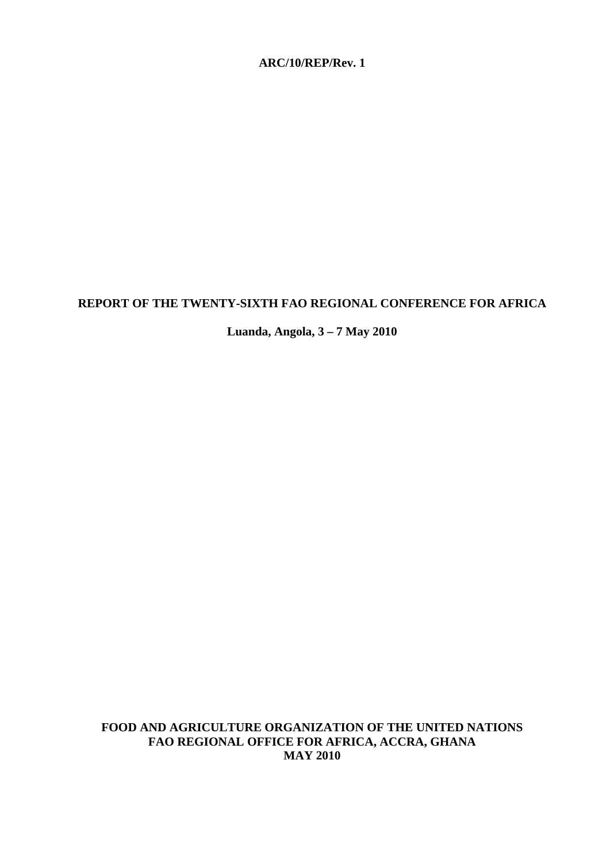# **ARC/10/REP/Rev. 1**

## **REPORT OF THE TWENTY-SIXTH FAO REGIONAL CONFERENCE FOR AFRICA**

**Luanda, Angola, 3 – 7 May 2010** 

**FOOD AND AGRICULTURE ORGANIZATION OF THE UNITED NATIONS FAO REGIONAL OFFICE FOR AFRICA, ACCRA, GHANA MAY 2010**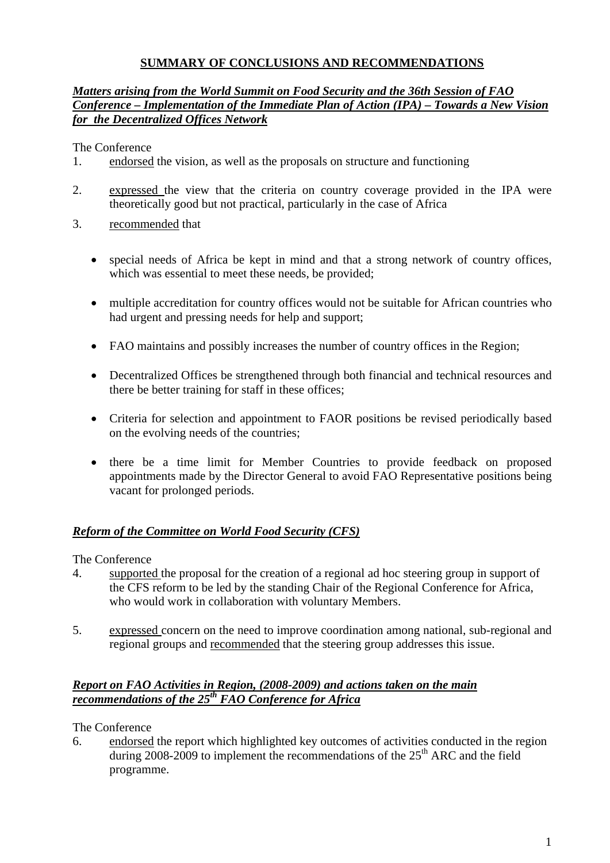# **SUMMARY OF CONCLUSIONS AND RECOMMENDATIONS**

# *Matters arising from the World Summit on Food Security and the 36th Session of FAO Conference – Implementation of the Immediate Plan of Action (IPA) – Towards a New Vision for the Decentralized Offices Network*

The Conference

- 1. endorsed the vision, as well as the proposals on structure and functioning
- 2. expressed the view that the criteria on country coverage provided in the IPA were theoretically good but not practical, particularly in the case of Africa
- 3. recommended that
	- special needs of Africa be kept in mind and that a strong network of country offices, which was essential to meet these needs, be provided;
	- multiple accreditation for country offices would not be suitable for African countries who had urgent and pressing needs for help and support;
	- FAO maintains and possibly increases the number of country offices in the Region;
	- Decentralized Offices be strengthened through both financial and technical resources and there be better training for staff in these offices;
	- Criteria for selection and appointment to FAOR positions be revised periodically based on the evolving needs of the countries;
	- there be a time limit for Member Countries to provide feedback on proposed appointments made by the Director General to avoid FAO Representative positions being vacant for prolonged periods.

# *Reform of the Committee on World Food Security (CFS)*

The Conference

- 4. supported the proposal for the creation of a regional ad hoc steering group in support of the CFS reform to be led by the standing Chair of the Regional Conference for Africa, who would work in collaboration with voluntary Members.
- 5. expressed concern on the need to improve coordination among national, sub-regional and regional groups and recommended that the steering group addresses this issue.

# *Report on FAO Activities in Region, (2008-2009) and actions taken on the main recommendations of the 25th FAO Conference for Africa*

The Conference

6. endorsed the report which highlighted key outcomes of activities conducted in the region during 2008-2009 to implement the recommendations of the  $25<sup>th</sup>$  ARC and the field programme.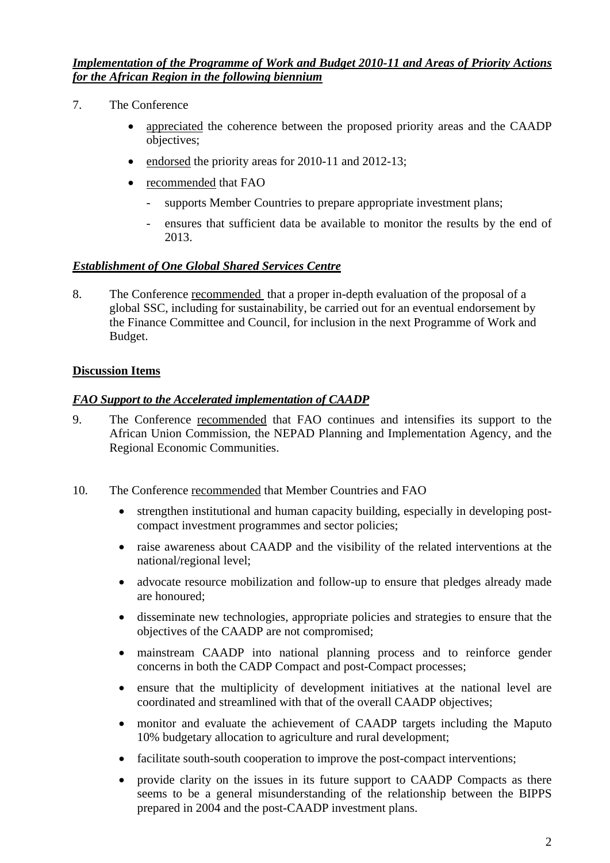*Implementation of the Programme of Work and Budget 2010-11 and Areas of Priority Actions for the African Region in the following biennium*

- 7. The Conference
	- appreciated the coherence between the proposed priority areas and the CAADP objectives;
	- endorsed the priority areas for 2010-11 and 2012-13;
	- recommended that FAO
		- supports Member Countries to prepare appropriate investment plans;
		- ensures that sufficient data be available to monitor the results by the end of 2013.

# *Establishment of One Global Shared Services Centre*

8. The Conference recommended that a proper in-depth evaluation of the proposal of a global SSC, including for sustainability, be carried out for an eventual endorsement by the Finance Committee and Council, for inclusion in the next Programme of Work and Budget.

# **Discussion Items**

# *FAO Support to the Accelerated implementation of CAADP*

- 9. The Conference recommended that FAO continues and intensifies its support to the African Union Commission, the NEPAD Planning and Implementation Agency, and the Regional Economic Communities.
- 10. The Conference recommended that Member Countries and FAO
	- strengthen institutional and human capacity building, especially in developing postcompact investment programmes and sector policies;
	- raise awareness about CAADP and the visibility of the related interventions at the national/regional level;
	- advocate resource mobilization and follow-up to ensure that pledges already made are honoured;
	- disseminate new technologies, appropriate policies and strategies to ensure that the objectives of the CAADP are not compromised;
	- mainstream CAADP into national planning process and to reinforce gender concerns in both the CADP Compact and post-Compact processes;
	- ensure that the multiplicity of development initiatives at the national level are coordinated and streamlined with that of the overall CAADP objectives;
	- monitor and evaluate the achievement of CAADP targets including the Maputo 10% budgetary allocation to agriculture and rural development;
	- facilitate south-south cooperation to improve the post-compact interventions:
	- provide clarity on the issues in its future support to CAADP Compacts as there seems to be a general misunderstanding of the relationship between the BIPPS prepared in 2004 and the post-CAADP investment plans.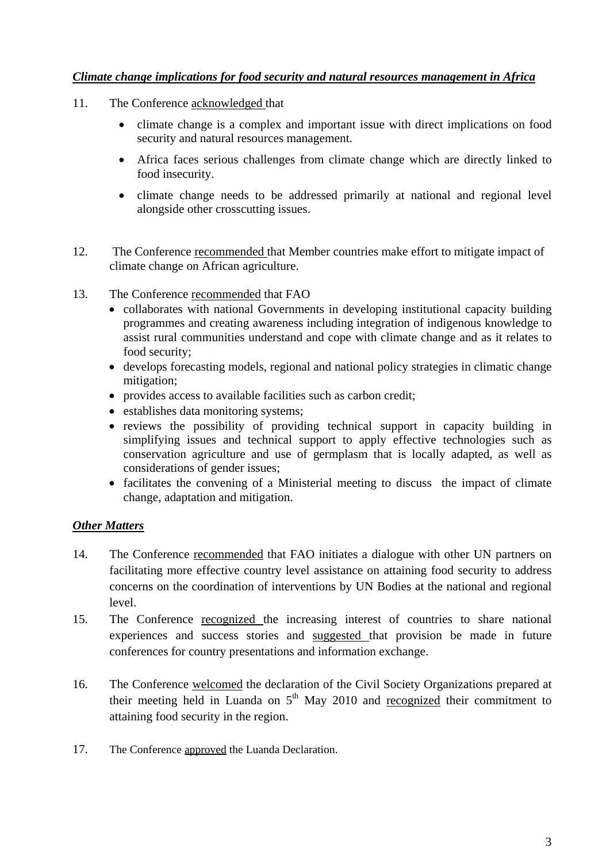# *Climate change implications for food security and natural resources management in Africa*

- 11. The Conference acknowledged that
	- climate change is a complex and important issue with direct implications on food security and natural resources management.
	- Africa faces serious challenges from climate change which are directly linked to food insecurity.
	- climate change needs to be addressed primarily at national and regional level alongside other crosscutting issues.
- 12. The Conference recommended that Member countries make effort to mitigate impact of climate change on African agriculture.
- 13. The Conference recommended that FAO
	- collaborates with national Governments in developing institutional capacity building programmes and creating awareness including integration of indigenous knowledge to assist rural communities understand and cope with climate change and as it relates to food security;
	- develops forecasting models, regional and national policy strategies in climatic change mitigation;
	- provides access to available facilities such as carbon credit;
	- establishes data monitoring systems:
	- reviews the possibility of providing technical support in capacity building in simplifying issues and technical support to apply effective technologies such as conservation agriculture and use of germplasm that is locally adapted, as well as considerations of gender issues;
	- facilitates the convening of a Ministerial meeting to discuss the impact of climate change, adaptation and mitigation.

# *Other Matters*

- 14. The Conference recommended that FAO initiates a dialogue with other UN partners on facilitating more effective country level assistance on attaining food security to address concerns on the coordination of interventions by UN Bodies at the national and regional level.
- 15. The Conference recognized the increasing interest of countries to share national experiences and success stories and suggested that provision be made in future conferences for country presentations and information exchange.
- 16. The Conference welcomed the declaration of the Civil Society Organizations prepared at their meeting held in Luanda on  $5<sup>th</sup>$  May 2010 and recognized their commitment to attaining food security in the region.
- 17. The Conference approved the Luanda Declaration.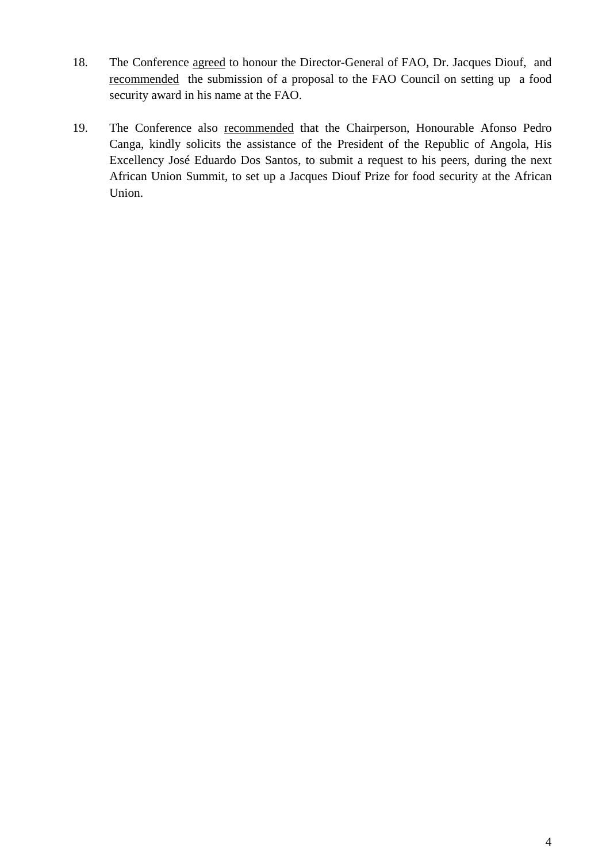- 18. The Conference agreed to honour the Director-General of FAO, Dr. Jacques Diouf, and recommended the submission of a proposal to the FAO Council on setting up a food security award in his name at the FAO.
- 19. The Conference also recommended that the Chairperson, Honourable Afonso Pedro Canga, kindly solicits the assistance of the President of the Republic of Angola, His Excellency José Eduardo Dos Santos, to submit a request to his peers, during the next African Union Summit, to set up a Jacques Diouf Prize for food security at the African Union.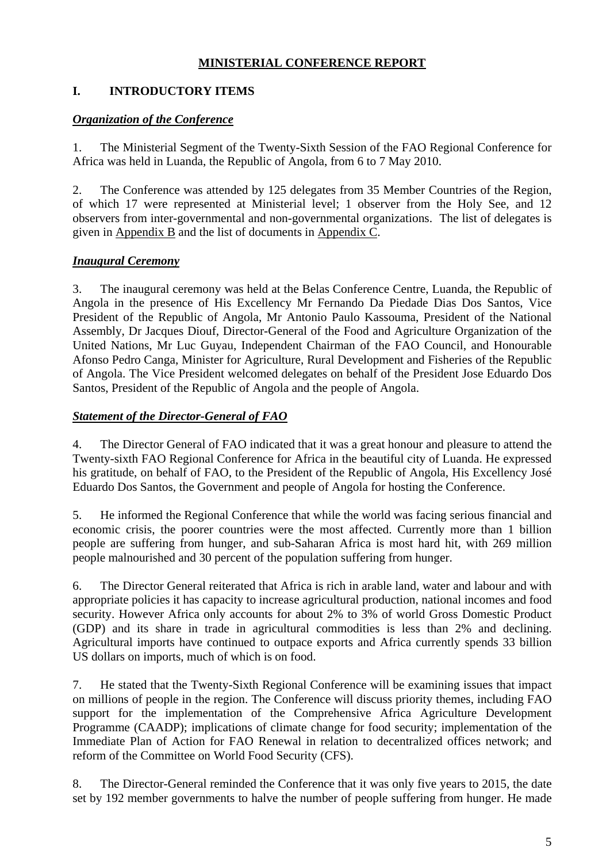# **MINISTERIAL CONFERENCE REPORT**

# **I. INTRODUCTORY ITEMS**

# *Organization of the Conference*

1. The Ministerial Segment of the Twenty-Sixth Session of the FAO Regional Conference for Africa was held in Luanda, the Republic of Angola, from 6 to 7 May 2010.

2. The Conference was attended by 125 delegates from 35 Member Countries of the Region, of which 17 were represented at Ministerial level; 1 observer from the Holy See, and 12 observers from inter-governmental and non-governmental organizations. The list of delegates is given in Appendix B and the list of documents in Appendix C.

# *Inaugural Ceremony*

3. The inaugural ceremony was held at the Belas Conference Centre, Luanda, the Republic of Angola in the presence of His Excellency Mr Fernando Da Piedade Dias Dos Santos, Vice President of the Republic of Angola, Mr Antonio Paulo Kassouma, President of the National Assembly, Dr Jacques Diouf, Director-General of the Food and Agriculture Organization of the United Nations, Mr Luc Guyau, Independent Chairman of the FAO Council, and Honourable Afonso Pedro Canga, Minister for Agriculture, Rural Development and Fisheries of the Republic of Angola. The Vice President welcomed delegates on behalf of the President Jose Eduardo Dos Santos, President of the Republic of Angola and the people of Angola.

# *Statement of the Director-General of FAO*

4. The Director General of FAO indicated that it was a great honour and pleasure to attend the Twenty-sixth FAO Regional Conference for Africa in the beautiful city of Luanda. He expressed his gratitude, on behalf of FAO, to the President of the Republic of Angola, His Excellency José Eduardo Dos Santos, the Government and people of Angola for hosting the Conference.

5. He informed the Regional Conference that while the world was facing serious financial and economic crisis, the poorer countries were the most affected. Currently more than 1 billion people are suffering from hunger, and sub-Saharan Africa is most hard hit, with 269 million people malnourished and 30 percent of the population suffering from hunger.

6. The Director General reiterated that Africa is rich in arable land, water and labour and with appropriate policies it has capacity to increase agricultural production, national incomes and food security. However Africa only accounts for about 2% to 3% of world Gross Domestic Product (GDP) and its share in trade in agricultural commodities is less than 2% and declining. Agricultural imports have continued to outpace exports and Africa currently spends 33 billion US dollars on imports, much of which is on food.

7. He stated that the Twenty-Sixth Regional Conference will be examining issues that impact on millions of people in the region. The Conference will discuss priority themes, including FAO support for the implementation of the Comprehensive Africa Agriculture Development Programme (CAADP); implications of climate change for food security; implementation of the Immediate Plan of Action for FAO Renewal in relation to decentralized offices network; and reform of the Committee on World Food Security (CFS).

8. The Director-General reminded the Conference that it was only five years to 2015, the date set by 192 member governments to halve the number of people suffering from hunger. He made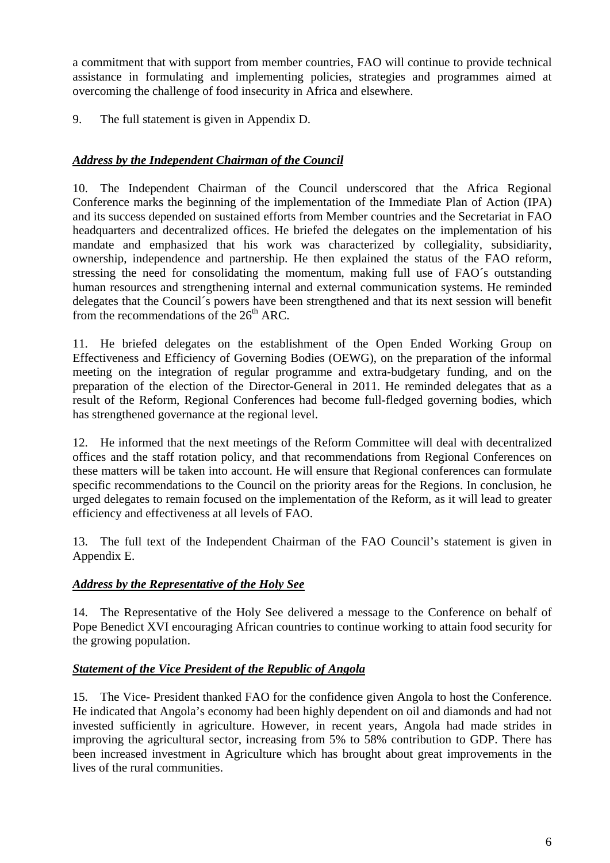a commitment that with support from member countries, FAO will continue to provide technical assistance in formulating and implementing policies, strategies and programmes aimed at overcoming the challenge of food insecurity in Africa and elsewhere.

9. The full statement is given in Appendix D.

# *Address by the Independent Chairman of the Council*

10. The Independent Chairman of the Council underscored that the Africa Regional Conference marks the beginning of the implementation of the Immediate Plan of Action (IPA) and its success depended on sustained efforts from Member countries and the Secretariat in FAO headquarters and decentralized offices. He briefed the delegates on the implementation of his mandate and emphasized that his work was characterized by collegiality, subsidiarity, ownership, independence and partnership. He then explained the status of the FAO reform, stressing the need for consolidating the momentum, making full use of FAO´s outstanding human resources and strengthening internal and external communication systems. He reminded delegates that the Council´s powers have been strengthened and that its next session will benefit from the recommendations of the  $26<sup>th</sup>$  ARC.

11. He briefed delegates on the establishment of the Open Ended Working Group on Effectiveness and Efficiency of Governing Bodies (OEWG), on the preparation of the informal meeting on the integration of regular programme and extra-budgetary funding, and on the preparation of the election of the Director-General in 2011. He reminded delegates that as a result of the Reform, Regional Conferences had become full-fledged governing bodies, which has strengthened governance at the regional level.

12. He informed that the next meetings of the Reform Committee will deal with decentralized offices and the staff rotation policy, and that recommendations from Regional Conferences on these matters will be taken into account. He will ensure that Regional conferences can formulate specific recommendations to the Council on the priority areas for the Regions. In conclusion, he urged delegates to remain focused on the implementation of the Reform, as it will lead to greater efficiency and effectiveness at all levels of FAO.

13. The full text of the Independent Chairman of the FAO Council's statement is given in Appendix E.

# *Address by the Representative of the Holy See*

14. The Representative of the Holy See delivered a message to the Conference on behalf of Pope Benedict XVI encouraging African countries to continue working to attain food security for the growing population.

# *Statement of the Vice President of the Republic of Angola*

15. The Vice- President thanked FAO for the confidence given Angola to host the Conference. He indicated that Angola's economy had been highly dependent on oil and diamonds and had not invested sufficiently in agriculture. However, in recent years, Angola had made strides in improving the agricultural sector, increasing from 5% to 58% contribution to GDP. There has been increased investment in Agriculture which has brought about great improvements in the lives of the rural communities.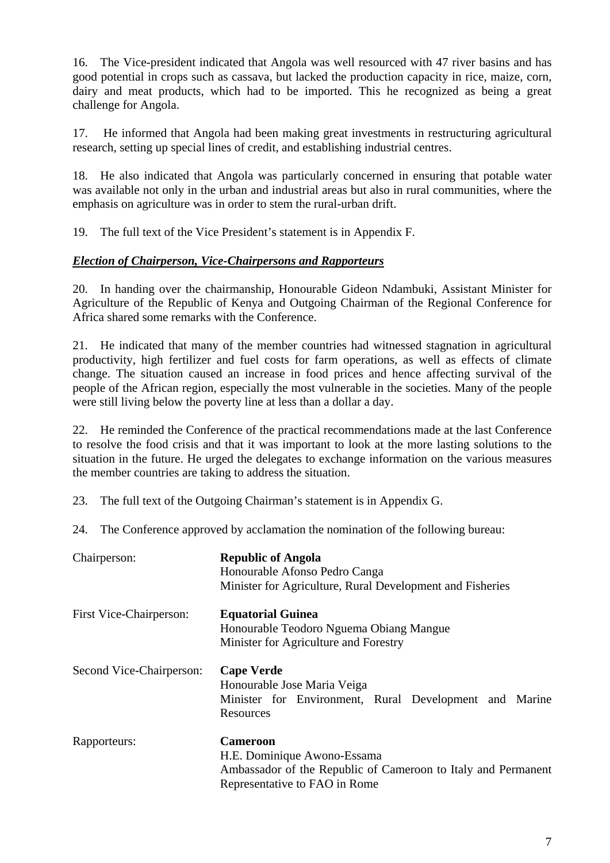16. The Vice-president indicated that Angola was well resourced with 47 river basins and has good potential in crops such as cassava, but lacked the production capacity in rice, maize, corn, dairy and meat products, which had to be imported. This he recognized as being a great challenge for Angola.

17. He informed that Angola had been making great investments in restructuring agricultural research, setting up special lines of credit, and establishing industrial centres.

18. He also indicated that Angola was particularly concerned in ensuring that potable water was available not only in the urban and industrial areas but also in rural communities, where the emphasis on agriculture was in order to stem the rural-urban drift.

19. The full text of the Vice President's statement is in Appendix F.

# *Election of Chairperson, Vice-Chairpersons and Rapporteurs*

20. In handing over the chairmanship, Honourable Gideon Ndambuki, Assistant Minister for Agriculture of the Republic of Kenya and Outgoing Chairman of the Regional Conference for Africa shared some remarks with the Conference.

21. He indicated that many of the member countries had witnessed stagnation in agricultural productivity, high fertilizer and fuel costs for farm operations, as well as effects of climate change. The situation caused an increase in food prices and hence affecting survival of the people of the African region, especially the most vulnerable in the societies. Many of the people were still living below the poverty line at less than a dollar a day.

22. He reminded the Conference of the practical recommendations made at the last Conference to resolve the food crisis and that it was important to look at the more lasting solutions to the situation in the future. He urged the delegates to exchange information on the various measures the member countries are taking to address the situation.

23. The full text of the Outgoing Chairman's statement is in Appendix G.

24. The Conference approved by acclamation the nomination of the following bureau:

| Chairperson:             | <b>Republic of Angola</b><br>Honourable Afonso Pedro Canga<br>Minister for Agriculture, Rural Development and Fisheries                          |
|--------------------------|--------------------------------------------------------------------------------------------------------------------------------------------------|
| First Vice-Chairperson:  | <b>Equatorial Guinea</b><br>Honourable Teodoro Nguema Obiang Mangue<br>Minister for Agriculture and Forestry                                     |
| Second Vice-Chairperson: | <b>Cape Verde</b><br>Honourable Jose Maria Veiga<br>Minister for Environment, Rural Development and Marine<br>Resources                          |
| Rapporteurs:             | <b>Cameroon</b><br>H.E. Dominique Awono-Essama<br>Ambassador of the Republic of Cameroon to Italy and Permanent<br>Representative to FAO in Rome |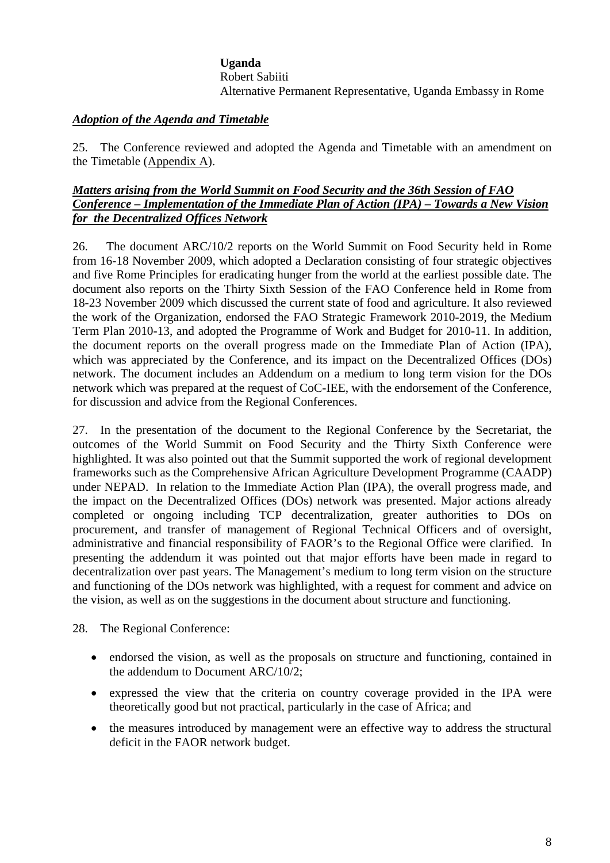# **Uganda** Robert Sabiiti Alternative Permanent Representative, Uganda Embassy in Rome

# *Adoption of the Agenda and Timetable*

25. The Conference reviewed and adopted the Agenda and Timetable with an amendment on the Timetable  $(\underline{Appendix A})$ .

# *Matters arising from the World Summit on Food Security and the 36th Session of FAO Conference – Implementation of the Immediate Plan of Action (IPA) – Towards a New Vision for the Decentralized Offices Network*

26. The document ARC/10/2 reports on the World Summit on Food Security held in Rome from 16-18 November 2009, which adopted a Declaration consisting of four strategic objectives and five Rome Principles for eradicating hunger from the world at the earliest possible date. The document also reports on the Thirty Sixth Session of the FAO Conference held in Rome from 18-23 November 2009 which discussed the current state of food and agriculture. It also reviewed the work of the Organization, endorsed the FAO Strategic Framework 2010-2019, the Medium Term Plan 2010-13, and adopted the Programme of Work and Budget for 2010-11. In addition, the document reports on the overall progress made on the Immediate Plan of Action (IPA), which was appreciated by the Conference, and its impact on the Decentralized Offices (DOs) network. The document includes an Addendum on a medium to long term vision for the DOs network which was prepared at the request of CoC-IEE, with the endorsement of the Conference, for discussion and advice from the Regional Conferences.

27. In the presentation of the document to the Regional Conference by the Secretariat, the outcomes of the World Summit on Food Security and the Thirty Sixth Conference were highlighted. It was also pointed out that the Summit supported the work of regional development frameworks such as the Comprehensive African Agriculture Development Programme (CAADP) under NEPAD. In relation to the Immediate Action Plan (IPA), the overall progress made, and the impact on the Decentralized Offices (DOs) network was presented. Major actions already completed or ongoing including TCP decentralization, greater authorities to DOs on procurement, and transfer of management of Regional Technical Officers and of oversight, administrative and financial responsibility of FAOR's to the Regional Office were clarified. In presenting the addendum it was pointed out that major efforts have been made in regard to decentralization over past years. The Management's medium to long term vision on the structure and functioning of the DOs network was highlighted, with a request for comment and advice on the vision, as well as on the suggestions in the document about structure and functioning.

28. The Regional Conference:

- endorsed the vision, as well as the proposals on structure and functioning, contained in the addendum to Document ARC/10/2;
- expressed the view that the criteria on country coverage provided in the IPA were theoretically good but not practical, particularly in the case of Africa; and
- the measures introduced by management were an effective way to address the structural deficit in the FAOR network budget.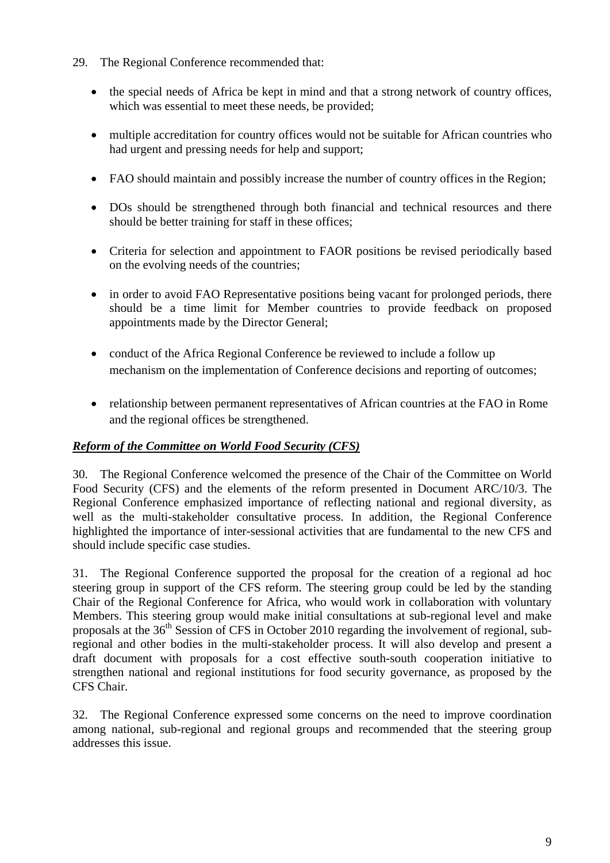- 29. The Regional Conference recommended that:
	- the special needs of Africa be kept in mind and that a strong network of country offices, which was essential to meet these needs, be provided;
	- multiple accreditation for country offices would not be suitable for African countries who had urgent and pressing needs for help and support;
	- FAO should maintain and possibly increase the number of country offices in the Region;
	- DOs should be strengthened through both financial and technical resources and there should be better training for staff in these offices;
	- Criteria for selection and appointment to FAOR positions be revised periodically based on the evolving needs of the countries;
	- in order to avoid FAO Representative positions being vacant for prolonged periods, there should be a time limit for Member countries to provide feedback on proposed appointments made by the Director General;
	- conduct of the Africa Regional Conference be reviewed to include a follow up mechanism on the implementation of Conference decisions and reporting of outcomes;
	- relationship between permanent representatives of African countries at the FAO in Rome and the regional offices be strengthened.

# *Reform of the Committee on World Food Security (CFS)*

30. The Regional Conference welcomed the presence of the Chair of the Committee on World Food Security (CFS) and the elements of the reform presented in Document ARC/10/3. The Regional Conference emphasized importance of reflecting national and regional diversity, as well as the multi-stakeholder consultative process. In addition, the Regional Conference highlighted the importance of inter-sessional activities that are fundamental to the new CFS and should include specific case studies.

31. The Regional Conference supported the proposal for the creation of a regional ad hoc steering group in support of the CFS reform. The steering group could be led by the standing Chair of the Regional Conference for Africa, who would work in collaboration with voluntary Members. This steering group would make initial consultations at sub-regional level and make proposals at the 36<sup>th</sup> Session of CFS in October 2010 regarding the involvement of regional, subregional and other bodies in the multi-stakeholder process. It will also develop and present a draft document with proposals for a cost effective south-south cooperation initiative to strengthen national and regional institutions for food security governance, as proposed by the CFS Chair.

32. The Regional Conference expressed some concerns on the need to improve coordination among national, sub-regional and regional groups and recommended that the steering group addresses this issue.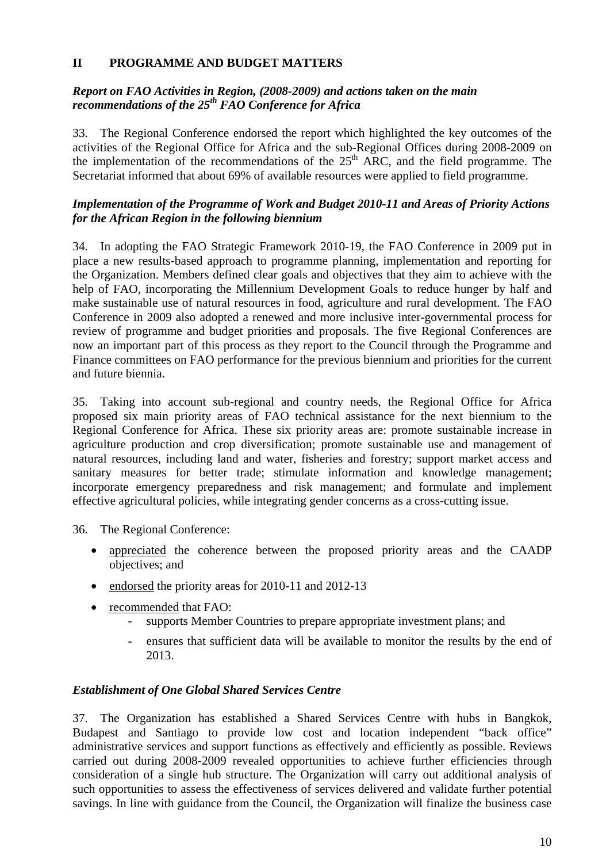# **II PROGRAMME AND BUDGET MATTERS**

# *Report on FAO Activities in Region, (2008-2009) and actions taken on the main recommendations of the 25th FAO Conference for Africa*

33. The Regional Conference endorsed the report which highlighted the key outcomes of the activities of the Regional Office for Africa and the sub-Regional Offices during 2008-2009 on the implementation of the recommendations of the  $25<sup>th</sup>$  ARC, and the field programme. The Secretariat informed that about 69% of available resources were applied to field programme.

# *Implementation of the Programme of Work and Budget 2010-11 and Areas of Priority Actions for the African Region in the following biennium*

34. In adopting the FAO Strategic Framework 2010-19, the FAO Conference in 2009 put in place a new results-based approach to programme planning, implementation and reporting for the Organization. Members defined clear goals and objectives that they aim to achieve with the help of FAO, incorporating the Millennium Development Goals to reduce hunger by half and make sustainable use of natural resources in food, agriculture and rural development. The FAO Conference in 2009 also adopted a renewed and more inclusive inter-governmental process for review of programme and budget priorities and proposals. The five Regional Conferences are now an important part of this process as they report to the Council through the Programme and Finance committees on FAO performance for the previous biennium and priorities for the current and future biennia.

35. Taking into account sub-regional and country needs, the Regional Office for Africa proposed six main priority areas of FAO technical assistance for the next biennium to the Regional Conference for Africa. These six priority areas are: promote sustainable increase in agriculture production and crop diversification; promote sustainable use and management of natural resources, including land and water, fisheries and forestry; support market access and sanitary measures for better trade; stimulate information and knowledge management; incorporate emergency preparedness and risk management; and formulate and implement effective agricultural policies, while integrating gender concerns as a cross-cutting issue.

36. The Regional Conference:

- appreciated the coherence between the proposed priority areas and the CAADP objectives; and
- endorsed the priority areas for 2010-11 and 2012-13
- recommended that FAO:
	- supports Member Countries to prepare appropriate investment plans; and
	- ensures that sufficient data will be available to monitor the results by the end of 2013.

### *Establishment of One Global Shared Services Centre*

37. The Organization has established a Shared Services Centre with hubs in Bangkok, Budapest and Santiago to provide low cost and location independent "back office" administrative services and support functions as effectively and efficiently as possible. Reviews carried out during 2008-2009 revealed opportunities to achieve further efficiencies through consideration of a single hub structure. The Organization will carry out additional analysis of such opportunities to assess the effectiveness of services delivered and validate further potential savings. In line with guidance from the Council, the Organization will finalize the business case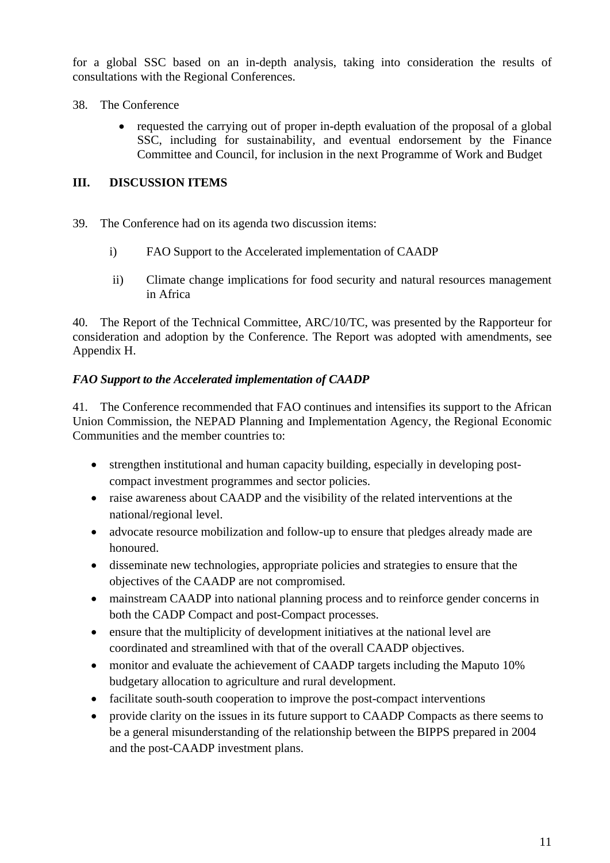for a global SSC based on an in-depth analysis, taking into consideration the results of consultations with the Regional Conferences.

- 38. The Conference
	- requested the carrying out of proper in-depth evaluation of the proposal of a global SSC, including for sustainability, and eventual endorsement by the Finance Committee and Council, for inclusion in the next Programme of Work and Budget

# **III. DISCUSSION ITEMS**

- 39. The Conference had on its agenda two discussion items:
	- i) FAO Support to the Accelerated implementation of CAADP
	- ii) Climate change implications for food security and natural resources management in Africa

40. The Report of the Technical Committee, ARC/10/TC, was presented by the Rapporteur for consideration and adoption by the Conference. The Report was adopted with amendments, see Appendix H.

# *FAO Support to the Accelerated implementation of CAADP*

41. The Conference recommended that FAO continues and intensifies its support to the African Union Commission, the NEPAD Planning and Implementation Agency, the Regional Economic Communities and the member countries to:

- strengthen institutional and human capacity building, especially in developing postcompact investment programmes and sector policies.
- raise awareness about CAADP and the visibility of the related interventions at the national/regional level.
- advocate resource mobilization and follow-up to ensure that pledges already made are honoured.
- disseminate new technologies, appropriate policies and strategies to ensure that the objectives of the CAADP are not compromised.
- mainstream CAADP into national planning process and to reinforce gender concerns in both the CADP Compact and post-Compact processes.
- ensure that the multiplicity of development initiatives at the national level are coordinated and streamlined with that of the overall CAADP objectives.
- monitor and evaluate the achievement of CAADP targets including the Maputo 10% budgetary allocation to agriculture and rural development.
- facilitate south-south cooperation to improve the post-compact interventions
- provide clarity on the issues in its future support to CAADP Compacts as there seems to be a general misunderstanding of the relationship between the BIPPS prepared in 2004 and the post-CAADP investment plans.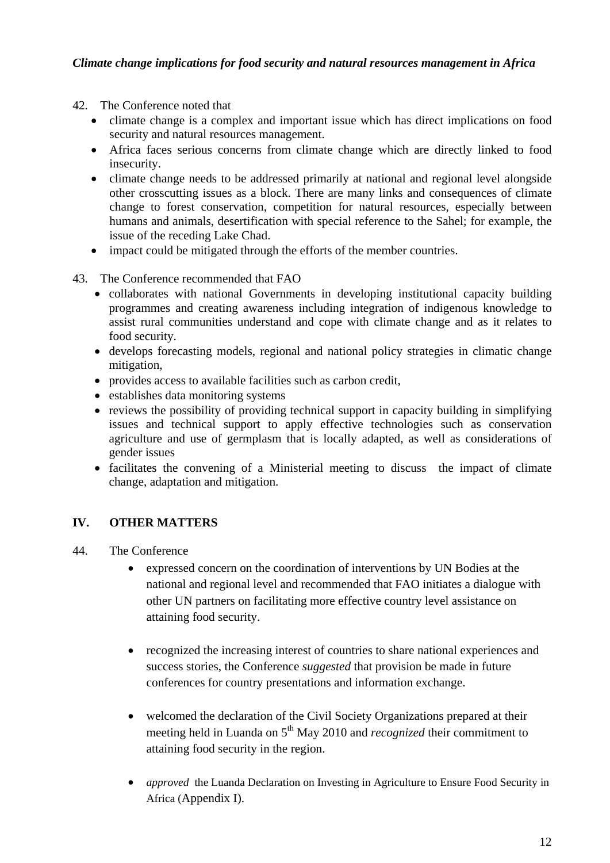- 42. The Conference noted that
	- climate change is a complex and important issue which has direct implications on food security and natural resources management.
	- Africa faces serious concerns from climate change which are directly linked to food insecurity.
	- climate change needs to be addressed primarily at national and regional level alongside other crosscutting issues as a block. There are many links and consequences of climate change to forest conservation, competition for natural resources, especially between humans and animals, desertification with special reference to the Sahel; for example, the issue of the receding Lake Chad.
	- impact could be mitigated through the efforts of the member countries.
- 43. The Conference recommended that FAO
	- collaborates with national Governments in developing institutional capacity building programmes and creating awareness including integration of indigenous knowledge to assist rural communities understand and cope with climate change and as it relates to food security.
	- develops forecasting models, regional and national policy strategies in climatic change mitigation,
	- provides access to available facilities such as carbon credit,
	- establishes data monitoring systems
	- reviews the possibility of providing technical support in capacity building in simplifying issues and technical support to apply effective technologies such as conservation agriculture and use of germplasm that is locally adapted, as well as considerations of gender issues
	- facilitates the convening of a Ministerial meeting to discuss the impact of climate change, adaptation and mitigation.

# **IV. OTHER MATTERS**

- 44. The Conference
	- expressed concern on the coordination of interventions by UN Bodies at the national and regional level and recommended that FAO initiates a dialogue with other UN partners on facilitating more effective country level assistance on attaining food security.
	- recognized the increasing interest of countries to share national experiences and success stories, the Conference *suggested* that provision be made in future conferences for country presentations and information exchange.
	- welcomed the declaration of the Civil Society Organizations prepared at their meeting held in Luanda on 5<sup>th</sup> May 2010 and *recognized* their commitment to attaining food security in the region.
	- *approved* the Luanda Declaration on Investing in Agriculture to Ensure Food Security in Africa (Appendix I).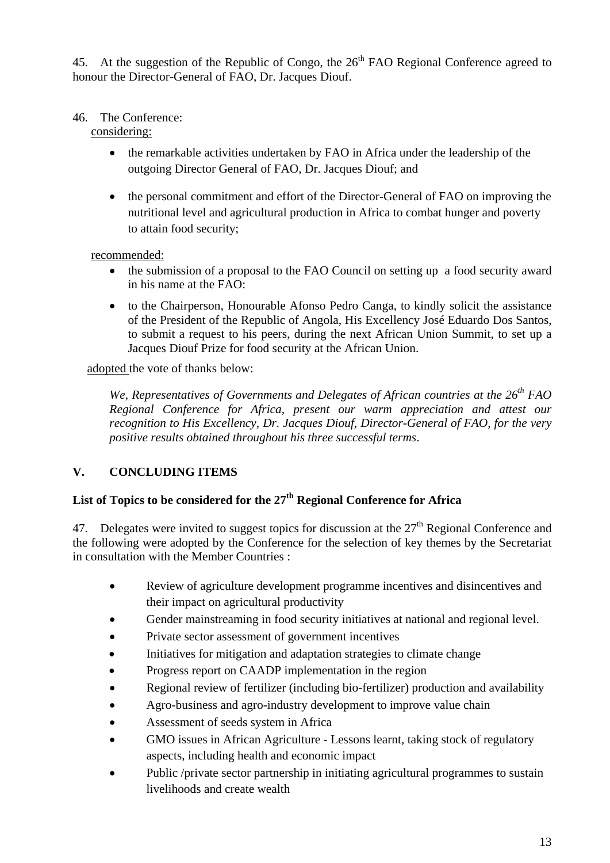45. At the suggestion of the Republic of Congo, the  $26<sup>th</sup>$  FAO Regional Conference agreed to honour the Director-General of FAO, Dr. Jacques Diouf.

# 46. The Conference:

considering:

- the remarkable activities undertaken by FAO in Africa under the leadership of the outgoing Director General of FAO, Dr. Jacques Diouf; and
- the personal commitment and effort of the Director-General of FAO on improving the nutritional level and agricultural production in Africa to combat hunger and poverty to attain food security;

recommended:

- the submission of a proposal to the FAO Council on setting up a food security award in his name at the FAO:
- to the Chairperson, Honourable Afonso Pedro Canga, to kindly solicit the assistance of the President of the Republic of Angola, His Excellency José Eduardo Dos Santos, to submit a request to his peers, during the next African Union Summit, to set up a Jacques Diouf Prize for food security at the African Union.

adopted the vote of thanks below:

*We, Representatives of Governments and Delegates of African countries at the 26<sup>th</sup> FAO Regional Conference for Africa, present our warm appreciation and attest our recognition to His Excellency, Dr. Jacques Diouf, Director-General of FAO, for the very positive results obtained throughout his three successful terms*.

# **V. CONCLUDING ITEMS**

# List of Topics to be considered for the 27<sup>th</sup> Regional Conference for Africa

47. Delegates were invited to suggest topics for discussion at the  $27<sup>th</sup>$  Regional Conference and the following were adopted by the Conference for the selection of key themes by the Secretariat in consultation with the Member Countries :

- Review of agriculture development programme incentives and disincentives and their impact on agricultural productivity
- Gender mainstreaming in food security initiatives at national and regional level.
- Private sector assessment of government incentives
- Initiatives for mitigation and adaptation strategies to climate change
- Progress report on CAADP implementation in the region
- Regional review of fertilizer (including bio-fertilizer) production and availability
- Agro-business and agro-industry development to improve value chain
- Assessment of seeds system in Africa
- GMO issues in African Agriculture Lessons learnt, taking stock of regulatory aspects, including health and economic impact
- Public /private sector partnership in initiating agricultural programmes to sustain livelihoods and create wealth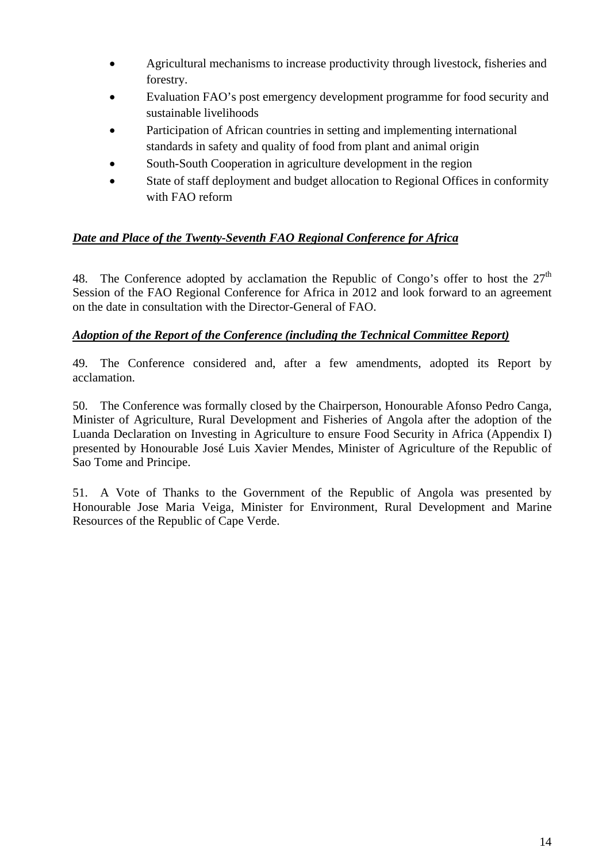- Agricultural mechanisms to increase productivity through livestock, fisheries and forestry.
- Evaluation FAO's post emergency development programme for food security and sustainable livelihoods
- Participation of African countries in setting and implementing international standards in safety and quality of food from plant and animal origin
- South-South Cooperation in agriculture development in the region
- State of staff deployment and budget allocation to Regional Offices in conformity with FAO reform

# *Date and Place of the Twenty-Seventh FAO Regional Conference for Africa*

48. The Conference adopted by acclamation the Republic of Congo's offer to host the  $27<sup>th</sup>$ Session of the FAO Regional Conference for Africa in 2012 and look forward to an agreement on the date in consultation with the Director-General of FAO.

# *Adoption of the Report of the Conference (including the Technical Committee Report)*

49. The Conference considered and, after a few amendments, adopted its Report by acclamation.

50. The Conference was formally closed by the Chairperson, Honourable Afonso Pedro Canga, Minister of Agriculture, Rural Development and Fisheries of Angola after the adoption of the Luanda Declaration on Investing in Agriculture to ensure Food Security in Africa (Appendix I) presented by Honourable José Luis Xavier Mendes, Minister of Agriculture of the Republic of Sao Tome and Principe.

51. A Vote of Thanks to the Government of the Republic of Angola was presented by Honourable Jose Maria Veiga, Minister for Environment, Rural Development and Marine Resources of the Republic of Cape Verde.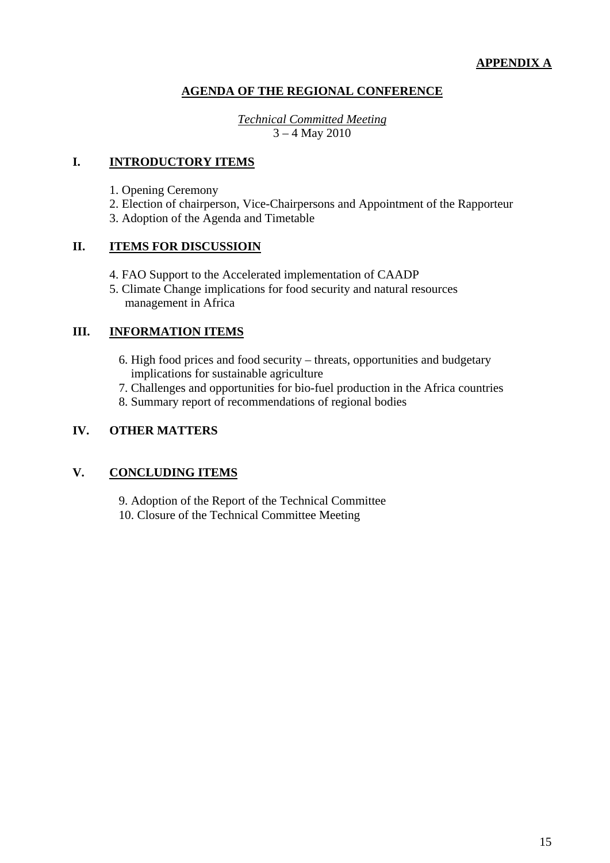# **AGENDA OF THE REGIONAL CONFERENCE**

*Technical Committed Meeting* 3 – 4 May 2010

# **I. INTRODUCTORY ITEMS**

- 1. Opening Ceremony
- 2. Election of chairperson, Vice-Chairpersons and Appointment of the Rapporteur
- 3. Adoption of the Agenda and Timetable

# **II. ITEMS FOR DISCUSSIOIN**

- 4. FAO Support to the Accelerated implementation of CAADP
- 5. Climate Change implications for food security and natural resources management in Africa

# **III. INFORMATION ITEMS**

- 6. High food prices and food security threats, opportunities and budgetary implications for sustainable agriculture
- 7. Challenges and opportunities for bio-fuel production in the Africa countries
- 8. Summary report of recommendations of regional bodies

# **IV. OTHER MATTERS**

# **V. CONCLUDING ITEMS**

9. Adoption of the Report of the Technical Committee 10. Closure of the Technical Committee Meeting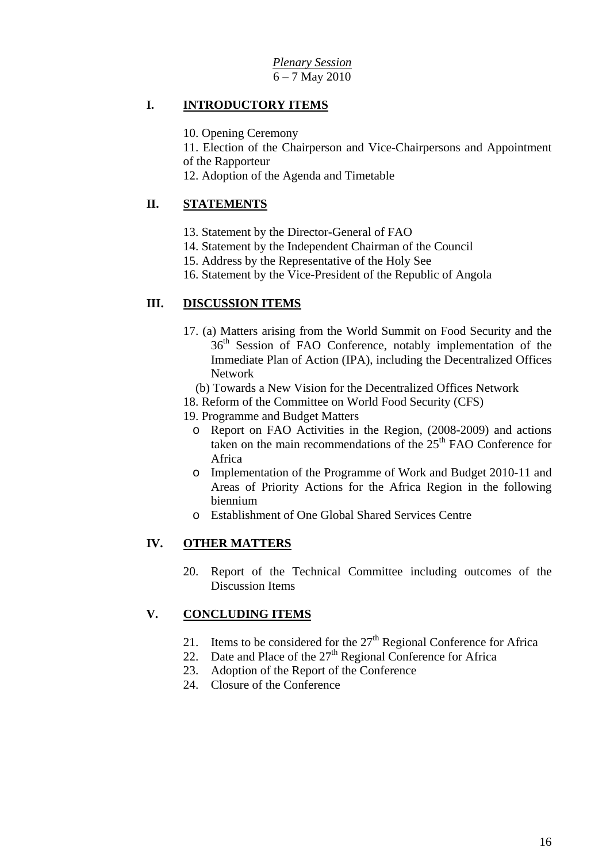# **I. INTRODUCTORY ITEMS**

10. Opening Ceremony

11. Election of the Chairperson and Vice-Chairpersons and Appointment of the Rapporteur

12. Adoption of the Agenda and Timetable

# **II. STATEMENTS**

- 13. Statement by the Director-General of FAO
- 14. Statement by the Independent Chairman of the Council
- 15. Address by the Representative of the Holy See
- 16. Statement by the Vice-President of the Republic of Angola

# **III. DISCUSSION ITEMS**

- 17. (a) Matters arising from the World Summit on Food Security and the 36<sup>th</sup> Session of FAO Conference, notably implementation of the Immediate Plan of Action (IPA), including the Decentralized Offices Network
	- (b) Towards a New Vision for the Decentralized Offices Network
- 18. Reform of the Committee on World Food Security (CFS)
- 19. Programme and Budget Matters
	- o Report on FAO Activities in the Region, (2008-2009) and actions taken on the main recommendations of the  $25<sup>th</sup>$  FAO Conference for Africa
	- o Implementation of the Programme of Work and Budget 2010-11 and Areas of Priority Actions for the Africa Region in the following biennium
	- o Establishment of One Global Shared Services Centre

# **IV. OTHER MATTERS**

20. Report of the Technical Committee including outcomes of the Discussion Items

# **V. CONCLUDING ITEMS**

- 21. Items to be considered for the  $27<sup>th</sup>$  Regional Conference for Africa
- 22. Date and Place of the  $27<sup>th</sup>$  Regional Conference for Africa
- 23. Adoption of the Report of the Conference
- 24. Closure of the Conference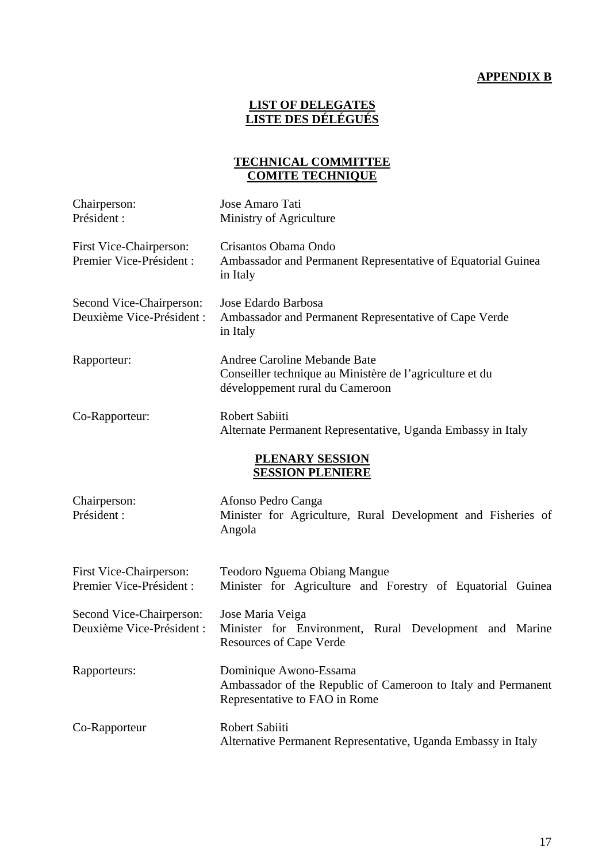# **APPENDIX B**

# **LIST OF DELEGATES LISTE DES DÉLÉGUÉS**

# **TECHNICAL COMMITTEE COMITE TECHNIQUE**

| Chairperson:<br>Président :                           | Jose Amaro Tati<br>Ministry of Agriculture                                                                                  |
|-------------------------------------------------------|-----------------------------------------------------------------------------------------------------------------------------|
| First Vice-Chairperson:<br>Premier Vice-Président :   | Crisantos Obama Ondo<br>Ambassador and Permanent Representative of Equatorial Guinea<br>in Italy                            |
| Second Vice-Chairperson:<br>Deuxième Vice-Président : | Jose Edardo Barbosa<br>Ambassador and Permanent Representative of Cape Verde<br>in Italy                                    |
| Rapporteur:                                           | Andree Caroline Mebande Bate<br>Conseiller technique au Ministère de l'agriculture et du<br>développement rural du Cameroon |
| Co-Rapporteur:                                        | Robert Sabiiti<br>Alternate Permanent Representative, Uganda Embassy in Italy                                               |
|                                                       | PLENARY SESSION<br><b>SESSION PLENIERE</b>                                                                                  |
| Chairperson:<br>Président :                           | Afonso Pedro Canga<br>Minister for Agriculture, Rural Development and Fisheries of<br>Angola                                |
| First Vice-Chairperson:<br>Premier Vice-Président :   | <b>Teodoro Nguema Obiang Mangue</b><br>Minister for Agriculture and Forestry of Equatorial Guinea                           |
| Second Vice-Chairperson:<br>Deuxième Vice-Président : | Jose Maria Veiga<br>Minister for Environment, Rural Development and Marine<br><b>Resources of Cape Verde</b>                |
| Rapporteurs:                                          | Dominique Awono-Essama<br>Ambassador of the Republic of Cameroon to Italy and Permanent<br>Representative to FAO in Rome    |
| Co-Rapporteur                                         | Robert Sabiiti<br>Alternative Permanent Representative, Uganda Embassy in Italy                                             |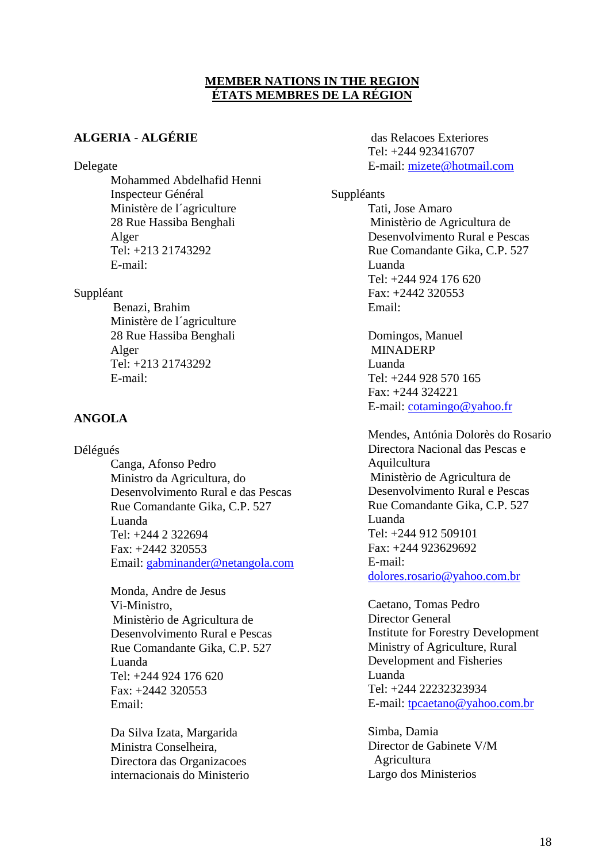# **MEMBER NATIONS IN THE REGION ÉTATS MEMBRES DE LA RÉGION**

# **ALGERIA** - **ALGÉRIE**

Delegate

Mohammed Abdelhafid Henni Inspecteur Général Ministère de l´agriculture 28 Rue Hassiba Benghali Alger Tel: +213 21743292 E-mail:

Suppléant

 Benazi, Brahim Ministère de l´agriculture 28 Rue Hassiba Benghali Alger Tel: +213 21743292 E-mail:

# **ANGOLA**

Délégués

Canga, Afonso Pedro Ministro da Agricultura, do Desenvolvimento Rural e das Pescas Rue Comandante Gika, C.P. 527 Luanda Tel: +244 2 322694 Fax: +2442 320553 Email: gabminander@netangola.com

Monda, Andre de Jesus Vi-Ministro, Ministèrio de Agricultura de Desenvolvimento Rural e Pescas Rue Comandante Gika, C.P. 527 Luanda Tel: +244 924 176 620 Fax: +2442 320553 Email:

Da Silva Izata, Margarida Ministra Conselheira, Directora das Organizacoes internacionais do Ministerio

 das Relacoes Exteriores Tel: +244 923416707 E-mail: mizete@hotmail.com

Suppléants

Tati, Jose Amaro Ministèrio de Agricultura de Desenvolvimento Rural e Pescas Rue Comandante Gika, C.P. 527 Luanda Tel: +244 924 176 620 Fax: +2442 320553 Email:

Domingos, Manuel MINADERP Luanda Tel:  $+244$  928 570 165 Fax: +244 324221 E-mail: cotamingo@yahoo.fr

Mendes, Antónia Dolorès do Rosario Directora Nacional das Pescas e Aquilcultura Ministèrio de Agricultura de Desenvolvimento Rural e Pescas Rue Comandante Gika, C.P. 527 Luanda Tel: +244 912 509101 Fax: +244 923629692 E-mail: dolores.rosario@yahoo.com.br

Caetano, Tomas Pedro Director General Institute for Forestry Development Ministry of Agriculture, Rural Development and Fisheries Luanda Tel: +244 22232323934 E-mail: tpcaetano@yahoo.com.br

Simba, Damia Director de Gabinete V/M Agricultura Largo dos Ministerios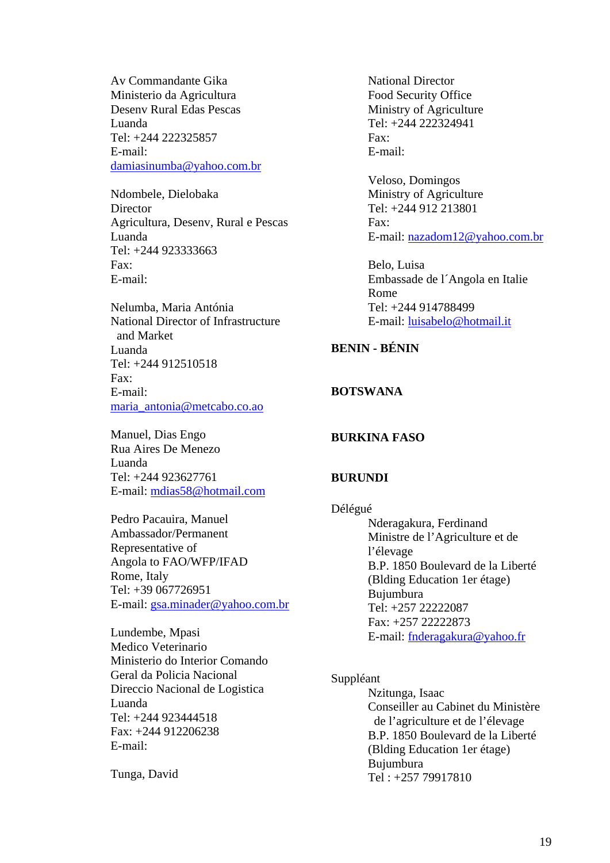Av Commandante Gika Ministerio da Agricultura Desenv Rural Edas Pescas Luanda Tel: +244 222325857 E-mail: damiasinumba@yahoo.com.br

Ndombele, Dielobaka **Director** Agricultura, Desenv, Rural e Pescas Luanda Tel: +244 923333663 Fax: E-mail:

Nelumba, Maria Antónia National Director of Infrastructure and Market Luanda Tel: +244 912510518  $F_9x$ . E-mail: maria\_antonia@metcabo.co.ao

Manuel, Dias Engo Rua Aires De Menezo Luanda Tel: +244 923627761 E-mail: mdias58@hotmail.com

Pedro Pacauira, Manuel Ambassador/Permanent Representative of Angola to FAO/WFP/IFAD Rome, Italy Tel: +39 067726951 E-mail: gsa.minader@yahoo.com.br

Lundembe, Mpasi Medico Veterinario Ministerio do Interior Comando Geral da Policia Nacional Direccio Nacional de Logistica Luanda Tel: +244 923444518 Fax: +244 912206238 E-mail:

Tunga, David

National Director Food Security Office Ministry of Agriculture Tel: +244 222324941 Fax: E-mail:

Veloso, Domingos Ministry of Agriculture Tel: +244 912 213801 Fax: E-mail: nazadom12@yahoo.com.br

Belo, Luisa Embassade de l´Angola en Italie Rome Tel: +244 914788499 E-mail: luisabelo@hotmail.it

# **BENIN - BÉNIN**

# **BOTSWANA**

#### **BURKINA FASO**

#### **BURUNDI**

Délégué Nderagakura, Ferdinand Ministre de l'Agriculture et de l'élevage B.P. 1850 Boulevard de la Liberté (Blding Education 1er étage) Bujumbura Tel: +257 22222087 Fax: +257 22222873 E-mail: fnderagakura@yahoo.fr

#### Suppléant

Nzitunga, Isaac Conseiller au Cabinet du Ministère de l'agriculture et de l'élevage B.P. 1850 Boulevard de la Liberté (Blding Education 1er étage) Bujumbura Tel : +257 79917810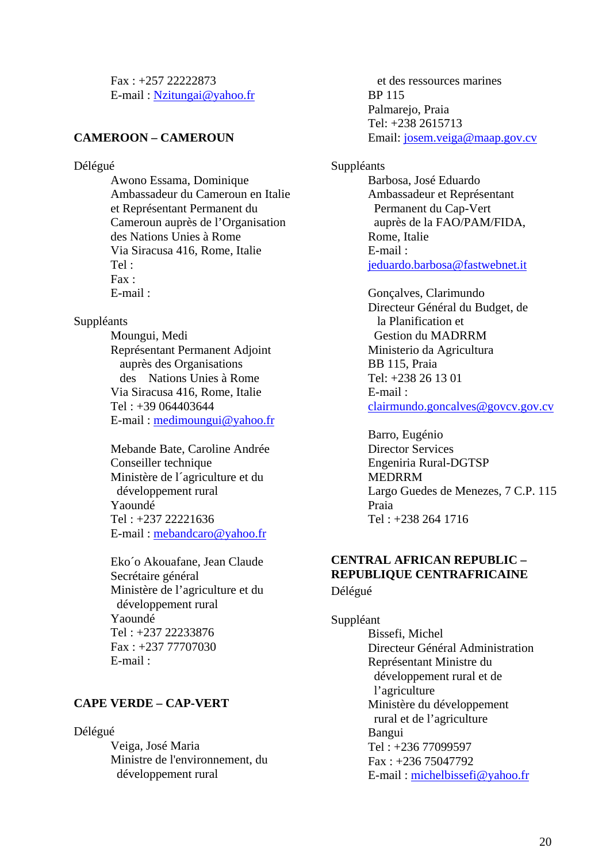Fax : +257 22222873 E-mail : Nzitungai@yahoo.fr

# **CAMEROON – CAMEROUN**

#### Délégué

Awono Essama, Dominique Ambassadeur du Cameroun en Italie et Représentant Permanent du Cameroun auprès de l'Organisation des Nations Unies à Rome Via Siracusa 416, Rome, Italie Tel : Fax : E-mail :

#### Suppléants

Moungui, Medi Représentant Permanent Adjoint auprès des Organisations des Nations Unies à Rome Via Siracusa 416, Rome, Italie Tel : +39 064403644 E-mail : medimoungui@yahoo.fr

Mebande Bate, Caroline Andrée Conseiller technique Ministère de l´agriculture et du développement rural Yaoundé Tel : +237 22221636 E-mail : mebandcaro@yahoo.fr

Eko´o Akouafane, Jean Claude Secrétaire général Ministère de l'agriculture et du développement rural Yaoundé Tel : +237 22233876 Fax : +237 77707030 E-mail :

# **CAPE VERDE – CAP-VERT**

#### Délégué

Veiga, José Maria Ministre de l'environnement, du développement rural

 et des ressources marines BP 115 Palmarejo, Praia Tel: +238 2615713 Email: josem.veiga@maap.gov.cv

#### Suppléants

Barbosa, José Eduardo Ambassadeur et Représentant Permanent du Cap-Vert auprès de la FAO/PAM/FIDA, Rome, Italie E-mail : jeduardo.barbosa@fastwebnet.it

Gonçalves, Clarimundo Directeur Général du Budget, de la Planification et Gestion du MADRRM Ministerio da Agricultura BB 115, Praia Tel: +238 26 13 01 E-mail : clairmundo.goncalves@govcv.gov.cv

Barro, Eugénio Director Services Engeniria Rural-DGTSP MEDRRM Largo Guedes de Menezes, 7 C.P. 115 Praia Tel : +238 264 1716

# **CENTRAL AFRICAN REPUBLIC – REPUBLIQUE CENTRAFRICAINE**  Délégué

Suppléant Bissefi, Michel Directeur Général Administration Représentant Ministre du développement rural et de l'agriculture Ministère du développement rural et de l'agriculture Bangui Tel : +236 77099597 Fax : +236 75047792 E-mail : michelbissefi@yahoo.fr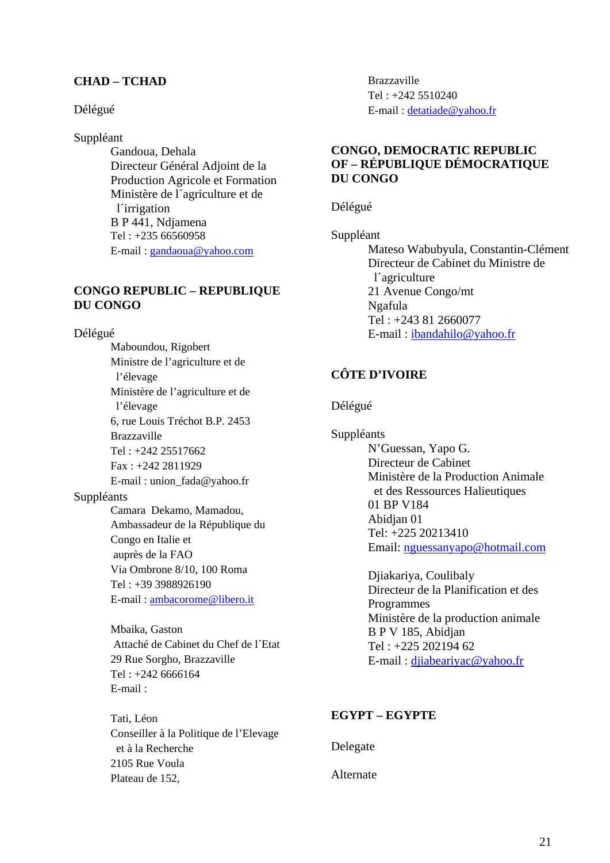# **CHAD – TCHAD**

### Délégué

# Suppléant

Gandoua, Dehala Directeur Général Adjoint de la Production Agricole et Formation Ministère de l´agriculture et de l´irrigation B P 441, Ndjamena Tel : +235 66560958 E-mail : gandaoua@yahoo.com

## **CONGO REPUBLIC – REPUBLIQUE DU CONGO**

Délégué

Maboundou, Rigobert Ministre de l'agriculture et de l'élevage Ministère de l'agriculture et de l'élevage 6, rue Louis Tréchot B.P. 2453 Brazzaville Tel : +242 25517662 Fax : +242 2811929 E-mail : union\_fada@yahoo.fr Suppléants Camara Dekamo, Mamadou, Ambassadeur de la République du Congo en Italie et auprès de la FAO Via Ombrone 8/10, 100 Roma Tel : +39 3988926190 E-mail : ambacorome@libero.it

> Mbaika, Gaston Attaché de Cabinet du Chef de l´Etat 29 Rue Sorgho, Brazzaville Tel : +242 6666164 E-mail :

Tati, Léon Conseiller à la Politique de l'Elevage et à la Recherche 2105 Rue Voula Plateau de 152,

Brazzaville Tel : +242 5510240 E-mail : detatiade@yahoo.fr

# **CONGO, DEMOCRATIC REPUBLIC OF – RÉPUBLIQUE DÉMOCRATIQUE DU CONGO**

Délégué

Suppléant Mateso Wabubyula, Constantin-Clément Directeur de Cabinet du Ministre de l´agriculture 21 Avenue Congo/mt Ngafula Tel : +243 81 2660077 E-mail : ibandahilo@yahoo.fr

# **CÔTE D'IVOIRE**

Délégué

Suppléants N'Guessan, Yapo G. Directeur de Cabinet Ministère de la Production Animale et des Ressources Halieutiques 01 BP V184 Abidjan 01 Tel: +225 20213410 Email: nguessanyapo@hotmail.com

> Djiakariya, Coulibaly Directeur de la Planification et des Programmes Ministère de la production animale B P V 185, Abidjan Tel : +225 202194 62 E-mail : djiabeariyac@yahoo.fr

# **EGYPT – EGYPTE**

Delegate

Alternate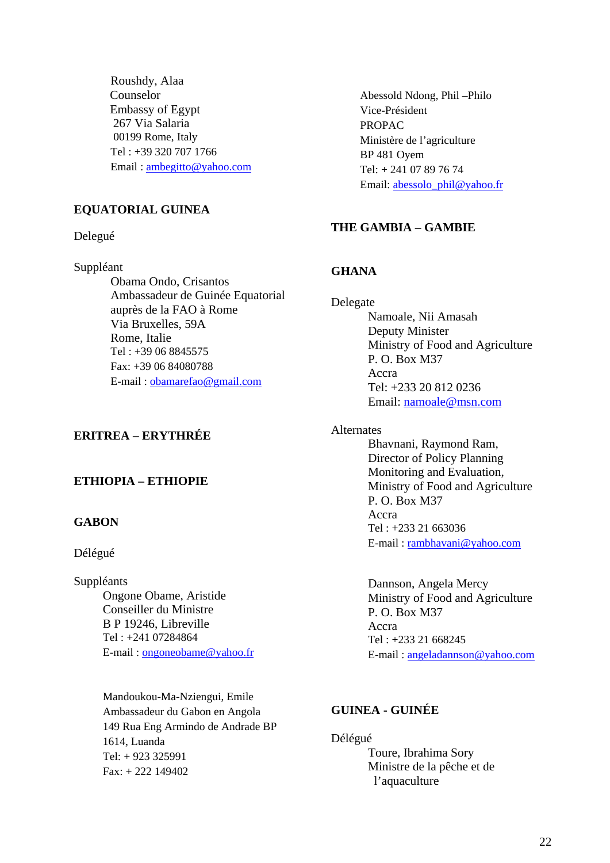Roushdy, Alaa Counselor Embassy of Egypt 267 Via Salaria 00199 Rome, Italy Tel : +39 320 707 1766 Email : ambegitto@yahoo.com

# **EQUATORIAL GUINEA**

Delegué

Suppléant

Obama Ondo, Crisantos Ambassadeur de Guinée Equatorial auprès de la FAO à Rome Via Bruxelles, 59A Rome, Italie Tel : +39 06 8845575 Fax: +39 06 84080788 E-mail : obamarefao@gmail.com

# **ERITREA – ERYTHRÉE**

### **ETHIOPIA – ETHIOPIE**

# **GABON**

#### Délégué

Suppléants Ongone Obame, Aristide Conseiller du Ministre B P 19246, Libreville Tel : +241 07284864 E-mail : ongoneobame@yahoo.fr

> Mandoukou-Ma-Nziengui, Emile Ambassadeur du Gabon en Angola 149 Rua Eng Armindo de Andrade BP 1614, Luanda Tel: + 923 325991  $Fax + 222$  149402

Abessold Ndong, Phil –Philo Vice-Président PROPAC Ministère de l'agriculture BP 481 Oyem Tel: + 241 07 89 76 74 Email: abessolo\_phil@yahoo.fr

# **THE GAMBIA – GAMBIE**

### **GHANA**

Delegate Namoale, Nii Amasah Deputy Minister Ministry of Food and Agriculture P. O. Box M37 Accra Tel: +233 20 812 0236 Email: namoale@msn.com

Alternates

Bhavnani, Raymond Ram, Director of Policy Planning Monitoring and Evaluation, Ministry of Food and Agriculture P. O. Box M37 Accra Tel : +233 21 663036 E-mail : rambhavani@yahoo.com

Dannson, Angela Mercy Ministry of Food and Agriculture P. O. Box M37 Accra Tel : +233 21 668245 E-mail : angeladannson@yahoo.com

# **GUINEA - GUINÉE**

Délégué Toure, Ibrahima Sory Ministre de la pêche et de l'aquaculture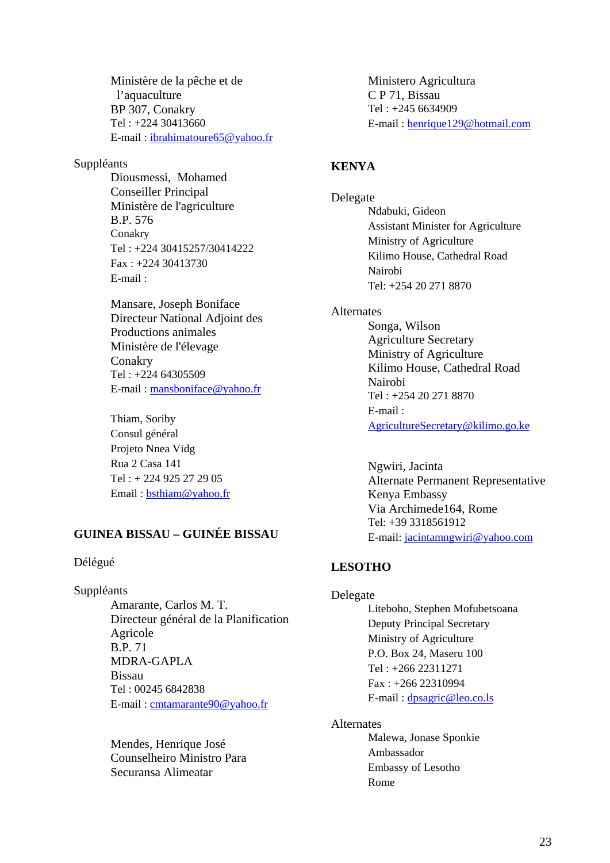Ministère de la pêche et de l'aquaculture BP 307, Conakry Tel : +224 30413660 E-mail : ibrahimatoure65@yahoo.fr

## Suppléants

Diousmessi, Mohamed Conseiller Principal Ministère de l'agriculture B.P. 576 Conakry Tel : +224 30415257/30414222 Fax : +224 30413730 E-mail :

Mansare, Joseph Boniface Directeur National Adjoint des Productions animales Ministère de l'élevage Conakry Tel : +224 64305509 E-mail : mansboniface@yahoo.fr

Thiam, Soriby Consul général Projeto Nnea Vidg Rua 2 Casa 141 Tel : + 224 925 27 29 05 Email : bsthiam@yahoo.fr

# **GUINEA BISSAU – GUINÉE BISSAU**

### Délégué

Suppléants

Amarante, Carlos M. T. Directeur général de la Planification Agricole B.P. 71 MDRA-GAPLA Bissau Tel : 00245 6842838 E-mail : cmtamarante90@yahoo.fr

Mendes, Henrique José Counselheiro Ministro Para Securansa Alimeatar

Ministero Agricultura C P 71, Bissau Tel : +245 6634909 E-mail : henrique129@hotmail.com

# **KENYA**

Delegate Ndabuki, Gideon Assistant Minister for Agriculture Ministry of Agriculture Kilimo House, Cathedral Road Nairobi Tel: +254 20 271 8870

#### Alternates

Songa, Wilson Agriculture Secretary Ministry of Agriculture Kilimo House, Cathedral Road Nairobi Tel : +254 20 271 8870 E-mail : AgricultureSecretary@kilimo.go.ke

Ngwiri, Jacinta Alternate Permanent Representative Kenya Embassy Via Archimede164, Rome Tel: +39 3318561912 E-mail: jacintamngwiri@yahoo.com

## **LESOTHO**

#### Delegate

Liteboho, Stephen Mofubetsoana Deputy Principal Secretary Ministry of Agriculture P.O. Box 24, Maseru 100 Tel : +266 22311271 Fax : +266 22310994 E-mail : dpsagric@leo.co.ls

#### Alternates

Malewa, Jonase Sponkie Ambassador Embassy of Lesotho Rome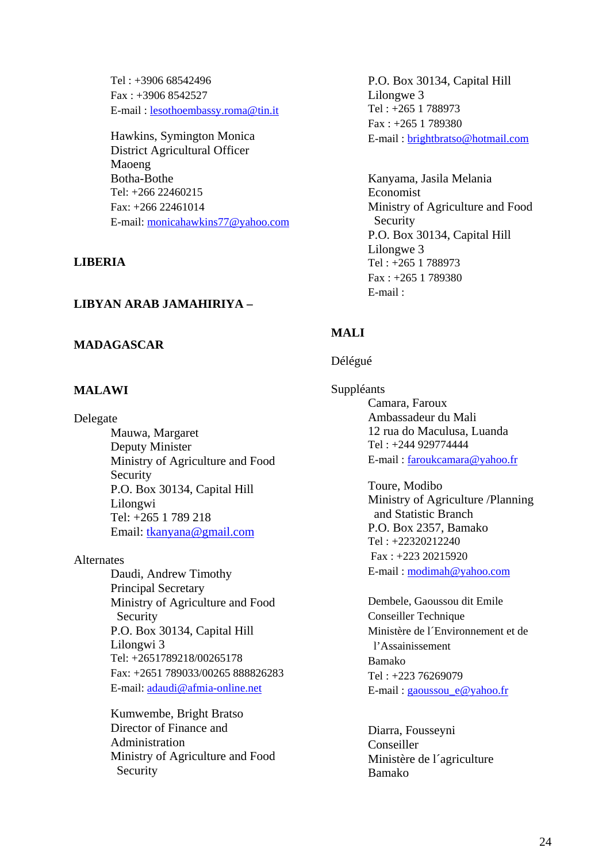Tel : +3906 68542496 Fax : +3906 8542527 E-mail : lesothoembassy.roma@tin.it

Hawkins, Symington Monica District Agricultural Officer Maoeng Botha-Bothe Tel: +266 22460215 Fax: +266 22461014 E-mail: monicahawkins77@yahoo.com

### **LIBERIA**

## **LIBYAN ARAB JAMAHIRIYA –**

## **MADAGASCAR**

## **MALAWI**

#### Delegate

 Mauwa, Margaret Deputy Minister Ministry of Agriculture and Food Security P.O. Box 30134, Capital Hill Lilongwi Tel: +265 1 789 218 Email: tkanyana@gmail.com

#### Alternates

Daudi, Andrew Timothy Principal Secretary Ministry of Agriculture and Food Security P.O. Box 30134, Capital Hill Lilongwi 3 Tel: +2651789218/00265178 Fax: +2651 789033/00265 888826283 E-mail: adaudi@afmia-online.net

Kumwembe, Bright Bratso Director of Finance and Administration Ministry of Agriculture and Food Security

P.O. Box 30134, Capital Hill Lilongwe 3 Tel : +265 1 788973 Fax : +265 1 789380 E-mail : brightbratso@hotmail.com

Kanyama, Jasila Melania Economist Ministry of Agriculture and Food Security P.O. Box 30134, Capital Hill Lilongwe 3 Tel : +265 1 788973 Fax : +265 1 789380 E-mail :

# **MALI**

#### Délégué

Suppléants Camara, Faroux Ambassadeur du Mali 12 rua do Maculusa, Luanda Tel : +244 929774444 E-mail : faroukcamara@yahoo.fr

> Toure, Modibo Ministry of Agriculture /Planning and Statistic Branch P.O. Box 2357, Bamako Tel : +22320212240 Fax : +223 20215920 E-mail : modimah@yahoo.com

Dembele, Gaoussou dit Emile Conseiller Technique Ministère de l´Environnement et de l'Assainissement Bamako Tel : +223 76269079 E-mail : gaoussou\_e@yahoo.fr

Diarra, Fousseyni Conseiller Ministère de l´agriculture Bamako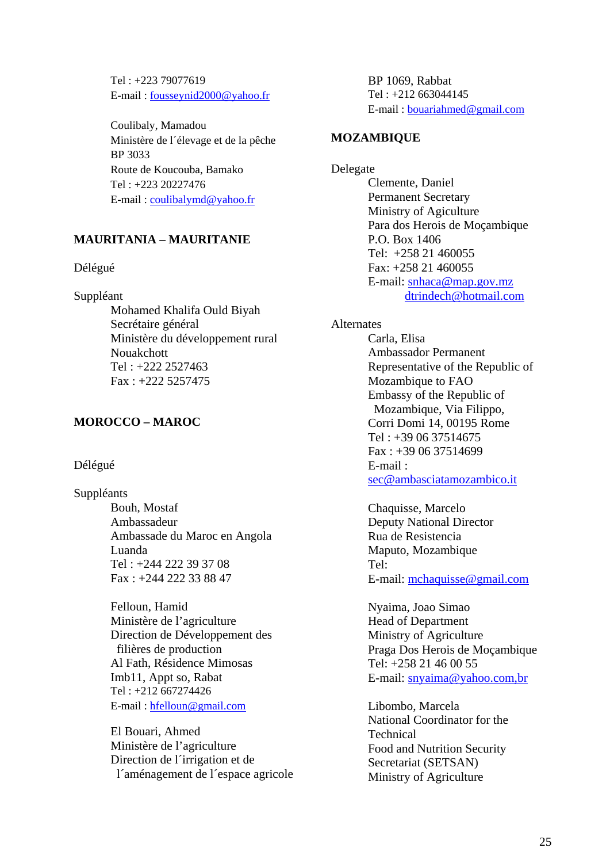Tel : +223 79077619 E-mail : fousseynid2000@yahoo.fr

Coulibaly, Mamadou Ministère de l´élevage et de la pêche BP 3033 Route de Koucouba, Bamako Tel : +223 20227476 E-mail : coulibalymd@yahoo.fr

# **MAURITANIA – MAURITANIE**

### Délégué

Suppléant

Mohamed Khalifa Ould Biyah Secrétaire général Ministère du développement rural Nouakchott Tel : +222 2527463 Fax : +222 5257475

# **MOROCCO – MAROC**

# Délégué

Suppléants Bouh, Mostaf Ambassadeur Ambassade du Maroc en Angola Luanda Tel : +244 222 39 37 08

> Fax : +244 222 33 88 47 Felloun, Hamid Ministère de l'agriculture Direction de Développement des filières de production Al Fath, Résidence Mimosas Imb11, Appt so, Rabat Tel : +212 667274426

E-mail : hfelloun@gmail.com

El Bouari, Ahmed Ministère de l'agriculture Direction de l´irrigation et de l´aménagement de l´espace agricole BP 1069, Rabbat Tel : +212 663044145 E-mail : bouariahmed@gmail.com

# **MOZAMBIQUE**

Delegate Clemente, Daniel Permanent Secretary Ministry of Agiculture Para dos Herois de Moçambique P.O. Box 1406 Tel: +258 21 460055 Fax: +258 21 460055 E-mail: snhaca@map.gov.mz dtrindech@hotmail.com

# Alternates

Carla, Elisa Ambassador Permanent Representative of the Republic of Mozambique to FAO Embassy of the Republic of Mozambique, Via Filippo, Corri Domi 14, 00195 Rome Tel : +39 06 37514675 Fax : +39 06 37514699 E-mail : sec@ambasciatamozambico.it

Chaquisse, Marcelo Deputy National Director Rua de Resistencia Maputo, Mozambique Tel: E-mail: mchaquisse@gmail.com

Nyaima, Joao Simao Head of Department Ministry of Agriculture Praga Dos Herois de Moçambique Tel: +258 21 46 00 55 E-mail: snyaima@yahoo.com,br

Libombo, Marcela National Coordinator for the **Technical** Food and Nutrition Security Secretariat (SETSAN) Ministry of Agriculture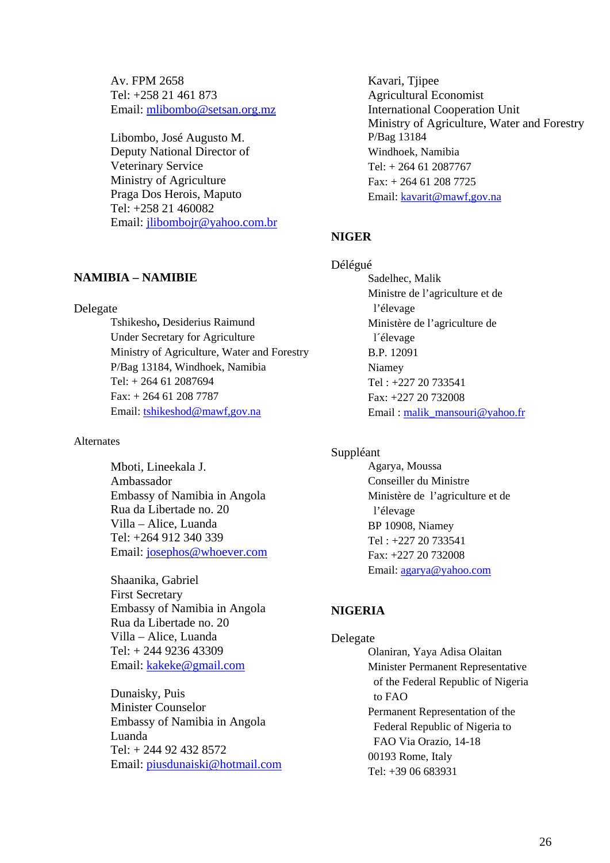Av. FPM 2658 Tel: +258 21 461 873 Email: mlibombo@setsan.org.mz

Libombo, José Augusto M. Deputy National Director of Veterinary Service Ministry of Agriculture Praga Dos Herois, Maputo Tel: +258 21 460082 Email: jlibombojr@yahoo.com.br

## **NAMIBIA – NAMIBIE**

#### Delegate

Tshikesho**,** Desiderius Raimund Under Secretary for Agriculture Ministry of Agriculture, Water and Forestry P/Bag 13184, Windhoek, Namibia Tel: + 264 61 2087694 Fax: + 264 61 208 7787 Email: tshikeshod@mawf,gov.na

#### Alternates

Mboti, Lineekala J. Ambassador Embassy of Namibia in Angola Rua da Libertade no. 20 Villa – Alice, Luanda Tel: +264 912 340 339 Email: josephos@whoever.com

Shaanika, Gabriel First Secretary Embassy of Namibia in Angola Rua da Libertade no. 20 Villa – Alice, Luanda Tel: + 244 9236 43309 Email: kakeke@gmail.com

Dunaisky, Puis Minister Counselor Embassy of Namibia in Angola Luanda Tel: + 244 92 432 8572 Email: piusdunaiski@hotmail.com Kavari, Tjipee Agricultural Economist International Cooperation Unit Ministry of Agriculture, Water and Forestry P/Bag 13184 Windhoek, Namibia Tel: + 264 61 2087767 Fax: + 264 61 208 7725 Email: kavarit@mawf,gov.na

#### **NIGER**

Délégué Sadelhec, Malik Ministre de l'agriculture et de l'élevage Ministère de l'agriculture de l´élevage B.P. 12091 Niamey Tel : +227 20 733541 Fax: +227 20 732008 Email: malik\_mansouri@yahoo.fr

#### Suppléant

Agarya, Moussa Conseiller du Ministre Ministère de l'agriculture et de l'élevage BP 10908, Niamey Tel : +227 20 733541 Fax: +227 20 732008 Email: agarya@yahoo.com

# **NIGERIA**

Delegate Olaniran, Yaya Adisa Olaitan Minister Permanent Representative of the Federal Republic of Nigeria to FAO Permanent Representation of the Federal Republic of Nigeria to FAO Via Orazio, 14-18 00193 Rome, Italy Tel: +39 06 683931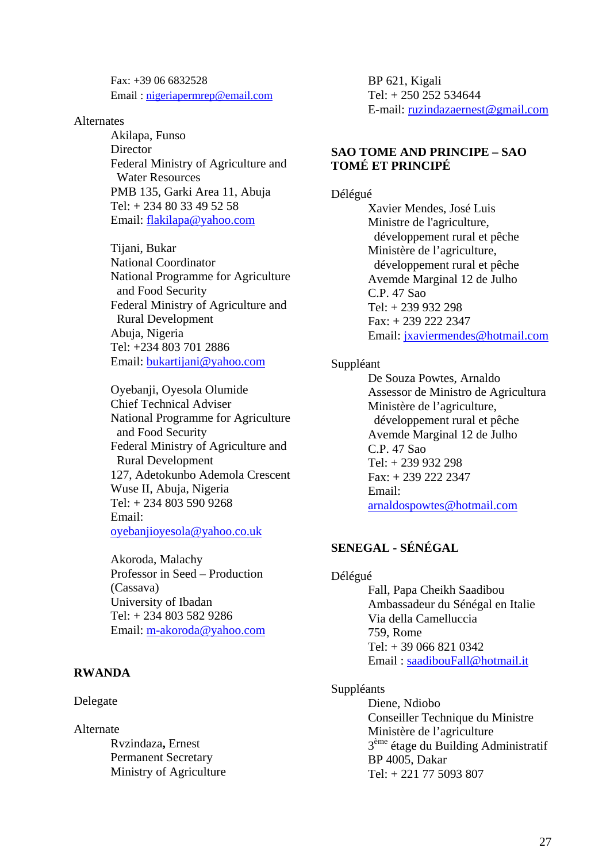Fax: +39 06 6832528 Email : nigeriapermrep@email.com

#### **Alternates**

Akilapa, Funso **Director** Federal Ministry of Agriculture and Water Resources PMB 135, Garki Area 11, Abuja Tel: + 234 80 33 49 52 58 Email: flakilapa@yahoo.com

Tijani, Bukar National Coordinator National Programme for Agriculture and Food Security Federal Ministry of Agriculture and Rural Development Abuja, Nigeria Tel: +234 803 701 2886 Email: bukartijani@yahoo.com

Oyebanji, Oyesola Olumide Chief Technical Adviser National Programme for Agriculture and Food Security Federal Ministry of Agriculture and Rural Development 127, Adetokunbo Ademola Crescent Wuse II, Abuja, Nigeria Tel: + 234 803 590 9268 Email: oyebanjioyesola@yahoo.co.uk

Akoroda, Malachy Professor in Seed – Production (Cassava) University of Ibadan Tel: + 234 803 582 9286 Email: m-akoroda@yahoo.com

### **RWANDA**

#### Delegate

Alternate

 Rvzindaza**,** Ernest Permanent Secretary Ministry of Agriculture BP 621, Kigali Tel: + 250 252 534644 E-mail: ruzindazaernest@gmail.com

#### **SAO TOME AND PRINCIPE – SAO TOMÉ ET PRINCIPÉ**

#### Délégué

 Xavier Mendes, José Luis Ministre de l'agriculture, développement rural et pêche Ministère de l'agriculture, développement rural et pêche Avemde Marginal 12 de Julho C.P. 47 Sao Tel: + 239 932 298 Fax: + 239 222 2347 Email: jxaviermendes@hotmail.com

#### Suppléant

 De Souza Powtes, Arnaldo Assessor de Ministro de Agricultura Ministère de l'agriculture, développement rural et pêche Avemde Marginal 12 de Julho C.P. 47 Sao Tel: + 239 932 298 Fax: + 239 222 2347 Email: arnaldospowtes@hotmail.com

# **SENEGAL - SÉNÉGAL**

#### Délégué

Fall, Papa Cheikh Saadibou Ambassadeur du Sénégal en Italie Via della Camelluccia 759, Rome Tel: + 39 066 821 0342 Email : saadibouFall@hotmail.it

#### Suppléants

Diene, Ndiobo Conseiller Technique du Ministre Ministère de l'agriculture 3ème étage du Building Administratif BP 4005, Dakar Tel: + 221 77 5093 807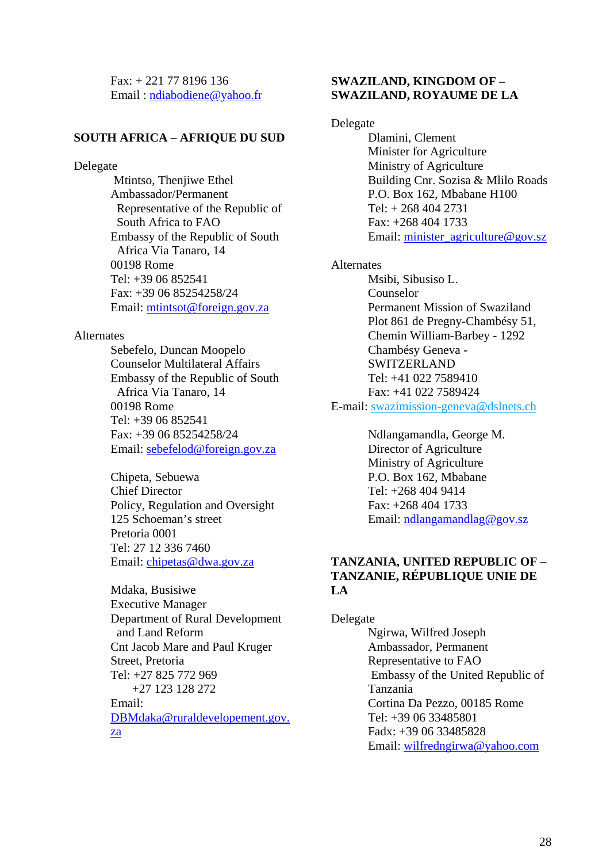Fax: + 221 77 8196 136 Email : ndiabodiene@yahoo.fr

#### **SOUTH AFRICA – AFRIQUE DU SUD**

#### Delegate

 Mtintso, Thenjiwe Ethel Ambassador/Permanent Representative of the Republic of South Africa to FAO Embassy of the Republic of South Africa Via Tanaro, 14 00198 Rome Tel: +39 06 852541 Fax: +39 06 85254258/24 Email: mtintsot@foreign.gov.za

#### Alternates

Sebefelo, Duncan Moopelo Counselor Multilateral Affairs Embassy of the Republic of South Africa Via Tanaro, 14 00198 Rome Tel: +39 06 852541 Fax: +39 06 85254258/24 Email: sebefelod@foreign.gov.za

Chipeta, Sebuewa Chief Director Policy, Regulation and Oversight 125 Schoeman's street Pretoria 0001 Tel: 27 12 336 7460 Email: chipetas@dwa.gov.za

Mdaka, Busisiwe Executive Manager Department of Rural Development and Land Reform Cnt Jacob Mare and Paul Kruger Street, Pretoria Tel: +27 825 772 969 +27 123 128 272 Email: DBMdaka@ruraldevelopement.gov. za

## **SWAZILAND, KINGDOM OF – SWAZILAND, ROYAUME DE LA**

Delegate

Dlamini, Clement Minister for Agriculture Ministry of Agriculture Building Cnr. Sozisa & Mlilo Roads P.O. Box 162, Mbabane H100 Tel: + 268 404 2731 Fax: +268 404 1733 Email: minister\_agriculture@gov.sz

Alternates

Msibi, Sibusiso L. Counselor Permanent Mission of Swaziland Plot 861 de Pregny-Chambésy 51, Chemin William-Barbey - 1292 Chambésy Geneva - SWITZERLAND  $Tel·+410227589410$ Fax: +41 022 7589424

E-mail: swazimission-geneva@dslnets.ch

Ndlangamandla, George M. Director of Agriculture Ministry of Agriculture P.O. Box 162, Mbabane Tel: +268 404 9414 Fax: +268 404 1733 Email: ndlangamandlag@gov.sz

# **TANZANIA, UNITED REPUBLIC OF – TANZANIE, RÉPUBLIQUE UNIE DE LA**

Delegate Ngirwa, Wilfred Joseph Ambassador, Permanent Representative to FAO Embassy of the United Republic of Tanzania Cortina Da Pezzo, 00185 Rome Tel: +39 06 33485801 Fadx: +39 06 33485828 Email: wilfredngirwa@yahoo.com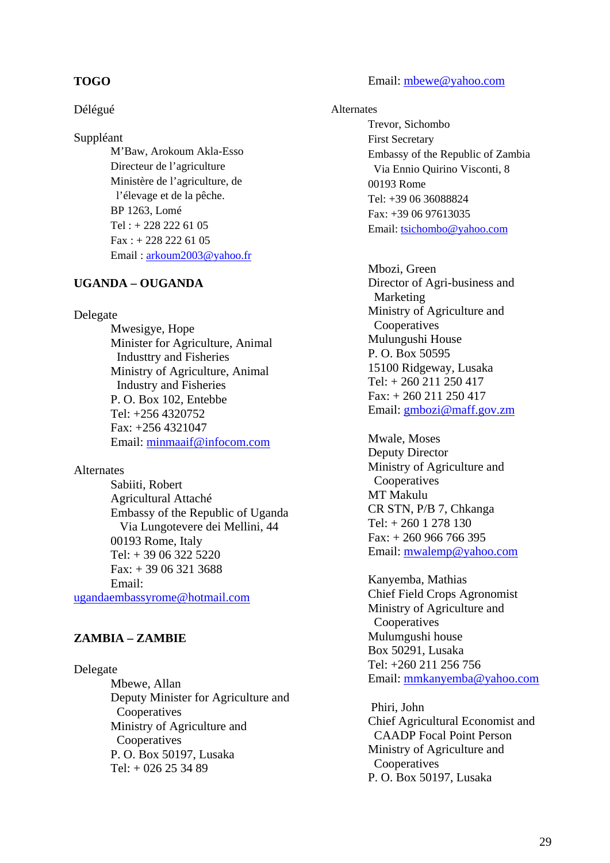### **TOGO**

#### Délégué

Suppléant

 M'Baw, Arokoum Akla-Esso Directeur de l'agriculture Ministère de l'agriculture, de l'élevage et de la pêche. BP 1263, Lomé Tel : + 228 222 61 05 Fax : + 228 222 61 05 Email : arkoum2003@yahoo.fr

# **UGANDA – OUGANDA**

#### Delegate

 Mwesigye, Hope Minister for Agriculture, Animal Industtry and Fisheries Ministry of Agriculture, Animal Industry and Fisheries P. O. Box 102, Entebbe Tel: +256 4320752 Fax: +256 4321047 Email: minmaaif@infocom.com

## Alternates

Sabiiti, Robert Agricultural Attaché Embassy of the Republic of Uganda Via Lungotevere dei Mellini, 44 00193 Rome, Italy Tel: + 39 06 322 5220 Fax: + 39 06 321 3688 Email:

ugandaembassyrome@hotmail.com

# **ZAMBIA – ZAMBIE**

#### Delegate

Mbewe, Allan Deputy Minister for Agriculture and Cooperatives Ministry of Agriculture and Cooperatives P. O. Box 50197, Lusaka  $Tel: + 026 25 34 89$ 

#### Email: mbewe@yahoo.com

#### Alternates

Trevor, Sichombo First Secretary Embassy of the Republic of Zambia Via Ennio Quirino Visconti, 8 00193 Rome Tel: +39 06 36088824 Fax: +39 06 97613035 Email: tsichombo@yahoo.com

Mbozi, Green Director of Agri-business and Marketing Ministry of Agriculture and Cooperatives Mulungushi House P. O. Box 50595 15100 Ridgeway, Lusaka Tel: + 260 211 250 417 Fax: + 260 211 250 417 Email: gmbozi@maff.gov.zm

Mwale, Moses Deputy Director Ministry of Agriculture and Cooperatives MT Makulu CR STN, P/B 7, Chkanga Tel: + 260 1 278 130 Fax: + 260 966 766 395 Email: mwalemp@yahoo.com

Kanyemba, Mathias Chief Field Crops Agronomist Ministry of Agriculture and **Cooperatives** Mulumgushi house Box 50291, Lusaka Tel: +260 211 256 756 Email: mmkanyemba@yahoo.com

 Phiri, John Chief Agricultural Economist and CAADP Focal Point Person Ministry of Agriculture and Cooperatives P. O. Box 50197, Lusaka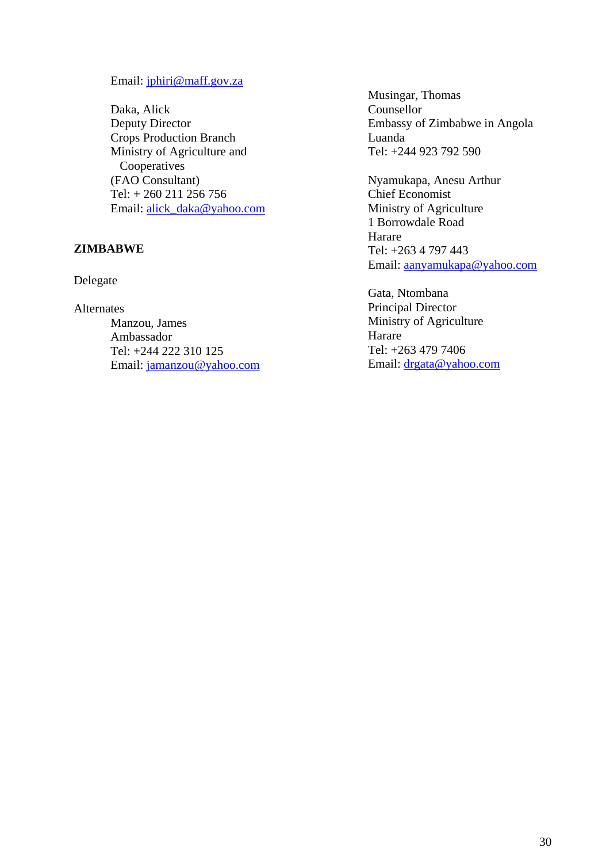#### Email: jphiri@maff.gov.za

Daka, Alick Deputy Director Crops Production Branch Ministry of Agriculture and **Cooperatives** (FAO Consultant) Tel: + 260 211 256 756 Email: alick\_daka@yahoo.com

# **ZIMBABWE**

Delegate

Alternates

 Manzou, James Ambassador Tel: +244 222 310 125 Email: jamanzou@yahoo.com Musingar, Thomas Counsellor Embassy of Zimbabwe in Angola Luanda Tel: +244 923 792 590

Nyamukapa, Anesu Arthur Chief Economist Ministry of Agriculture 1 Borrowdale Road Harare Tel: +263 4 797 443 Email: aanyamukapa@yahoo.com

Gata, Ntombana Principal Director Ministry of Agriculture Harare Tel: +263 479 7406 Email: drgata@yahoo.com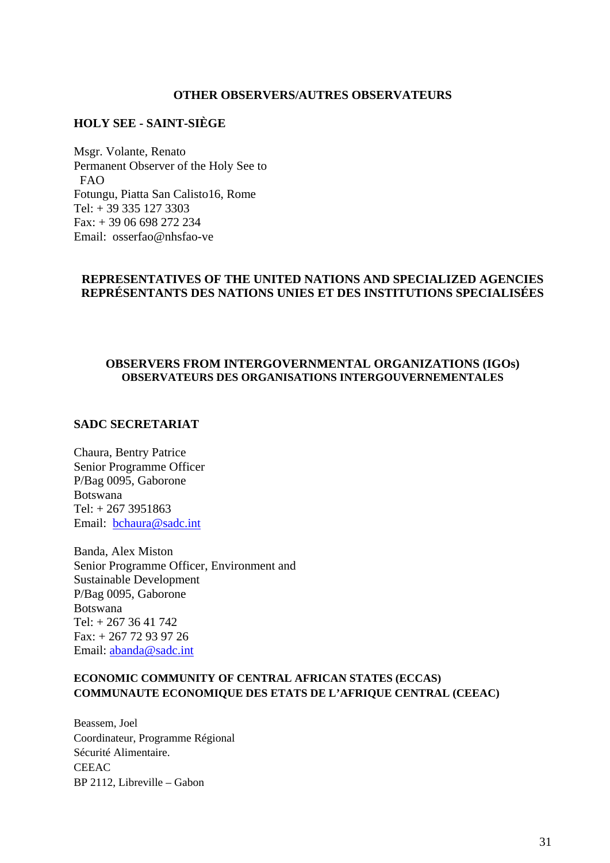#### **OTHER OBSERVERS/AUTRES OBSERVATEURS**

## **HOLY SEE - SAINT-SIÈGE**

Msgr. Volante, Renato Permanent Observer of the Holy See to FAO Fotungu, Piatta San Calisto16, Rome Tel: + 39 335 127 3303  $Fax: + 39,06,698,272,234$ Email: osserfao@nhsfao-ve

# **REPRESENTATIVES OF THE UNITED NATIONS AND SPECIALIZED AGENCIES REPRÉSENTANTS DES NATIONS UNIES ET DES INSTITUTIONS SPECIALISÉES**

#### **OBSERVERS FROM INTERGOVERNMENTAL ORGANIZATIONS (IGOs) OBSERVATEURS DES ORGANISATIONS INTERGOUVERNEMENTALES**

### **SADC SECRETARIAT**

Chaura, Bentry Patrice Senior Programme Officer P/Bag 0095, Gaborone Botswana Tel: + 267 3951863 Email: bchaura@sadc.int

Banda, Alex Miston Senior Programme Officer, Environment and Sustainable Development P/Bag 0095, Gaborone Botswana Tel: + 267 36 41 742 Fax: + 267 72 93 97 26 Email: abanda@sadc.int

## **ECONOMIC COMMUNITY OF CENTRAL AFRICAN STATES (ECCAS) COMMUNAUTE ECONOMIQUE DES ETATS DE L'AFRIQUE CENTRAL (CEEAC)**

Beassem, Joel Coordinateur, Programme Régional Sécurité Alimentaire. **CEEAC** BP 2112, Libreville – Gabon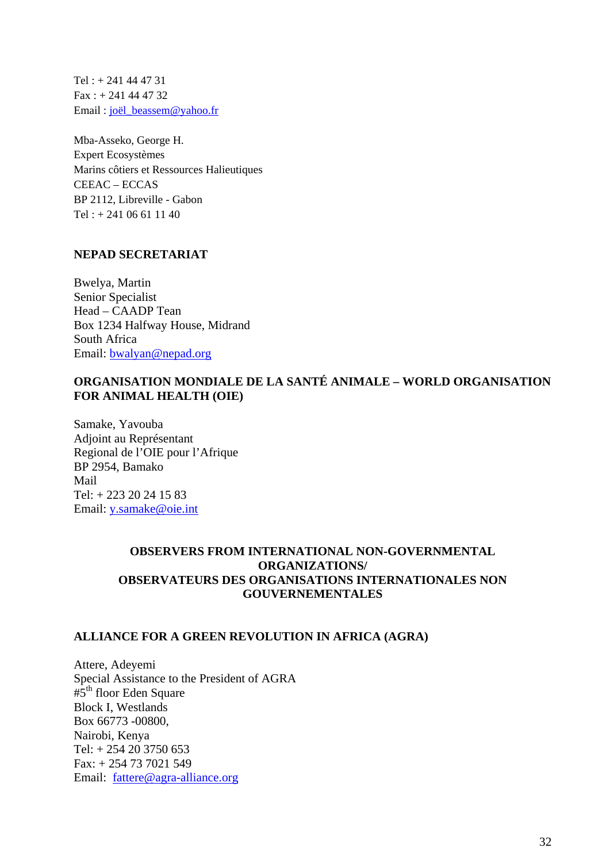Tel : + 241 44 47 31  $Fax : + 241444732$ Email : joël\_beassem@yahoo.fr

Mba-Asseko, George H. Expert Ecosystèmes Marins côtiers et Ressources Halieutiques CEEAC – ECCAS BP 2112, Libreville - Gabon Tel : + 241 06 61 11 40

# **NEPAD SECRETARIAT**

Bwelya, Martin Senior Specialist Head – CAADP Tean Box 1234 Halfway House, Midrand South Africa Email: bwalyan@nepad.org

# **ORGANISATION MONDIALE DE LA SANTÉ ANIMALE – WORLD ORGANISATION FOR ANIMAL HEALTH (OIE)**

Samake, Yavouba Adjoint au Représentant Regional de l'OIE pour l'Afrique BP 2954, Bamako Mail Tel: + 223 20 24 15 83 Email: y.samake@oie.int

# **OBSERVERS FROM INTERNATIONAL NON-GOVERNMENTAL ORGANIZATIONS/ OBSERVATEURS DES ORGANISATIONS INTERNATIONALES NON GOUVERNEMENTALES**

## **ALLIANCE FOR A GREEN REVOLUTION IN AFRICA (AGRA)**

Attere, Adeyemi Special Assistance to the President of AGRA  $#5<sup>th</sup>$  floor Eden Square Block I, Westlands Box 66773 -00800, Nairobi, Kenya Tel: + 254 20 3750 653 Fax: + 254 73 7021 549 Email: fattere@agra-alliance.org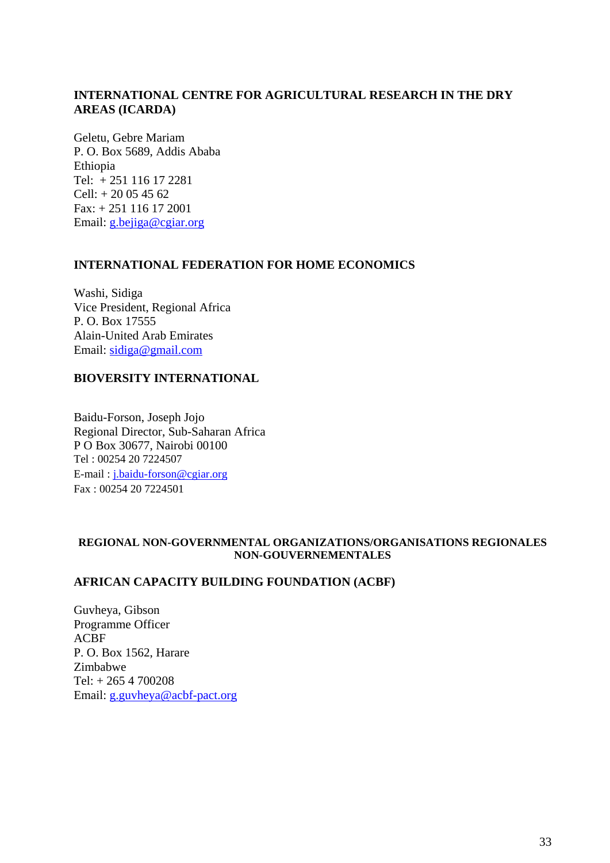# **INTERNATIONAL CENTRE FOR AGRICULTURAL RESEARCH IN THE DRY AREAS (ICARDA)**

Geletu, Gebre Mariam P. O. Box 5689, Addis Ababa Ethiopia Tel: + 251 116 17 2281  $Cell: + 20054562$ Fax: + 251 116 17 2001 Email: g.bejiga@cgiar.org

### **INTERNATIONAL FEDERATION FOR HOME ECONOMICS**

Washi, Sidiga Vice President, Regional Africa P. O. Box 17555 Alain-United Arab Emirates Email: sidiga@gmail.com

# **BIOVERSITY INTERNATIONAL**

Baidu-Forson, Joseph Jojo Regional Director, Sub-Saharan Africa P O Box 30677, Nairobi 00100 Tel : 00254 20 7224507 E-mail : j.baidu-forson@cgiar.org Fax : 00254 20 7224501

### **REGIONAL NON-GOVERNMENTAL ORGANIZATIONS/ORGANISATIONS REGIONALES NON-GOUVERNEMENTALES**

# **AFRICAN CAPACITY BUILDING FOUNDATION (ACBF)**

Guvheya, Gibson Programme Officer ACBF P. O. Box 1562, Harare Zimbabwe Tel: + 265 4 700208 Email: g.guvheya@acbf-pact.org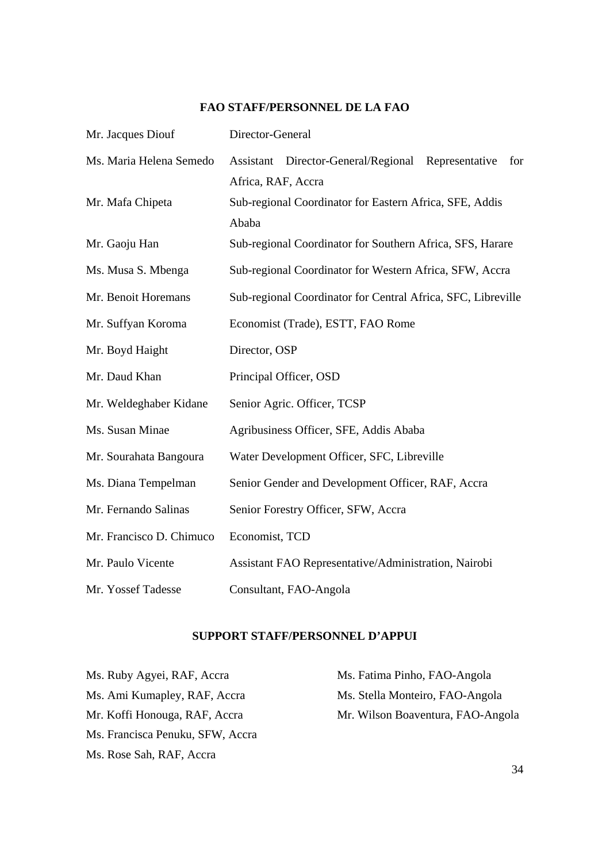# Mr. Jacques Diouf Director-General Ms. Maria Helena Semedo Assistant Director-General/Regional Representative for Africa, RAF, Accra Mr. Mafa Chipeta Sub-regional Coordinator for Eastern Africa, SFE, Addis Ababa Mr. Gaoju Han Sub-regional Coordinator for Southern Africa, SFS, Harare Ms. Musa S. Mbenga Sub-regional Coordinator for Western Africa, SFW, Accra Mr. Benoit Horemans Sub-regional Coordinator for Central Africa, SFC, Libreville Mr. Suffyan Koroma Economist (Trade), ESTT, FAO Rome Mr. Boyd Haight Director, OSP Mr. Daud Khan Principal Officer, OSD Mr. Weldeghaber Kidane Senior Agric. Officer, TCSP Ms. Susan Minae Agribusiness Officer, SFE, Addis Ababa Mr. Sourahata Bangoura Water Development Officer, SFC, Libreville Ms. Diana Tempelman Senior Gender and Development Officer, RAF, Accra Mr. Fernando Salinas Senior Forestry Officer, SFW, Accra Mr. Francisco D. Chimuco Economist, TCD Mr. Paulo Vicente Assistant FAO Representative/Administration, Nairobi Mr. Yossef Tadesse Consultant, FAO-Angola

#### **FAO STAFF/PERSONNEL DE LA FAO**

#### **SUPPORT STAFF/PERSONNEL D'APPUI**

Ms. Ami Kumapley, RAF, Accra Ms. Stella Monteiro, FAO-Angola Ms. Francisca Penuku, SFW, Accra Ms. Rose Sah, RAF, Accra

Ms. Ruby Agyei, RAF, Accra Ms. Fatima Pinho, FAO-Angola Mr. Koffi Honouga, RAF, Accra Mr. Wilson Boaventura, FAO-Angola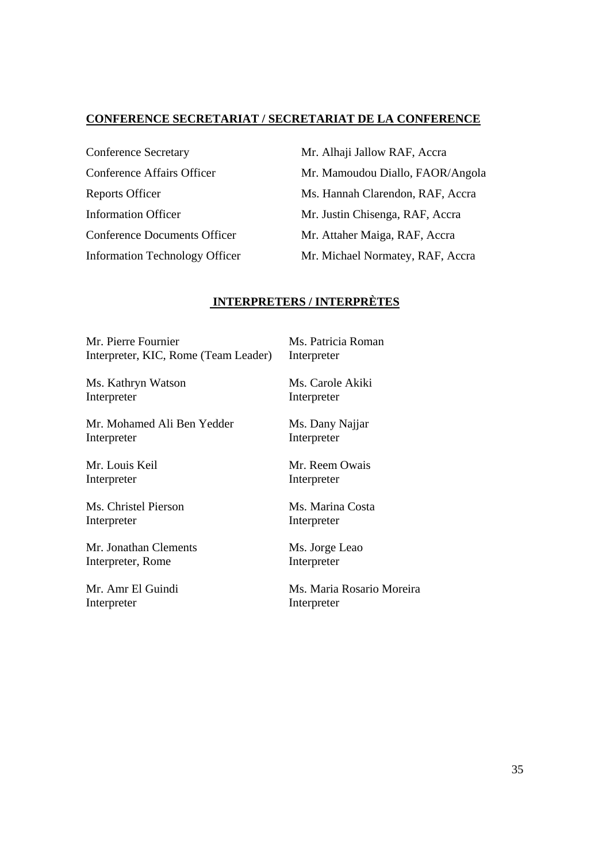## **CONFERENCE SECRETARIAT / SECRETARIAT DE LA CONFERENCE**

Conference Secretary Mr. Alhaji Jallow RAF, Accra Conference Documents Officer Mr. Attaher Maiga, RAF, Accra

Conference Affairs Officer Mr. Mamoudou Diallo, FAOR/Angola Reports Officer Ms. Hannah Clarendon, RAF, Accra Information Officer Mr. Justin Chisenga, RAF, Accra Information Technology Officer Mr. Michael Normatey, RAF, Accra

#### **INTERPRETERS / INTERPRÈTES**

Mr. Pierre Fournier Interpreter, KIC, Rome (Team Leader)

Ms. Kathryn Watson Interpreter

Mr. Mohamed Ali Ben Yedder Interpreter

Mr. Louis Keil Interpreter

Ms. Christel Pierson Interpreter

Mr. Jonathan Clements Interpreter, Rome

Mr. Amr El Guindi Interpreter

Interpreter

Ms. Patricia Roman

Ms. Carole Akiki Interpreter

Ms. Dany Najjar Interpreter

Mr. Reem Owais Interpreter

Ms. Marina Costa Interpreter

Ms. Jorge Leao Interpreter

Ms. Maria Rosario Moreira Interpreter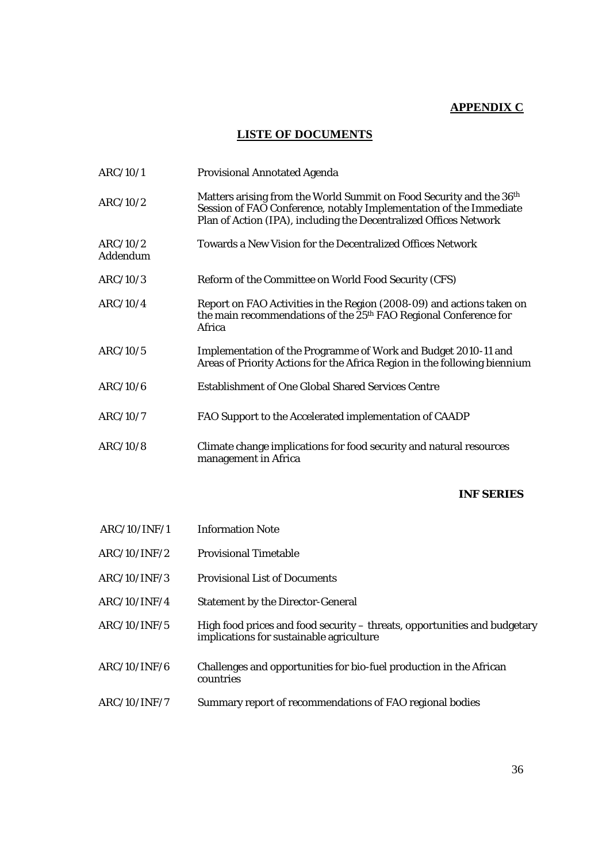# **APPENDIX C**

# **LISTE OF DOCUMENTS**

| ARC/10/1             | <b>Provisional Annotated Agenda</b>                                                                                                                                                                            |
|----------------------|----------------------------------------------------------------------------------------------------------------------------------------------------------------------------------------------------------------|
| ARC/10/2             | Matters arising from the World Summit on Food Security and the 36th<br>Session of FAO Conference, notably Implementation of the Immediate<br>Plan of Action (IPA), including the Decentralized Offices Network |
| ARC/10/2<br>Addendum | Towards a New Vision for the Decentralized Offices Network                                                                                                                                                     |
| ARC/10/3             | Reform of the Committee on World Food Security (CFS)                                                                                                                                                           |
| ARC/10/4             | Report on FAO Activities in the Region (2008-09) and actions taken on<br>the main recommendations of the 25 <sup>th</sup> FAO Regional Conference for<br>Africa                                                |
| ARC/10/5             | Implementation of the Programme of Work and Budget 2010-11 and<br>Areas of Priority Actions for the Africa Region in the following biennium                                                                    |
| ARC/10/6             | <b>Establishment of One Global Shared Services Centre</b>                                                                                                                                                      |
| ARC/10/7             | FAO Support to the Accelerated implementation of CAADP                                                                                                                                                         |
| ARC/10/8             | Climate change implications for food security and natural resources<br>management in Africa                                                                                                                    |

#### **INF SERIES**

| ARC/10/INF/1 | <b>Information Note</b>                                                                                               |
|--------------|-----------------------------------------------------------------------------------------------------------------------|
| ARC/10/INF/2 | <b>Provisional Timetable</b>                                                                                          |
| ARC/10/INF/3 | <b>Provisional List of Documents</b>                                                                                  |
| ARC/10/INF/4 | <b>Statement by the Director-General</b>                                                                              |
| ARC/10/INF/5 | High food prices and food security – threats, opportunities and budgetary<br>implications for sustainable agriculture |
| ARC/10/INF/6 | Challenges and opportunities for bio-fuel production in the African<br>countries                                      |
| ARC/10/INF/7 | Summary report of recommendations of FAO regional bodies                                                              |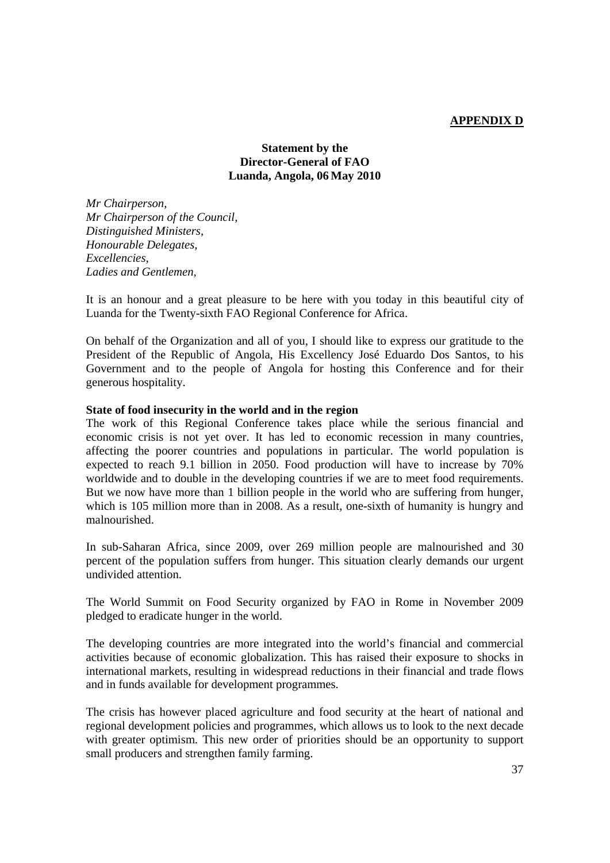## **APPENDIX D**

## **Statement by the Director-General of FAO Luanda, Angola, 06 May 2010**

*Mr Chairperson, Mr Chairperson of the Council, Distinguished Ministers, Honourable Delegates, Excellencies, Ladies and Gentlemen,* 

It is an honour and a great pleasure to be here with you today in this beautiful city of Luanda for the Twenty-sixth FAO Regional Conference for Africa.

On behalf of the Organization and all of you, I should like to express our gratitude to the President of the Republic of Angola, His Excellency José Eduardo Dos Santos, to his Government and to the people of Angola for hosting this Conference and for their generous hospitality.

#### **State of food insecurity in the world and in the region**

The work of this Regional Conference takes place while the serious financial and economic crisis is not yet over. It has led to economic recession in many countries, affecting the poorer countries and populations in particular. The world population is expected to reach 9.1 billion in 2050. Food production will have to increase by 70% worldwide and to double in the developing countries if we are to meet food requirements. But we now have more than 1 billion people in the world who are suffering from hunger, which is 105 million more than in 2008. As a result, one-sixth of humanity is hungry and malnourished.

In sub-Saharan Africa, since 2009, over 269 million people are malnourished and 30 percent of the population suffers from hunger. This situation clearly demands our urgent undivided attention.

The World Summit on Food Security organized by FAO in Rome in November 2009 pledged to eradicate hunger in the world.

The developing countries are more integrated into the world's financial and commercial activities because of economic globalization. This has raised their exposure to shocks in international markets, resulting in widespread reductions in their financial and trade flows and in funds available for development programmes.

The crisis has however placed agriculture and food security at the heart of national and regional development policies and programmes, which allows us to look to the next decade with greater optimism. This new order of priorities should be an opportunity to support small producers and strengthen family farming.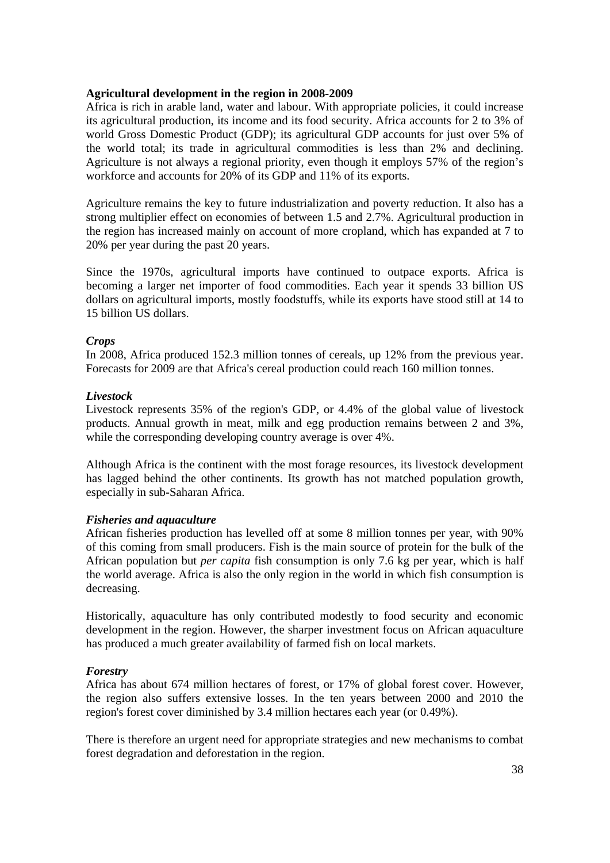#### **Agricultural development in the region in 2008-2009**

Africa is rich in arable land, water and labour. With appropriate policies, it could increase its agricultural production, its income and its food security. Africa accounts for 2 to 3% of world Gross Domestic Product (GDP); its agricultural GDP accounts for just over 5% of the world total; its trade in agricultural commodities is less than 2% and declining. Agriculture is not always a regional priority, even though it employs 57% of the region's workforce and accounts for 20% of its GDP and 11% of its exports.

Agriculture remains the key to future industrialization and poverty reduction. It also has a strong multiplier effect on economies of between 1.5 and 2.7%. Agricultural production in the region has increased mainly on account of more cropland, which has expanded at 7 to 20% per year during the past 20 years.

Since the 1970s, agricultural imports have continued to outpace exports. Africa is becoming a larger net importer of food commodities. Each year it spends 33 billion US dollars on agricultural imports, mostly foodstuffs, while its exports have stood still at 14 to 15 billion US dollars.

## *Crops*

In 2008, Africa produced 152.3 million tonnes of cereals, up 12% from the previous year. Forecasts for 2009 are that Africa's cereal production could reach 160 million tonnes.

## *Livestock*

Livestock represents 35% of the region's GDP, or 4.4% of the global value of livestock products. Annual growth in meat, milk and egg production remains between 2 and 3%, while the corresponding developing country average is over  $4\%$ .

Although Africa is the continent with the most forage resources, its livestock development has lagged behind the other continents. Its growth has not matched population growth, especially in sub-Saharan Africa.

## *Fisheries and aquaculture*

African fisheries production has levelled off at some 8 million tonnes per year, with 90% of this coming from small producers. Fish is the main source of protein for the bulk of the African population but *per capita* fish consumption is only 7.6 kg per year, which is half the world average. Africa is also the only region in the world in which fish consumption is decreasing.

Historically, aquaculture has only contributed modestly to food security and economic development in the region. However, the sharper investment focus on African aquaculture has produced a much greater availability of farmed fish on local markets.

## *Forestry*

Africa has about 674 million hectares of forest, or 17% of global forest cover. However, the region also suffers extensive losses. In the ten years between 2000 and 2010 the region's forest cover diminished by 3.4 million hectares each year (or 0.49%).

There is therefore an urgent need for appropriate strategies and new mechanisms to combat forest degradation and deforestation in the region.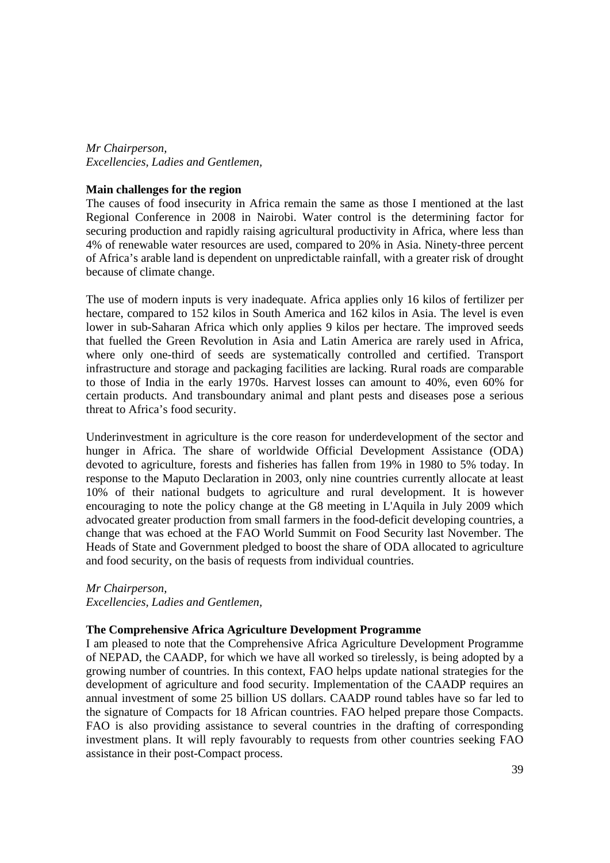*Mr Chairperson, Excellencies, Ladies and Gentlemen,* 

#### **Main challenges for the region**

The causes of food insecurity in Africa remain the same as those I mentioned at the last Regional Conference in 2008 in Nairobi. Water control is the determining factor for securing production and rapidly raising agricultural productivity in Africa, where less than 4% of renewable water resources are used, compared to 20% in Asia. Ninety-three percent of Africa's arable land is dependent on unpredictable rainfall, with a greater risk of drought because of climate change.

The use of modern inputs is very inadequate. Africa applies only 16 kilos of fertilizer per hectare, compared to 152 kilos in South America and 162 kilos in Asia. The level is even lower in sub-Saharan Africa which only applies 9 kilos per hectare. The improved seeds that fuelled the Green Revolution in Asia and Latin America are rarely used in Africa, where only one-third of seeds are systematically controlled and certified. Transport infrastructure and storage and packaging facilities are lacking. Rural roads are comparable to those of India in the early 1970s. Harvest losses can amount to 40%, even 60% for certain products. And transboundary animal and plant pests and diseases pose a serious threat to Africa's food security.

Underinvestment in agriculture is the core reason for underdevelopment of the sector and hunger in Africa. The share of worldwide Official Development Assistance (ODA) devoted to agriculture, forests and fisheries has fallen from 19% in 1980 to 5% today. In response to the Maputo Declaration in 2003, only nine countries currently allocate at least 10% of their national budgets to agriculture and rural development. It is however encouraging to note the policy change at the G8 meeting in L'Aquila in July 2009 which advocated greater production from small farmers in the food-deficit developing countries, a change that was echoed at the FAO World Summit on Food Security last November. The Heads of State and Government pledged to boost the share of ODA allocated to agriculture and food security, on the basis of requests from individual countries.

*Mr Chairperson, Excellencies, Ladies and Gentlemen,*

#### **The Comprehensive Africa Agriculture Development Programme**

I am pleased to note that the Comprehensive Africa Agriculture Development Programme of NEPAD, the CAADP, for which we have all worked so tirelessly, is being adopted by a growing number of countries. In this context, FAO helps update national strategies for the development of agriculture and food security. Implementation of the CAADP requires an annual investment of some 25 billion US dollars. CAADP round tables have so far led to the signature of Compacts for 18 African countries. FAO helped prepare those Compacts. FAO is also providing assistance to several countries in the drafting of corresponding investment plans. It will reply favourably to requests from other countries seeking FAO assistance in their post-Compact process.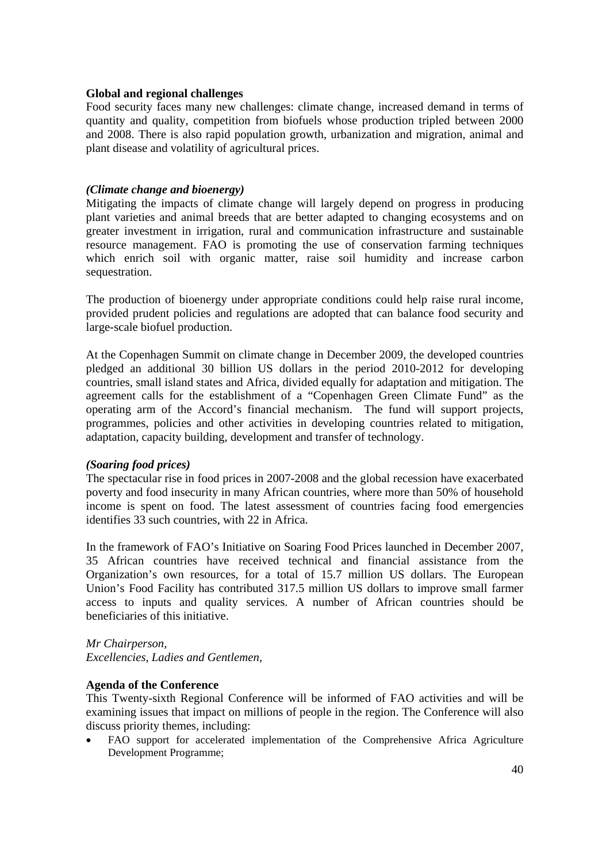#### **Global and regional challenges**

Food security faces many new challenges: climate change, increased demand in terms of quantity and quality, competition from biofuels whose production tripled between 2000 and 2008. There is also rapid population growth, urbanization and migration, animal and plant disease and volatility of agricultural prices.

## *(Climate change and bioenergy)*

Mitigating the impacts of climate change will largely depend on progress in producing plant varieties and animal breeds that are better adapted to changing ecosystems and on greater investment in irrigation, rural and communication infrastructure and sustainable resource management. FAO is promoting the use of conservation farming techniques which enrich soil with organic matter, raise soil humidity and increase carbon sequestration.

The production of bioenergy under appropriate conditions could help raise rural income, provided prudent policies and regulations are adopted that can balance food security and large-scale biofuel production.

At the Copenhagen Summit on climate change in December 2009, the developed countries pledged an additional 30 billion US dollars in the period 2010-2012 for developing countries, small island states and Africa, divided equally for adaptation and mitigation. The agreement calls for the establishment of a "Copenhagen Green Climate Fund" as the operating arm of the Accord's financial mechanism. The fund will support projects, programmes, policies and other activities in developing countries related to mitigation, adaptation, capacity building, development and transfer of technology.

## *(Soaring food prices)*

The spectacular rise in food prices in 2007-2008 and the global recession have exacerbated poverty and food insecurity in many African countries, where more than 50% of household income is spent on food. The latest assessment of countries facing food emergencies identifies 33 such countries, with 22 in Africa.

In the framework of FAO's Initiative on Soaring Food Prices launched in December 2007, 35 African countries have received technical and financial assistance from the Organization's own resources, for a total of 15.7 million US dollars. The European Union's Food Facility has contributed 317.5 million US dollars to improve small farmer access to inputs and quality services. A number of African countries should be beneficiaries of this initiative.

*Mr Chairperson, Excellencies, Ladies and Gentlemen,* 

#### **Agenda of the Conference**

This Twenty-sixth Regional Conference will be informed of FAO activities and will be examining issues that impact on millions of people in the region. The Conference will also discuss priority themes, including:

• FAO support for accelerated implementation of the Comprehensive Africa Agriculture Development Programme;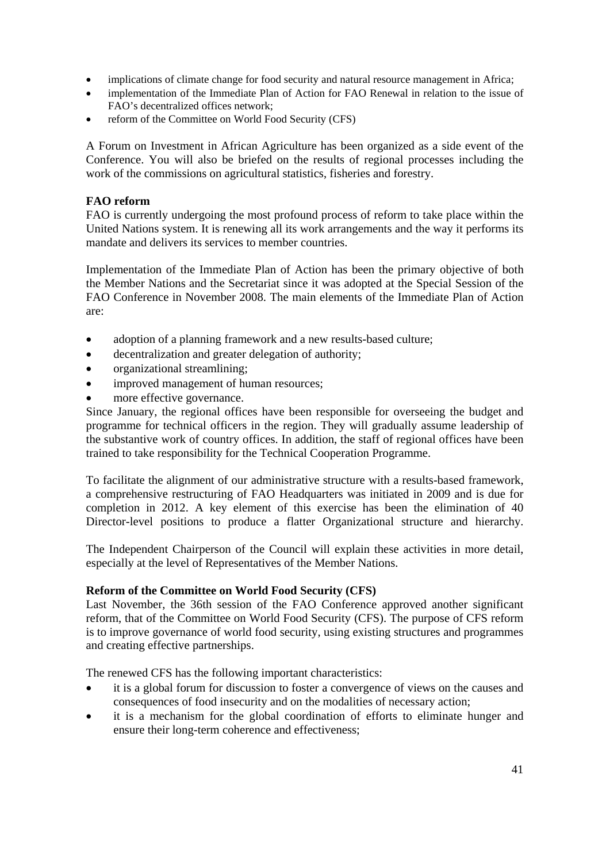- implications of climate change for food security and natural resource management in Africa;
- implementation of the Immediate Plan of Action for FAO Renewal in relation to the issue of FAO's decentralized offices network;
- reform of the Committee on World Food Security (CFS)

A Forum on Investment in African Agriculture has been organized as a side event of the Conference. You will also be briefed on the results of regional processes including the work of the commissions on agricultural statistics, fisheries and forestry.

# **FAO reform**

FAO is currently undergoing the most profound process of reform to take place within the United Nations system. It is renewing all its work arrangements and the way it performs its mandate and delivers its services to member countries.

Implementation of the Immediate Plan of Action has been the primary objective of both the Member Nations and the Secretariat since it was adopted at the Special Session of the FAO Conference in November 2008. The main elements of the Immediate Plan of Action are:

- adoption of a planning framework and a new results-based culture;
- decentralization and greater delegation of authority;
- organizational streamlining;
- improved management of human resources;
- more effective governance.

Since January, the regional offices have been responsible for overseeing the budget and programme for technical officers in the region. They will gradually assume leadership of the substantive work of country offices. In addition, the staff of regional offices have been trained to take responsibility for the Technical Cooperation Programme.

To facilitate the alignment of our administrative structure with a results-based framework, a comprehensive restructuring of FAO Headquarters was initiated in 2009 and is due for completion in 2012. A key element of this exercise has been the elimination of 40 Director-level positions to produce a flatter Organizational structure and hierarchy.

The Independent Chairperson of the Council will explain these activities in more detail, especially at the level of Representatives of the Member Nations.

# **Reform of the Committee on World Food Security (CFS)**

Last November, the 36th session of the FAO Conference approved another significant reform, that of the Committee on World Food Security (CFS). The purpose of CFS reform is to improve governance of world food security, using existing structures and programmes and creating effective partnerships.

The renewed CFS has the following important characteristics:

- it is a global forum for discussion to foster a convergence of views on the causes and consequences of food insecurity and on the modalities of necessary action;
- it is a mechanism for the global coordination of efforts to eliminate hunger and ensure their long-term coherence and effectiveness;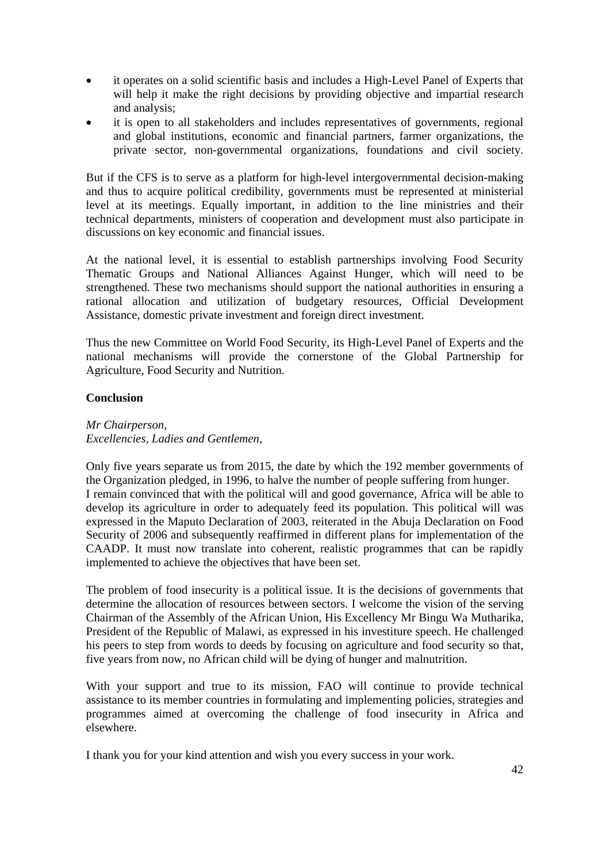- it operates on a solid scientific basis and includes a High-Level Panel of Experts that will help it make the right decisions by providing objective and impartial research and analysis;
- it is open to all stakeholders and includes representatives of governments, regional and global institutions, economic and financial partners, farmer organizations, the private sector, non-governmental organizations, foundations and civil society.

But if the CFS is to serve as a platform for high-level intergovernmental decision-making and thus to acquire political credibility, governments must be represented at ministerial level at its meetings. Equally important, in addition to the line ministries and their technical departments, ministers of cooperation and development must also participate in discussions on key economic and financial issues.

At the national level, it is essential to establish partnerships involving Food Security Thematic Groups and National Alliances Against Hunger, which will need to be strengthened. These two mechanisms should support the national authorities in ensuring a rational allocation and utilization of budgetary resources, Official Development Assistance, domestic private investment and foreign direct investment.

Thus the new Committee on World Food Security, its High-Level Panel of Experts and the national mechanisms will provide the cornerstone of the Global Partnership for Agriculture, Food Security and Nutrition.

# **Conclusion**

#### *Mr Chairperson, Excellencies, Ladies and Gentlemen,*

Only five years separate us from 2015, the date by which the 192 member governments of the Organization pledged, in 1996, to halve the number of people suffering from hunger. I remain convinced that with the political will and good governance, Africa will be able to develop its agriculture in order to adequately feed its population. This political will was expressed in the Maputo Declaration of 2003, reiterated in the Abuja Declaration on Food Security of 2006 and subsequently reaffirmed in different plans for implementation of the CAADP. It must now translate into coherent, realistic programmes that can be rapidly implemented to achieve the objectives that have been set.

The problem of food insecurity is a political issue. It is the decisions of governments that determine the allocation of resources between sectors. I welcome the vision of the serving Chairman of the Assembly of the African Union, His Excellency Mr Bingu Wa Mutharika, President of the Republic of Malawi, as expressed in his investiture speech. He challenged his peers to step from words to deeds by focusing on agriculture and food security so that, five years from now, no African child will be dying of hunger and malnutrition.

With your support and true to its mission, FAO will continue to provide technical assistance to its member countries in formulating and implementing policies, strategies and programmes aimed at overcoming the challenge of food insecurity in Africa and elsewhere.

I thank you for your kind attention and wish you every success in your work.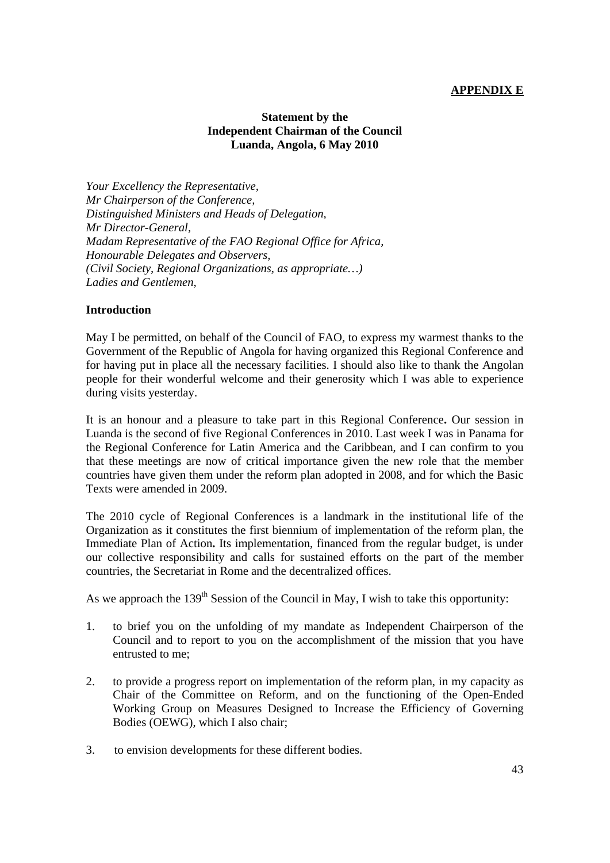# **APPENDIX E**

# **Statement by the Independent Chairman of the Council Luanda, Angola, 6 May 2010**

*Your Excellency the Representative, Mr Chairperson of the Conference, Distinguished Ministers and Heads of Delegation, Mr Director-General, Madam Representative of the FAO Regional Office for Africa, Honourable Delegates and Observers, (Civil Society, Regional Organizations, as appropriate…) Ladies and Gentlemen,*

#### **Introduction**

May I be permitted, on behalf of the Council of FAO, to express my warmest thanks to the Government of the Republic of Angola for having organized this Regional Conference and for having put in place all the necessary facilities. I should also like to thank the Angolan people for their wonderful welcome and their generosity which I was able to experience during visits yesterday.

It is an honour and a pleasure to take part in this Regional Conference**.** Our session in Luanda is the second of five Regional Conferences in 2010. Last week I was in Panama for the Regional Conference for Latin America and the Caribbean, and I can confirm to you that these meetings are now of critical importance given the new role that the member countries have given them under the reform plan adopted in 2008, and for which the Basic Texts were amended in 2009.

The 2010 cycle of Regional Conferences is a landmark in the institutional life of the Organization as it constitutes the first biennium of implementation of the reform plan, the Immediate Plan of Action**.** Its implementation, financed from the regular budget, is under our collective responsibility and calls for sustained efforts on the part of the member countries, the Secretariat in Rome and the decentralized offices.

As we approach the  $139<sup>th</sup>$  Session of the Council in May, I wish to take this opportunity:

- 1. to brief you on the unfolding of my mandate as Independent Chairperson of the Council and to report to you on the accomplishment of the mission that you have entrusted to me;
- 2. to provide a progress report on implementation of the reform plan, in my capacity as Chair of the Committee on Reform, and on the functioning of the Open-Ended Working Group on Measures Designed to Increase the Efficiency of Governing Bodies (OEWG), which I also chair;
- 3. to envision developments for these different bodies.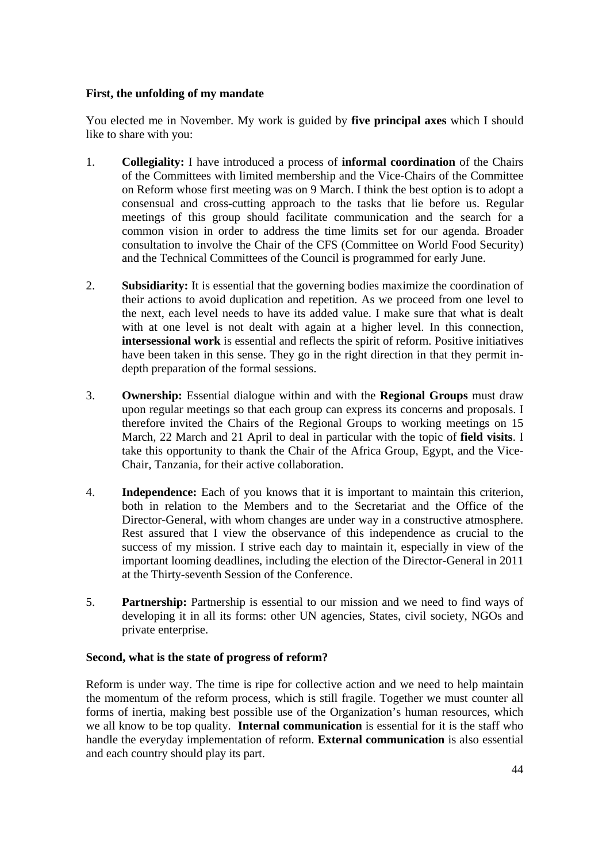## **First, the unfolding of my mandate**

You elected me in November. My work is guided by **five principal axes** which I should like to share with you:

- 1. **Collegiality:** I have introduced a process of **informal coordination** of the Chairs of the Committees with limited membership and the Vice-Chairs of the Committee on Reform whose first meeting was on 9 March. I think the best option is to adopt a consensual and cross-cutting approach to the tasks that lie before us. Regular meetings of this group should facilitate communication and the search for a common vision in order to address the time limits set for our agenda. Broader consultation to involve the Chair of the CFS (Committee on World Food Security) and the Technical Committees of the Council is programmed for early June.
- 2. **Subsidiarity:** It is essential that the governing bodies maximize the coordination of their actions to avoid duplication and repetition. As we proceed from one level to the next, each level needs to have its added value. I make sure that what is dealt with at one level is not dealt with again at a higher level. In this connection, **intersessional work** is essential and reflects the spirit of reform. Positive initiatives have been taken in this sense. They go in the right direction in that they permit indepth preparation of the formal sessions.
- 3. **Ownership:** Essential dialogue within and with the **Regional Groups** must draw upon regular meetings so that each group can express its concerns and proposals. I therefore invited the Chairs of the Regional Groups to working meetings on 15 March, 22 March and 21 April to deal in particular with the topic of **field visits**. I take this opportunity to thank the Chair of the Africa Group, Egypt, and the Vice-Chair, Tanzania, for their active collaboration.
- 4. **Independence:** Each of you knows that it is important to maintain this criterion, both in relation to the Members and to the Secretariat and the Office of the Director-General, with whom changes are under way in a constructive atmosphere. Rest assured that I view the observance of this independence as crucial to the success of my mission. I strive each day to maintain it, especially in view of the important looming deadlines, including the election of the Director-General in 2011 at the Thirty-seventh Session of the Conference.
- 5. **Partnership:** Partnership is essential to our mission and we need to find ways of developing it in all its forms: other UN agencies, States, civil society, NGOs and private enterprise.

## **Second, what is the state of progress of reform?**

Reform is under way. The time is ripe for collective action and we need to help maintain the momentum of the reform process, which is still fragile. Together we must counter all forms of inertia, making best possible use of the Organization's human resources, which we all know to be top quality. **Internal communication** is essential for it is the staff who handle the everyday implementation of reform. **External communication** is also essential and each country should play its part.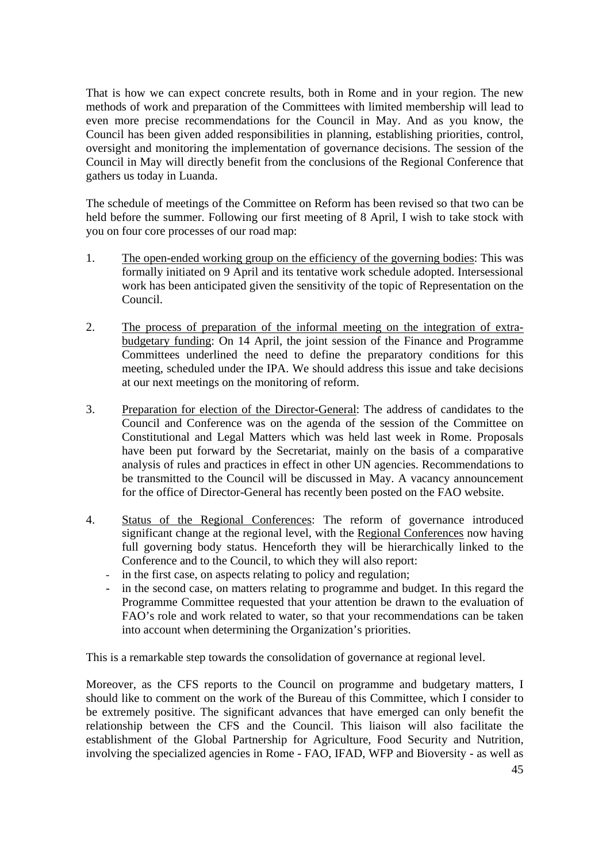That is how we can expect concrete results, both in Rome and in your region. The new methods of work and preparation of the Committees with limited membership will lead to even more precise recommendations for the Council in May. And as you know, the Council has been given added responsibilities in planning, establishing priorities, control, oversight and monitoring the implementation of governance decisions. The session of the Council in May will directly benefit from the conclusions of the Regional Conference that gathers us today in Luanda.

The schedule of meetings of the Committee on Reform has been revised so that two can be held before the summer. Following our first meeting of 8 April, I wish to take stock with you on four core processes of our road map:

- 1. The open-ended working group on the efficiency of the governing bodies: This was formally initiated on 9 April and its tentative work schedule adopted. Intersessional work has been anticipated given the sensitivity of the topic of Representation on the Council.
- 2. The process of preparation of the informal meeting on the integration of extrabudgetary funding: On 14 April, the joint session of the Finance and Programme Committees underlined the need to define the preparatory conditions for this meeting, scheduled under the IPA. We should address this issue and take decisions at our next meetings on the monitoring of reform.
- 3. Preparation for election of the Director-General: The address of candidates to the Council and Conference was on the agenda of the session of the Committee on Constitutional and Legal Matters which was held last week in Rome. Proposals have been put forward by the Secretariat, mainly on the basis of a comparative analysis of rules and practices in effect in other UN agencies. Recommendations to be transmitted to the Council will be discussed in May. A vacancy announcement for the office of Director-General has recently been posted on the FAO website.
- 4. Status of the Regional Conferences: The reform of governance introduced significant change at the regional level, with the Regional Conferences now having full governing body status. Henceforth they will be hierarchically linked to the Conference and to the Council, to which they will also report:
	- in the first case, on aspects relating to policy and regulation;
	- in the second case, on matters relating to programme and budget. In this regard the Programme Committee requested that your attention be drawn to the evaluation of FAO's role and work related to water, so that your recommendations can be taken into account when determining the Organization's priorities.

This is a remarkable step towards the consolidation of governance at regional level.

Moreover, as the CFS reports to the Council on programme and budgetary matters, I should like to comment on the work of the Bureau of this Committee, which I consider to be extremely positive. The significant advances that have emerged can only benefit the relationship between the CFS and the Council. This liaison will also facilitate the establishment of the Global Partnership for Agriculture, Food Security and Nutrition, involving the specialized agencies in Rome - FAO, IFAD, WFP and Bioversity - as well as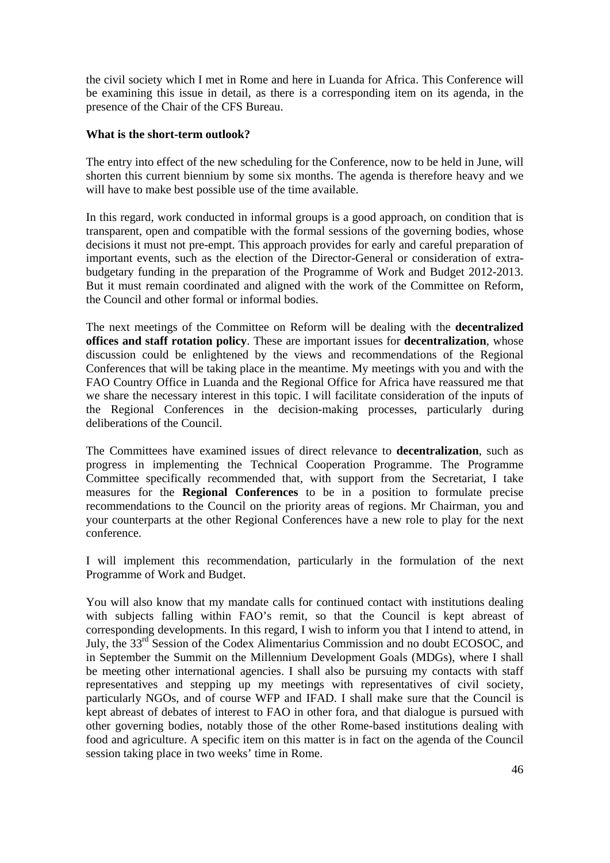the civil society which I met in Rome and here in Luanda for Africa. This Conference will be examining this issue in detail, as there is a corresponding item on its agenda, in the presence of the Chair of the CFS Bureau.

## **What is the short-term outlook?**

The entry into effect of the new scheduling for the Conference, now to be held in June, will shorten this current biennium by some six months. The agenda is therefore heavy and we will have to make best possible use of the time available.

In this regard, work conducted in informal groups is a good approach, on condition that is transparent, open and compatible with the formal sessions of the governing bodies, whose decisions it must not pre-empt. This approach provides for early and careful preparation of important events, such as the election of the Director-General or consideration of extrabudgetary funding in the preparation of the Programme of Work and Budget 2012-2013. But it must remain coordinated and aligned with the work of the Committee on Reform, the Council and other formal or informal bodies.

The next meetings of the Committee on Reform will be dealing with the **decentralized offices and staff rotation policy**. These are important issues for **decentralization**, whose discussion could be enlightened by the views and recommendations of the Regional Conferences that will be taking place in the meantime. My meetings with you and with the FAO Country Office in Luanda and the Regional Office for Africa have reassured me that we share the necessary interest in this topic. I will facilitate consideration of the inputs of the Regional Conferences in the decision-making processes, particularly during deliberations of the Council.

The Committees have examined issues of direct relevance to **decentralization**, such as progress in implementing the Technical Cooperation Programme. The Programme Committee specifically recommended that, with support from the Secretariat, I take measures for the **Regional Conferences** to be in a position to formulate precise recommendations to the Council on the priority areas of regions. Mr Chairman, you and your counterparts at the other Regional Conferences have a new role to play for the next conference.

I will implement this recommendation, particularly in the formulation of the next Programme of Work and Budget.

You will also know that my mandate calls for continued contact with institutions dealing with subjects falling within FAO's remit, so that the Council is kept abreast of corresponding developments. In this regard, I wish to inform you that I intend to attend, in July, the 33<sup>rd</sup> Session of the Codex Alimentarius Commission and no doubt ECOSOC, and in September the Summit on the Millennium Development Goals (MDGs), where I shall be meeting other international agencies. I shall also be pursuing my contacts with staff representatives and stepping up my meetings with representatives of civil society, particularly NGOs, and of course WFP and IFAD. I shall make sure that the Council is kept abreast of debates of interest to FAO in other fora, and that dialogue is pursued with other governing bodies, notably those of the other Rome-based institutions dealing with food and agriculture. A specific item on this matter is in fact on the agenda of the Council session taking place in two weeks' time in Rome.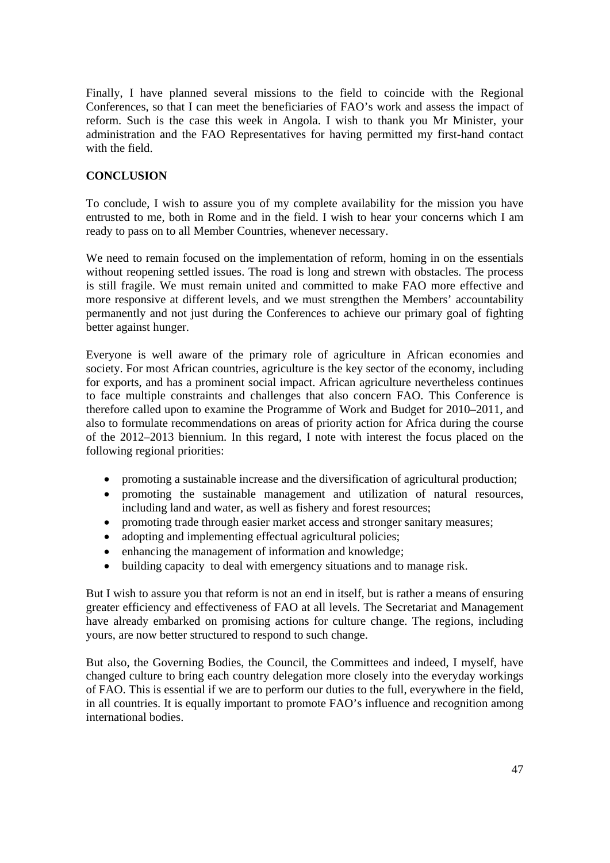Finally, I have planned several missions to the field to coincide with the Regional Conferences, so that I can meet the beneficiaries of FAO's work and assess the impact of reform. Such is the case this week in Angola. I wish to thank you Mr Minister, your administration and the FAO Representatives for having permitted my first-hand contact with the field.

# **CONCLUSION**

To conclude, I wish to assure you of my complete availability for the mission you have entrusted to me, both in Rome and in the field. I wish to hear your concerns which I am ready to pass on to all Member Countries, whenever necessary.

We need to remain focused on the implementation of reform, homing in on the essentials without reopening settled issues. The road is long and strewn with obstacles. The process is still fragile. We must remain united and committed to make FAO more effective and more responsive at different levels, and we must strengthen the Members' accountability permanently and not just during the Conferences to achieve our primary goal of fighting better against hunger.

Everyone is well aware of the primary role of agriculture in African economies and society. For most African countries, agriculture is the key sector of the economy, including for exports, and has a prominent social impact. African agriculture nevertheless continues to face multiple constraints and challenges that also concern FAO. This Conference is therefore called upon to examine the Programme of Work and Budget for 2010–2011, and also to formulate recommendations on areas of priority action for Africa during the course of the 2012–2013 biennium. In this regard, I note with interest the focus placed on the following regional priorities:

- promoting a sustainable increase and the diversification of agricultural production;
- promoting the sustainable management and utilization of natural resources, including land and water, as well as fishery and forest resources;
- promoting trade through easier market access and stronger sanitary measures;
- adopting and implementing effectual agricultural policies;
- enhancing the management of information and knowledge;
- building capacity to deal with emergency situations and to manage risk.

But I wish to assure you that reform is not an end in itself, but is rather a means of ensuring greater efficiency and effectiveness of FAO at all levels. The Secretariat and Management have already embarked on promising actions for culture change. The regions, including yours, are now better structured to respond to such change.

But also, the Governing Bodies, the Council, the Committees and indeed, I myself, have changed culture to bring each country delegation more closely into the everyday workings of FAO. This is essential if we are to perform our duties to the full, everywhere in the field, in all countries. It is equally important to promote FAO's influence and recognition among international bodies.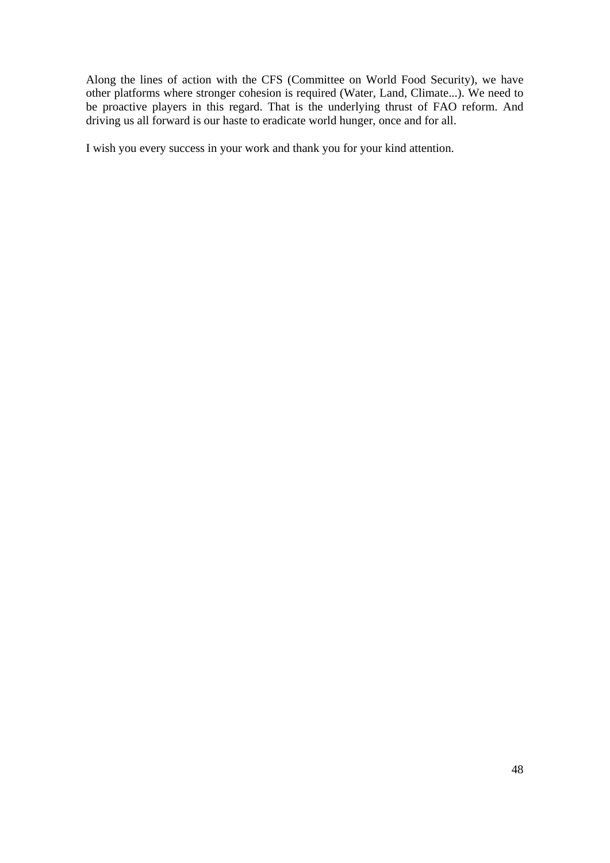Along the lines of action with the CFS (Committee on World Food Security), we have other platforms where stronger cohesion is required (Water, Land, Climate...). We need to be proactive players in this regard. That is the underlying thrust of FAO reform. And driving us all forward is our haste to eradicate world hunger, once and for all.

I wish you every success in your work and thank you for your kind attention.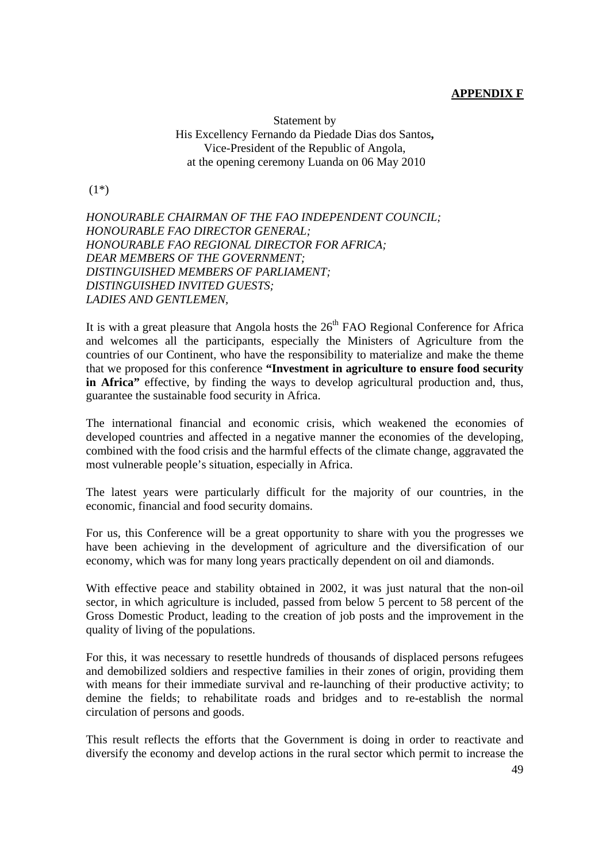## **APPENDIX F**

Statement by His Excellency Fernando da Piedade Dias dos Santos**,**  Vice-President of the Republic of Angola, at the opening ceremony Luanda on 06 May 2010

(1\*)

*HONOURABLE CHAIRMAN OF THE FAO INDEPENDENT COUNCIL; HONOURABLE FAO DIRECTOR GENERAL; HONOURABLE FAO REGIONAL DIRECTOR FOR AFRICA; DEAR MEMBERS OF THE GOVERNMENT; DISTINGUISHED MEMBERS OF PARLIAMENT; DISTINGUISHED INVITED GUESTS; LADIES AND GENTLEMEN,* 

It is with a great pleasure that Angola hosts the  $26<sup>th</sup>$  FAO Regional Conference for Africa and welcomes all the participants, especially the Ministers of Agriculture from the countries of our Continent, who have the responsibility to materialize and make the theme that we proposed for this conference **"Investment in agriculture to ensure food security in Africa"** effective, by finding the ways to develop agricultural production and, thus, guarantee the sustainable food security in Africa.

The international financial and economic crisis, which weakened the economies of developed countries and affected in a negative manner the economies of the developing, combined with the food crisis and the harmful effects of the climate change, aggravated the most vulnerable people's situation, especially in Africa.

The latest years were particularly difficult for the majority of our countries, in the economic, financial and food security domains.

For us, this Conference will be a great opportunity to share with you the progresses we have been achieving in the development of agriculture and the diversification of our economy, which was for many long years practically dependent on oil and diamonds.

With effective peace and stability obtained in 2002, it was just natural that the non-oil sector, in which agriculture is included, passed from below 5 percent to 58 percent of the Gross Domestic Product, leading to the creation of job posts and the improvement in the quality of living of the populations.

For this, it was necessary to resettle hundreds of thousands of displaced persons refugees and demobilized soldiers and respective families in their zones of origin, providing them with means for their immediate survival and re-launching of their productive activity; to demine the fields; to rehabilitate roads and bridges and to re-establish the normal circulation of persons and goods.

This result reflects the efforts that the Government is doing in order to reactivate and diversify the economy and develop actions in the rural sector which permit to increase the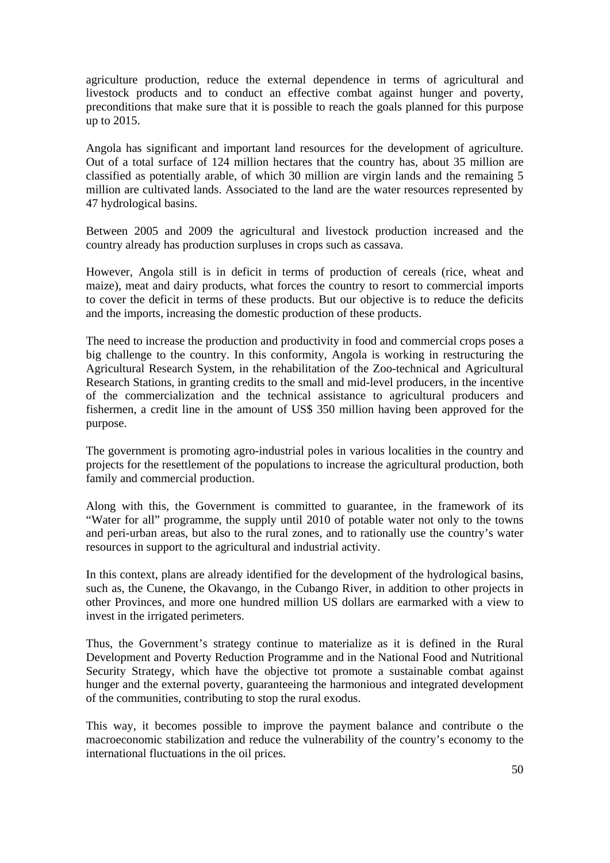agriculture production, reduce the external dependence in terms of agricultural and livestock products and to conduct an effective combat against hunger and poverty, preconditions that make sure that it is possible to reach the goals planned for this purpose up to 2015.

Angola has significant and important land resources for the development of agriculture. Out of a total surface of 124 million hectares that the country has, about 35 million are classified as potentially arable, of which 30 million are virgin lands and the remaining 5 million are cultivated lands. Associated to the land are the water resources represented by 47 hydrological basins.

Between 2005 and 2009 the agricultural and livestock production increased and the country already has production surpluses in crops such as cassava.

However, Angola still is in deficit in terms of production of cereals (rice, wheat and maize), meat and dairy products, what forces the country to resort to commercial imports to cover the deficit in terms of these products. But our objective is to reduce the deficits and the imports, increasing the domestic production of these products.

The need to increase the production and productivity in food and commercial crops poses a big challenge to the country. In this conformity, Angola is working in restructuring the Agricultural Research System, in the rehabilitation of the Zoo-technical and Agricultural Research Stations, in granting credits to the small and mid-level producers, in the incentive of the commercialization and the technical assistance to agricultural producers and fishermen, a credit line in the amount of US\$ 350 million having been approved for the purpose.

The government is promoting agro-industrial poles in various localities in the country and projects for the resettlement of the populations to increase the agricultural production, both family and commercial production.

Along with this, the Government is committed to guarantee, in the framework of its "Water for all" programme, the supply until 2010 of potable water not only to the towns and peri-urban areas, but also to the rural zones, and to rationally use the country's water resources in support to the agricultural and industrial activity.

In this context, plans are already identified for the development of the hydrological basins, such as, the Cunene, the Okavango, in the Cubango River, in addition to other projects in other Provinces, and more one hundred million US dollars are earmarked with a view to invest in the irrigated perimeters.

Thus, the Government's strategy continue to materialize as it is defined in the Rural Development and Poverty Reduction Programme and in the National Food and Nutritional Security Strategy, which have the objective tot promote a sustainable combat against hunger and the external poverty, guaranteeing the harmonious and integrated development of the communities, contributing to stop the rural exodus.

This way, it becomes possible to improve the payment balance and contribute o the macroeconomic stabilization and reduce the vulnerability of the country's economy to the international fluctuations in the oil prices.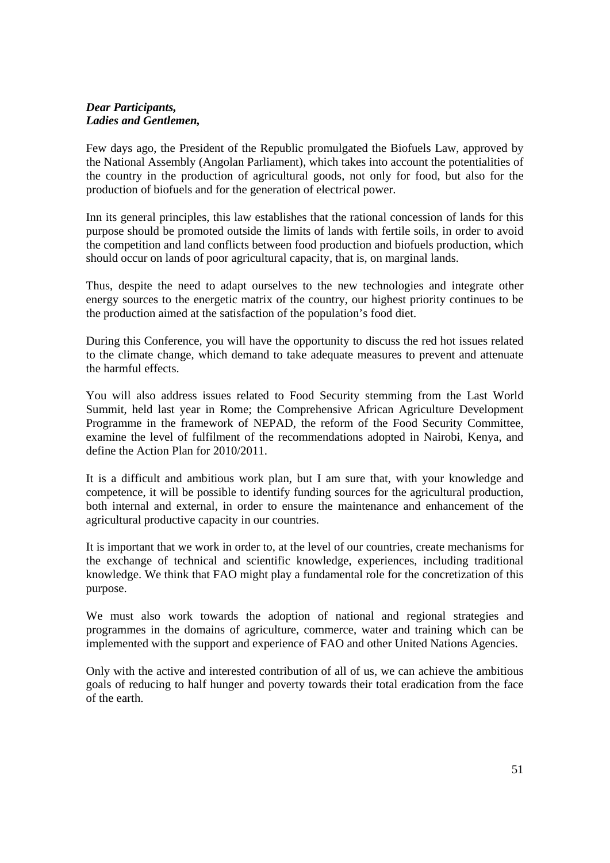#### *Dear Participants, Ladies and Gentlemen,*

Few days ago, the President of the Republic promulgated the Biofuels Law, approved by the National Assembly (Angolan Parliament), which takes into account the potentialities of the country in the production of agricultural goods, not only for food, but also for the production of biofuels and for the generation of electrical power.

Inn its general principles, this law establishes that the rational concession of lands for this purpose should be promoted outside the limits of lands with fertile soils, in order to avoid the competition and land conflicts between food production and biofuels production, which should occur on lands of poor agricultural capacity, that is, on marginal lands.

Thus, despite the need to adapt ourselves to the new technologies and integrate other energy sources to the energetic matrix of the country, our highest priority continues to be the production aimed at the satisfaction of the population's food diet.

During this Conference, you will have the opportunity to discuss the red hot issues related to the climate change, which demand to take adequate measures to prevent and attenuate the harmful effects.

You will also address issues related to Food Security stemming from the Last World Summit, held last year in Rome; the Comprehensive African Agriculture Development Programme in the framework of NEPAD, the reform of the Food Security Committee, examine the level of fulfilment of the recommendations adopted in Nairobi, Kenya, and define the Action Plan for 2010/2011.

It is a difficult and ambitious work plan, but I am sure that, with your knowledge and competence, it will be possible to identify funding sources for the agricultural production, both internal and external, in order to ensure the maintenance and enhancement of the agricultural productive capacity in our countries.

It is important that we work in order to, at the level of our countries, create mechanisms for the exchange of technical and scientific knowledge, experiences, including traditional knowledge. We think that FAO might play a fundamental role for the concretization of this purpose.

We must also work towards the adoption of national and regional strategies and programmes in the domains of agriculture, commerce, water and training which can be implemented with the support and experience of FAO and other United Nations Agencies.

Only with the active and interested contribution of all of us, we can achieve the ambitious goals of reducing to half hunger and poverty towards their total eradication from the face of the earth.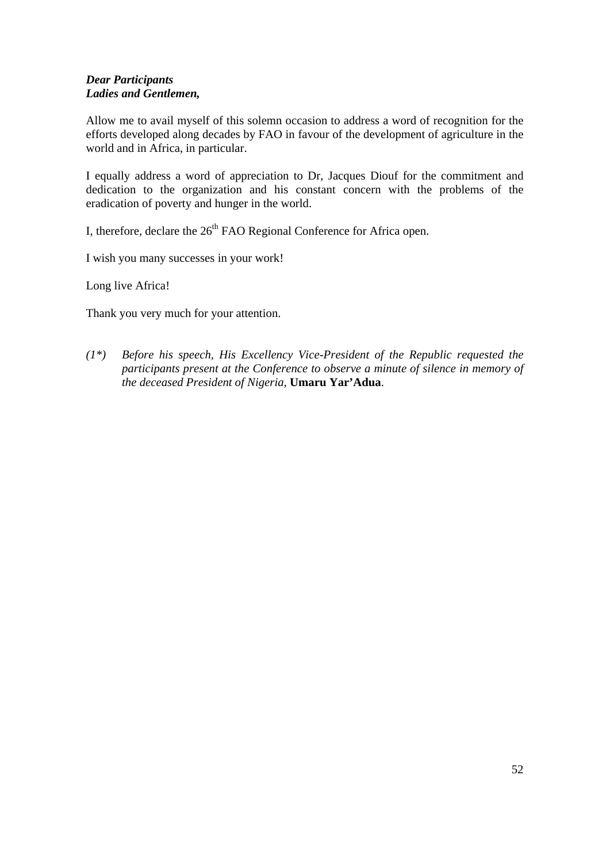# *Dear Participants Ladies and Gentlemen,*

Allow me to avail myself of this solemn occasion to address a word of recognition for the efforts developed along decades by FAO in favour of the development of agriculture in the world and in Africa, in particular.

I equally address a word of appreciation to Dr, Jacques Diouf for the commitment and dedication to the organization and his constant concern with the problems of the eradication of poverty and hunger in the world.

I, therefore, declare the  $26<sup>th</sup>$  FAO Regional Conference for Africa open.

I wish you many successes in your work!

Long live Africa!

Thank you very much for your attention.

*(1\*) Before his speech, His Excellency Vice-President of the Republic requested the participants present at the Conference to observe a minute of silence in memory of the deceased President of Nigeria,* **Umaru Yar'Adua**.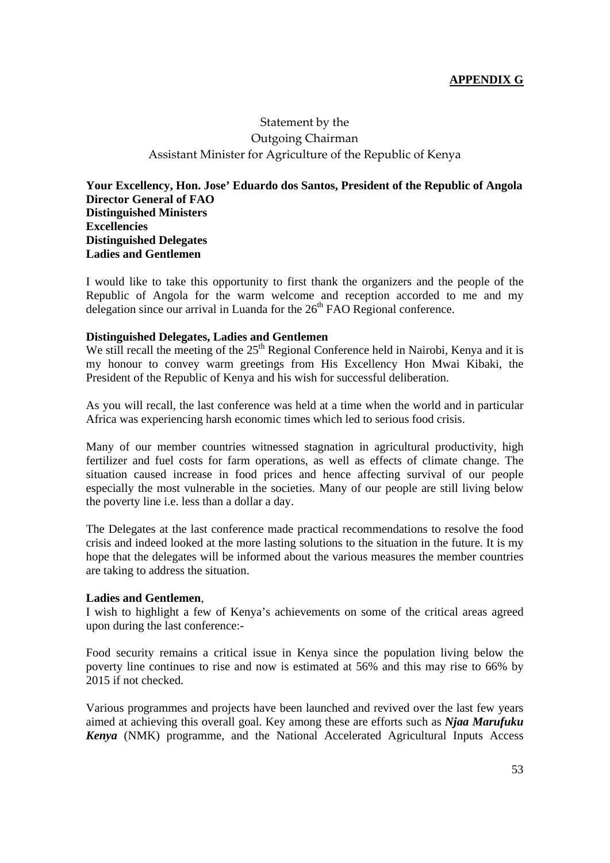# **APPENDIX G**

# Statement by the Outgoing Chairman Assistant Minister for Agriculture of the Republic of Kenya

**Your Excellency, Hon. Jose' Eduardo dos Santos, President of the Republic of Angola Director General of FAO Distinguished Ministers Excellencies Distinguished Delegates Ladies and Gentlemen** 

I would like to take this opportunity to first thank the organizers and the people of the Republic of Angola for the warm welcome and reception accorded to me and my delegation since our arrival in Luanda for the  $26<sup>th</sup>$  FAO Regional conference.

#### **Distinguished Delegates, Ladies and Gentlemen**

We still recall the meeting of the 25<sup>th</sup> Regional Conference held in Nairobi, Kenya and it is my honour to convey warm greetings from His Excellency Hon Mwai Kibaki, the President of the Republic of Kenya and his wish for successful deliberation.

As you will recall, the last conference was held at a time when the world and in particular Africa was experiencing harsh economic times which led to serious food crisis.

Many of our member countries witnessed stagnation in agricultural productivity, high fertilizer and fuel costs for farm operations, as well as effects of climate change. The situation caused increase in food prices and hence affecting survival of our people especially the most vulnerable in the societies. Many of our people are still living below the poverty line i.e. less than a dollar a day.

The Delegates at the last conference made practical recommendations to resolve the food crisis and indeed looked at the more lasting solutions to the situation in the future. It is my hope that the delegates will be informed about the various measures the member countries are taking to address the situation.

#### **Ladies and Gentlemen**,

I wish to highlight a few of Kenya's achievements on some of the critical areas agreed upon during the last conference:-

Food security remains a critical issue in Kenya since the population living below the poverty line continues to rise and now is estimated at 56% and this may rise to 66% by 2015 if not checked.

Various programmes and projects have been launched and revived over the last few years aimed at achieving this overall goal. Key among these are efforts such as *Njaa Marufuku Kenya* (NMK) programme, and the National Accelerated Agricultural Inputs Access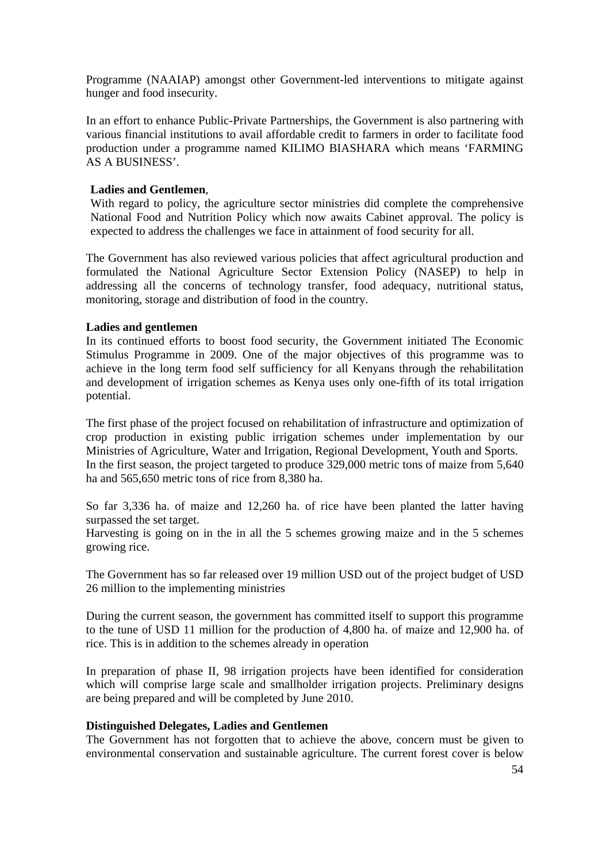Programme (NAAIAP) amongst other Government-led interventions to mitigate against hunger and food insecurity.

In an effort to enhance Public-Private Partnerships, the Government is also partnering with various financial institutions to avail affordable credit to farmers in order to facilitate food production under a programme named KILIMO BIASHARA which means 'FARMING AS A BUSINESS'.

#### **Ladies and Gentlemen**,

With regard to policy, the agriculture sector ministries did complete the comprehensive National Food and Nutrition Policy which now awaits Cabinet approval. The policy is expected to address the challenges we face in attainment of food security for all.

The Government has also reviewed various policies that affect agricultural production and formulated the National Agriculture Sector Extension Policy (NASEP) to help in addressing all the concerns of technology transfer, food adequacy, nutritional status, monitoring, storage and distribution of food in the country.

#### **Ladies and gentlemen**

In its continued efforts to boost food security, the Government initiated The Economic Stimulus Programme in 2009. One of the major objectives of this programme was to achieve in the long term food self sufficiency for all Kenyans through the rehabilitation and development of irrigation schemes as Kenya uses only one-fifth of its total irrigation potential.

The first phase of the project focused on rehabilitation of infrastructure and optimization of crop production in existing public irrigation schemes under implementation by our Ministries of Agriculture, Water and Irrigation, Regional Development, Youth and Sports. In the first season, the project targeted to produce 329,000 metric tons of maize from 5,640 ha and 565,650 metric tons of rice from 8,380 ha.

So far 3,336 ha. of maize and 12,260 ha. of rice have been planted the latter having surpassed the set target.

Harvesting is going on in the in all the 5 schemes growing maize and in the 5 schemes growing rice.

The Government has so far released over 19 million USD out of the project budget of USD 26 million to the implementing ministries

During the current season, the government has committed itself to support this programme to the tune of USD 11 million for the production of 4,800 ha. of maize and 12,900 ha. of rice. This is in addition to the schemes already in operation

In preparation of phase II, 98 irrigation projects have been identified for consideration which will comprise large scale and smallholder irrigation projects. Preliminary designs are being prepared and will be completed by June 2010.

#### **Distinguished Delegates, Ladies and Gentlemen**

The Government has not forgotten that to achieve the above, concern must be given to environmental conservation and sustainable agriculture. The current forest cover is below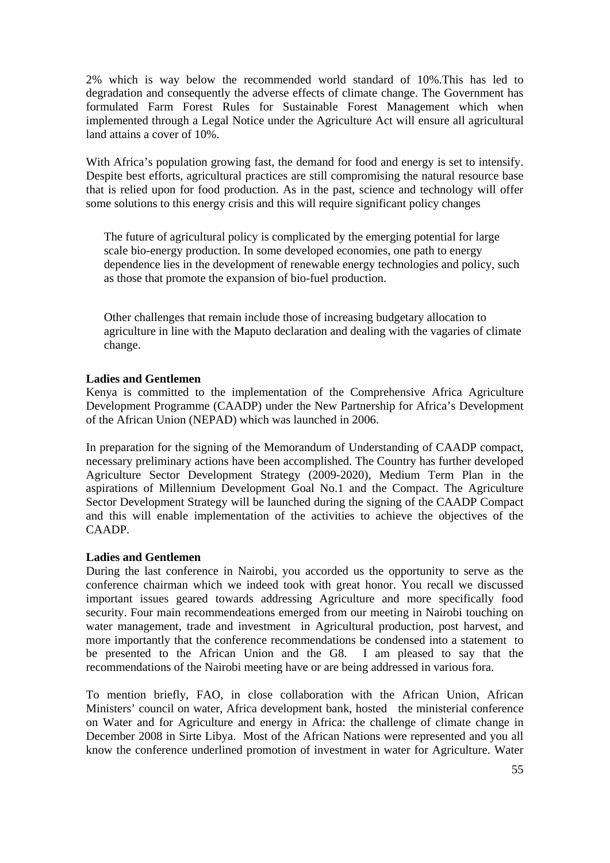2% which is way below the recommended world standard of 10%.This has led to degradation and consequently the adverse effects of climate change. The Government has formulated Farm Forest Rules for Sustainable Forest Management which when implemented through a Legal Notice under the Agriculture Act will ensure all agricultural land attains a cover of 10%.

With Africa's population growing fast, the demand for food and energy is set to intensify. Despite best efforts, agricultural practices are still compromising the natural resource base that is relied upon for food production. As in the past, science and technology will offer some solutions to this energy crisis and this will require significant policy changes

The future of agricultural policy is complicated by the emerging potential for large scale bio-energy production. In some developed economies, one path to energy dependence lies in the development of renewable energy technologies and policy, such as those that promote the expansion of bio-fuel production.

Other challenges that remain include those of increasing budgetary allocation to agriculture in line with the Maputo declaration and dealing with the vagaries of climate change.

## **Ladies and Gentlemen**

Kenya is committed to the implementation of the Comprehensive Africa Agriculture Development Programme (CAADP) under the New Partnership for Africa's Development of the African Union (NEPAD) which was launched in 2006.

In preparation for the signing of the Memorandum of Understanding of CAADP compact, necessary preliminary actions have been accomplished. The Country has further developed Agriculture Sector Development Strategy (2009-2020), Medium Term Plan in the aspirations of Millennium Development Goal No.1 and the Compact. The Agriculture Sector Development Strategy will be launched during the signing of the CAADP Compact and this will enable implementation of the activities to achieve the objectives of the CAADP.

#### **Ladies and Gentlemen**

During the last conference in Nairobi, you accorded us the opportunity to serve as the conference chairman which we indeed took with great honor. You recall we discussed important issues geared towards addressing Agriculture and more specifically food security. Four main recommendeations emerged from our meeting in Nairobi touching on water management, trade and investment in Agricultural production, post harvest, and more importantly that the conference recommendations be condensed into a statement to be presented to the African Union and the G8. I am pleased to say that the recommendations of the Nairobi meeting have or are being addressed in various fora.

To mention briefly, FAO, in close collaboration with the African Union, African Ministers' council on water, Africa development bank, hosted the ministerial conference on Water and for Agriculture and energy in Africa: the challenge of climate change in December 2008 in Sirte Libya. Most of the African Nations were represented and you all know the conference underlined promotion of investment in water for Agriculture. Water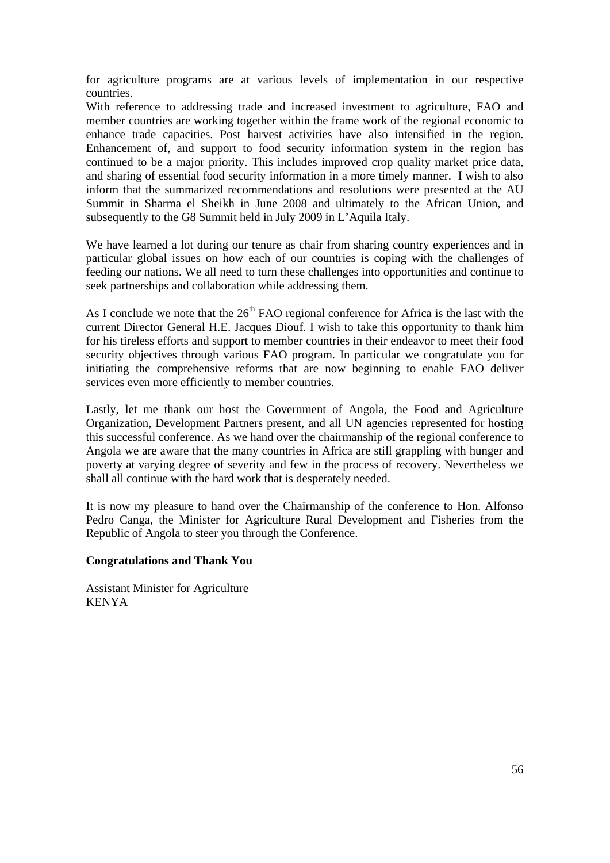for agriculture programs are at various levels of implementation in our respective countries.

With reference to addressing trade and increased investment to agriculture, FAO and member countries are working together within the frame work of the regional economic to enhance trade capacities. Post harvest activities have also intensified in the region. Enhancement of, and support to food security information system in the region has continued to be a major priority. This includes improved crop quality market price data, and sharing of essential food security information in a more timely manner. I wish to also inform that the summarized recommendations and resolutions were presented at the AU Summit in Sharma el Sheikh in June 2008 and ultimately to the African Union, and subsequently to the G8 Summit held in July 2009 in L'Aquila Italy.

We have learned a lot during our tenure as chair from sharing country experiences and in particular global issues on how each of our countries is coping with the challenges of feeding our nations. We all need to turn these challenges into opportunities and continue to seek partnerships and collaboration while addressing them.

As I conclude we note that the  $26<sup>th</sup>$  FAO regional conference for Africa is the last with the current Director General H.E. Jacques Diouf. I wish to take this opportunity to thank him for his tireless efforts and support to member countries in their endeavor to meet their food security objectives through various FAO program. In particular we congratulate you for initiating the comprehensive reforms that are now beginning to enable FAO deliver services even more efficiently to member countries.

Lastly, let me thank our host the Government of Angola, the Food and Agriculture Organization, Development Partners present, and all UN agencies represented for hosting this successful conference. As we hand over the chairmanship of the regional conference to Angola we are aware that the many countries in Africa are still grappling with hunger and poverty at varying degree of severity and few in the process of recovery. Nevertheless we shall all continue with the hard work that is desperately needed.

It is now my pleasure to hand over the Chairmanship of the conference to Hon. Alfonso Pedro Canga, the Minister for Agriculture Rural Development and Fisheries from the Republic of Angola to steer you through the Conference.

## **Congratulations and Thank You**

Assistant Minister for Agriculture KENYA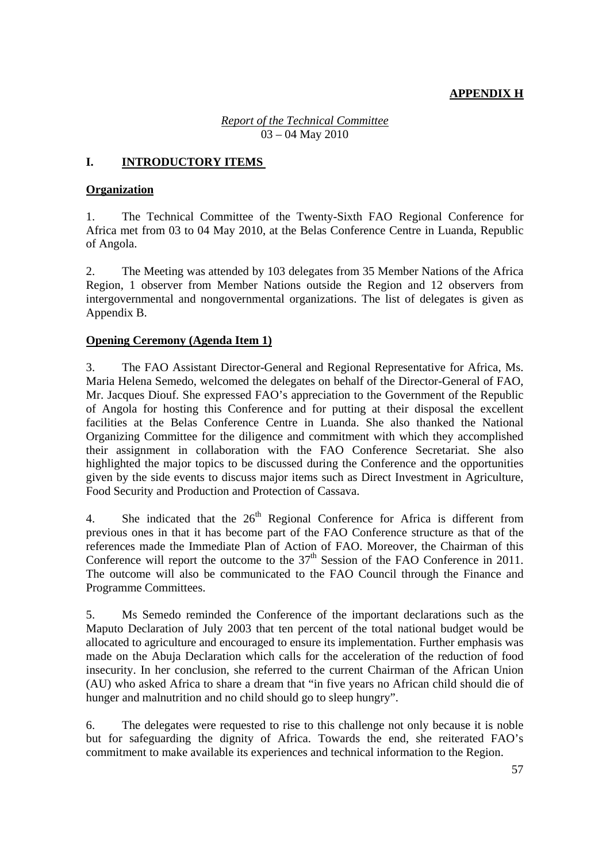# **APPENDIX H**

*Report of the Technical Committee* 03 – 04 May 2010

# **I. INTRODUCTORY ITEMS**

## **Organization**

1. The Technical Committee of the Twenty-Sixth FAO Regional Conference for Africa met from 03 to 04 May 2010, at the Belas Conference Centre in Luanda, Republic of Angola.

2. The Meeting was attended by 103 delegates from 35 Member Nations of the Africa Region, 1 observer from Member Nations outside the Region and 12 observers from intergovernmental and nongovernmental organizations. The list of delegates is given as Appendix B.

# **Opening Ceremony (Agenda Item 1)**

3. The FAO Assistant Director-General and Regional Representative for Africa, Ms. Maria Helena Semedo, welcomed the delegates on behalf of the Director-General of FAO, Mr. Jacques Diouf. She expressed FAO's appreciation to the Government of the Republic of Angola for hosting this Conference and for putting at their disposal the excellent facilities at the Belas Conference Centre in Luanda. She also thanked the National Organizing Committee for the diligence and commitment with which they accomplished their assignment in collaboration with the FAO Conference Secretariat. She also highlighted the major topics to be discussed during the Conference and the opportunities given by the side events to discuss major items such as Direct Investment in Agriculture, Food Security and Production and Protection of Cassava.

4. She indicated that the  $26<sup>th</sup>$  Regional Conference for Africa is different from previous ones in that it has become part of the FAO Conference structure as that of the references made the Immediate Plan of Action of FAO. Moreover, the Chairman of this Conference will report the outcome to the  $37<sup>th</sup>$  Session of the FAO Conference in 2011. The outcome will also be communicated to the FAO Council through the Finance and Programme Committees.

5. Ms Semedo reminded the Conference of the important declarations such as the Maputo Declaration of July 2003 that ten percent of the total national budget would be allocated to agriculture and encouraged to ensure its implementation. Further emphasis was made on the Abuja Declaration which calls for the acceleration of the reduction of food insecurity. In her conclusion, she referred to the current Chairman of the African Union (AU) who asked Africa to share a dream that "in five years no African child should die of hunger and malnutrition and no child should go to sleep hungry".

6. The delegates were requested to rise to this challenge not only because it is noble but for safeguarding the dignity of Africa. Towards the end, she reiterated FAO's commitment to make available its experiences and technical information to the Region.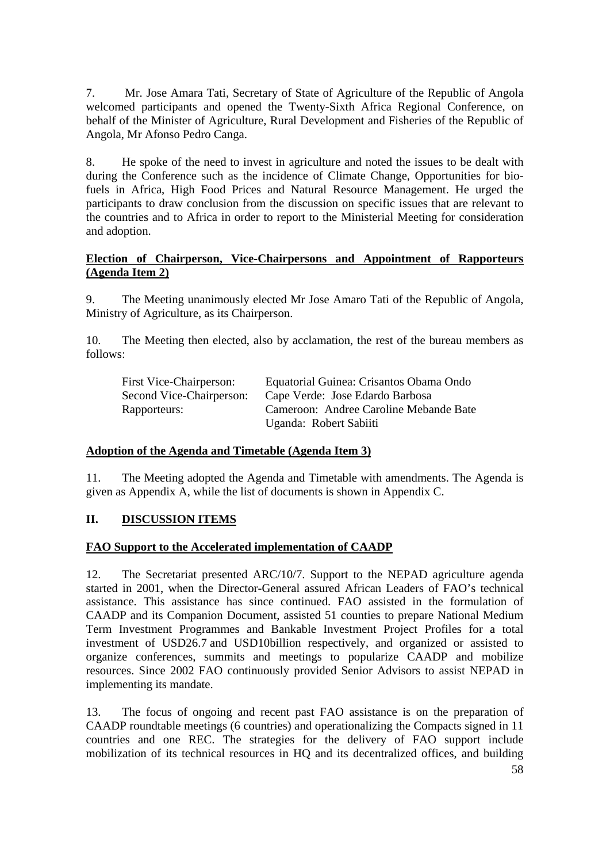7. Mr. Jose Amara Tati, Secretary of State of Agriculture of the Republic of Angola welcomed participants and opened the Twenty-Sixth Africa Regional Conference, on behalf of the Minister of Agriculture, Rural Development and Fisheries of the Republic of Angola, Mr Afonso Pedro Canga.

8. He spoke of the need to invest in agriculture and noted the issues to be dealt with during the Conference such as the incidence of Climate Change, Opportunities for biofuels in Africa, High Food Prices and Natural Resource Management. He urged the participants to draw conclusion from the discussion on specific issues that are relevant to the countries and to Africa in order to report to the Ministerial Meeting for consideration and adoption.

## **Election of Chairperson, Vice-Chairpersons and Appointment of Rapporteurs (Agenda Item 2)**

9. The Meeting unanimously elected Mr Jose Amaro Tati of the Republic of Angola, Ministry of Agriculture, as its Chairperson.

10. The Meeting then elected, also by acclamation, the rest of the bureau members as follows:

| First Vice-Chairperson:  | Equatorial Guinea: Crisantos Obama Ondo |
|--------------------------|-----------------------------------------|
| Second Vice-Chairperson: | Cape Verde: Jose Edardo Barbosa         |
| Rapporteurs:             | Cameroon: Andree Caroline Mebande Bate  |
|                          | Uganda: Robert Sabiiti                  |

## **Adoption of the Agenda and Timetable (Agenda Item 3)**

11. The Meeting adopted the Agenda and Timetable with amendments. The Agenda is given as Appendix A, while the list of documents is shown in Appendix C.

# **II. DISCUSSION ITEMS**

## **FAO Support to the Accelerated implementation of CAADP**

12. The Secretariat presented ARC/10/7. Support to the NEPAD agriculture agenda started in 2001, when the Director-General assured African Leaders of FAO's technical assistance. This assistance has since continued. FAO assisted in the formulation of CAADP and its Companion Document, assisted 51 counties to prepare National Medium Term Investment Programmes and Bankable Investment Project Profiles for a total investment of USD26.7 and USD10billion respectively, and organized or assisted to organize conferences, summits and meetings to popularize CAADP and mobilize resources. Since 2002 FAO continuously provided Senior Advisors to assist NEPAD in implementing its mandate.

13. The focus of ongoing and recent past FAO assistance is on the preparation of CAADP roundtable meetings (6 countries) and operationalizing the Compacts signed in 11 countries and one REC. The strategies for the delivery of FAO support include mobilization of its technical resources in HQ and its decentralized offices, and building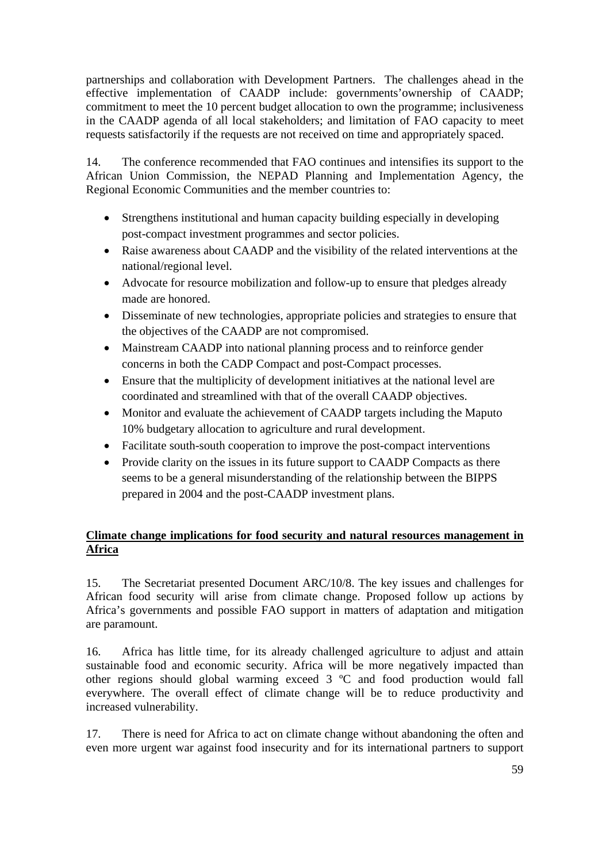partnerships and collaboration with Development Partners. The challenges ahead in the effective implementation of CAADP include: governments'ownership of CAADP; commitment to meet the 10 percent budget allocation to own the programme; inclusiveness in the CAADP agenda of all local stakeholders; and limitation of FAO capacity to meet requests satisfactorily if the requests are not received on time and appropriately spaced.

14. The conference recommended that FAO continues and intensifies its support to the African Union Commission, the NEPAD Planning and Implementation Agency, the Regional Economic Communities and the member countries to:

- Strengthens institutional and human capacity building especially in developing post-compact investment programmes and sector policies.
- Raise awareness about CAADP and the visibility of the related interventions at the national/regional level.
- Advocate for resource mobilization and follow-up to ensure that pledges already made are honored.
- Disseminate of new technologies, appropriate policies and strategies to ensure that the objectives of the CAADP are not compromised.
- Mainstream CAADP into national planning process and to reinforce gender concerns in both the CADP Compact and post-Compact processes.
- Ensure that the multiplicity of development initiatives at the national level are coordinated and streamlined with that of the overall CAADP objectives.
- Monitor and evaluate the achievement of CAADP targets including the Maputo 10% budgetary allocation to agriculture and rural development.
- Facilitate south-south cooperation to improve the post-compact interventions
- Provide clarity on the issues in its future support to CAADP Compacts as there seems to be a general misunderstanding of the relationship between the BIPPS prepared in 2004 and the post-CAADP investment plans.

# **Climate change implications for food security and natural resources management in Africa**

15. The Secretariat presented Document ARC/10/8. The key issues and challenges for African food security will arise from climate change. Proposed follow up actions by Africa's governments and possible FAO support in matters of adaptation and mitigation are paramount.

16. Africa has little time, for its already challenged agriculture to adjust and attain sustainable food and economic security. Africa will be more negatively impacted than other regions should global warming exceed 3 ºC and food production would fall everywhere. The overall effect of climate change will be to reduce productivity and increased vulnerability.

17. There is need for Africa to act on climate change without abandoning the often and even more urgent war against food insecurity and for its international partners to support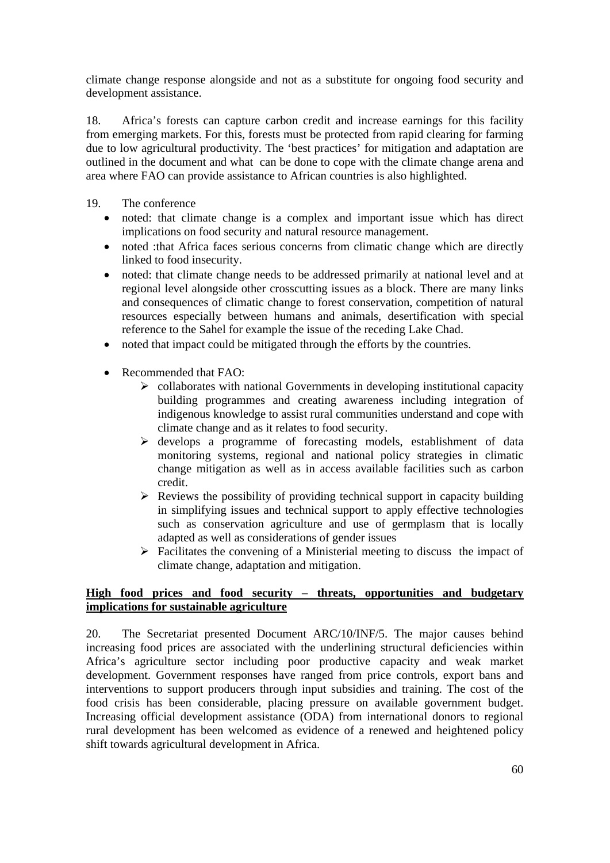climate change response alongside and not as a substitute for ongoing food security and development assistance.

18. Africa's forests can capture carbon credit and increase earnings for this facility from emerging markets. For this, forests must be protected from rapid clearing for farming due to low agricultural productivity. The 'best practices' for mitigation and adaptation are outlined in the document and what can be done to cope with the climate change arena and area where FAO can provide assistance to African countries is also highlighted.

- 19. The conference
	- noted: that climate change is a complex and important issue which has direct implications on food security and natural resource management.
	- noted :that Africa faces serious concerns from climatic change which are directly linked to food insecurity.
	- noted: that climate change needs to be addressed primarily at national level and at regional level alongside other crosscutting issues as a block. There are many links and consequences of climatic change to forest conservation, competition of natural resources especially between humans and animals, desertification with special reference to the Sahel for example the issue of the receding Lake Chad.
	- noted that impact could be mitigated through the efforts by the countries.
	- Recommended that FAO:
		- $\triangleright$  collaborates with national Governments in developing institutional capacity building programmes and creating awareness including integration of indigenous knowledge to assist rural communities understand and cope with climate change and as it relates to food security.
		- $\triangleright$  develops a programme of forecasting models, establishment of data monitoring systems, regional and national policy strategies in climatic change mitigation as well as in access available facilities such as carbon credit.
		- $\triangleright$  Reviews the possibility of providing technical support in capacity building in simplifying issues and technical support to apply effective technologies such as conservation agriculture and use of germplasm that is locally adapted as well as considerations of gender issues
		- $\triangleright$  Facilitates the convening of a Ministerial meeting to discuss the impact of climate change, adaptation and mitigation.

## **High food prices and food security – threats, opportunities and budgetary implications for sustainable agriculture**

20. The Secretariat presented Document ARC/10/INF/5. The major causes behind increasing food prices are associated with the underlining structural deficiencies within Africa's agriculture sector including poor productive capacity and weak market development. Government responses have ranged from price controls, export bans and interventions to support producers through input subsidies and training. The cost of the food crisis has been considerable, placing pressure on available government budget. Increasing official development assistance (ODA) from international donors to regional rural development has been welcomed as evidence of a renewed and heightened policy shift towards agricultural development in Africa.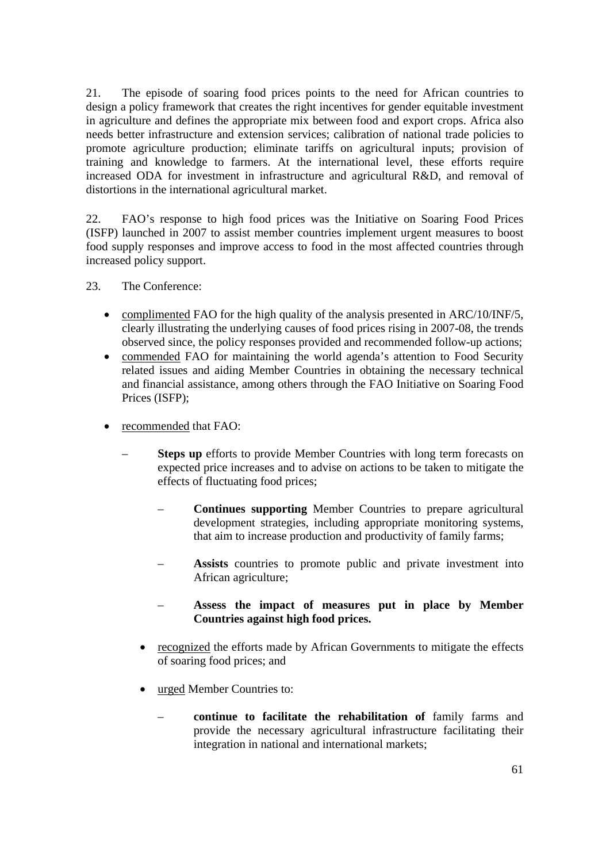21. The episode of soaring food prices points to the need for African countries to design a policy framework that creates the right incentives for gender equitable investment in agriculture and defines the appropriate mix between food and export crops. Africa also needs better infrastructure and extension services; calibration of national trade policies to promote agriculture production; eliminate tariffs on agricultural inputs; provision of training and knowledge to farmers. At the international level, these efforts require increased ODA for investment in infrastructure and agricultural R&D, and removal of distortions in the international agricultural market.

22. FAO's response to high food prices was the Initiative on Soaring Food Prices (ISFP) launched in 2007 to assist member countries implement urgent measures to boost food supply responses and improve access to food in the most affected countries through increased policy support.

- 23. The Conference:
	- complimented FAO for the high quality of the analysis presented in ARC/10/INF/5, clearly illustrating the underlying causes of food prices rising in 2007-08, the trends observed since, the policy responses provided and recommended follow-up actions;
	- commended FAO for maintaining the world agenda's attention to Food Security related issues and aiding Member Countries in obtaining the necessary technical and financial assistance, among others through the FAO Initiative on Soaring Food Prices (ISFP);
	- recommended that FAO:
		- **Steps up** efforts to provide Member Countries with long term forecasts on expected price increases and to advise on actions to be taken to mitigate the effects of fluctuating food prices;
			- **Continues supporting** Member Countries to prepare agricultural development strategies, including appropriate monitoring systems, that aim to increase production and productivity of family farms;
			- **Assists** countries to promote public and private investment into African agriculture;
			- **Assess the impact of measures put in place by Member Countries against high food prices.**
			- recognized the efforts made by African Governments to mitigate the effects of soaring food prices; and
			- urged Member Countries to:
				- **continue to facilitate the rehabilitation of** family farms and provide the necessary agricultural infrastructure facilitating their integration in national and international markets;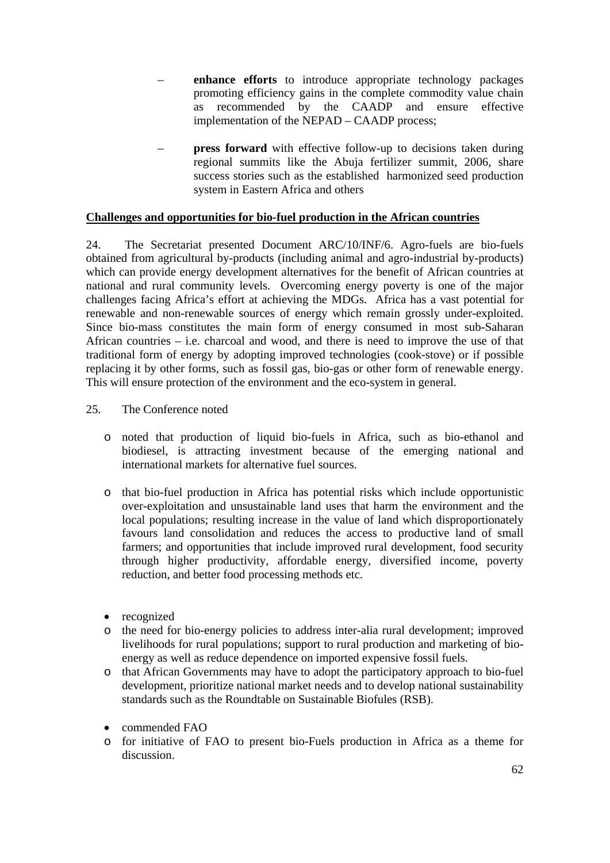- **enhance efforts** to introduce appropriate technology packages promoting efficiency gains in the complete commodity value chain as recommended by the CAADP and ensure effective implementation of the NEPAD – CAADP process;
- **press forward** with effective follow-up to decisions taken during regional summits like the Abuja fertilizer summit, 2006, share success stories such as the established harmonized seed production system in Eastern Africa and others

## **Challenges and opportunities for bio-fuel production in the African countries**

24. The Secretariat presented Document ARC/10/INF/6. Agro-fuels are bio-fuels obtained from agricultural by-products (including animal and agro-industrial by-products) which can provide energy development alternatives for the benefit of African countries at national and rural community levels. Overcoming energy poverty is one of the major challenges facing Africa's effort at achieving the MDGs. Africa has a vast potential for renewable and non-renewable sources of energy which remain grossly under-exploited. Since bio-mass constitutes the main form of energy consumed in most sub-Saharan African countries – i.e. charcoal and wood, and there is need to improve the use of that traditional form of energy by adopting improved technologies (cook-stove) or if possible replacing it by other forms, such as fossil gas, bio-gas or other form of renewable energy. This will ensure protection of the environment and the eco-system in general.

#### 25. The Conference noted

- o noted that production of liquid bio-fuels in Africa, such as bio-ethanol and biodiesel, is attracting investment because of the emerging national and international markets for alternative fuel sources.
- o that bio-fuel production in Africa has potential risks which include opportunistic over-exploitation and unsustainable land uses that harm the environment and the local populations; resulting increase in the value of land which disproportionately favours land consolidation and reduces the access to productive land of small farmers; and opportunities that include improved rural development, food security through higher productivity, affordable energy, diversified income, poverty reduction, and better food processing methods etc.
- recognized
- o the need for bio-energy policies to address inter-alia rural development; improved livelihoods for rural populations; support to rural production and marketing of bioenergy as well as reduce dependence on imported expensive fossil fuels.
- o that African Governments may have to adopt the participatory approach to bio-fuel development, prioritize national market needs and to develop national sustainability standards such as the Roundtable on Sustainable Biofules (RSB).
- commended FAO
- o for initiative of FAO to present bio-Fuels production in Africa as a theme for discussion.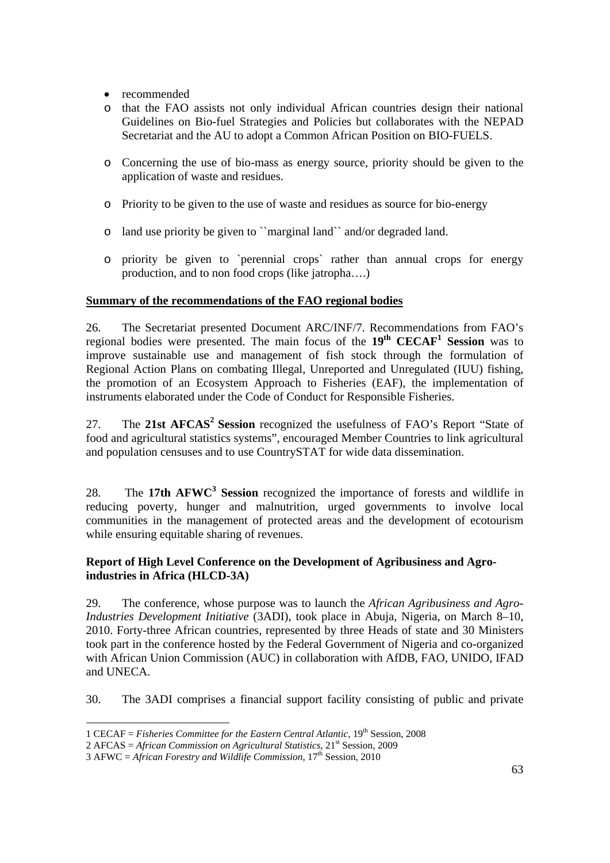- recommended
- o that the FAO assists not only individual African countries design their national Guidelines on Bio-fuel Strategies and Policies but collaborates with the NEPAD Secretariat and the AU to adopt a Common African Position on BIO-FUELS.
- o Concerning the use of bio-mass as energy source, priority should be given to the application of waste and residues.
- o Priority to be given to the use of waste and residues as source for bio-energy
- o land use priority be given to ``marginal land`` and/or degraded land.
- o priority be given to `perennial crops` rather than annual crops for energy production, and to non food crops (like jatropha….)

# **Summary of the recommendations of the FAO regional bodies**

26. The Secretariat presented Document ARC/INF/7. Recommendations from FAO's regional bodies were presented. The main focus of the 19<sup>th</sup> CECAF<sup>1</sup> Session was to improve sustainable use and management of fish stock through the formulation of Regional Action Plans on combating Illegal, Unreported and Unregulated (IUU) fishing, the promotion of an Ecosystem Approach to Fisheries (EAF), the implementation of instruments elaborated under the Code of Conduct for Responsible Fisheries.

27. The **21st AFCAS2 Session** recognized the usefulness of FAO's Report "State of food and agricultural statistics systems", encouraged Member Countries to link agricultural and population censuses and to use CountrySTAT for wide data dissemination.

28. The 17th AFWC<sup>3</sup> Session recognized the importance of forests and wildlife in reducing poverty, hunger and malnutrition, urged governments to involve local communities in the management of protected areas and the development of ecotourism while ensuring equitable sharing of revenues.

# **Report of High Level Conference on the Development of Agribusiness and Agroindustries in Africa (HLCD-3A)**

29. The conference, whose purpose was to launch the *African Agribusiness and Agro-Industries Development Initiative* (3ADI), took place in Abuja, Nigeria, on March 8–10, 2010. Forty-three African countries, represented by three Heads of state and 30 Ministers took part in the conference hosted by the Federal Government of Nigeria and co-organized with African Union Commission (AUC) in collaboration with AfDB, FAO, UNIDO, IFAD and UNECA.

30. The 3ADI comprises a financial support facility consisting of public and private

-

<sup>1</sup> CECAF = *Fisheries Committee for the Eastern Central Atlantic*, 19th Session, 2008

<sup>2</sup> AFCAS = *African Commission on Agricultural Statistics*, 21st Session, 2009

<sup>3</sup> AFWC = *African Forestry and Wildlife Commission*, 17th Session, 2010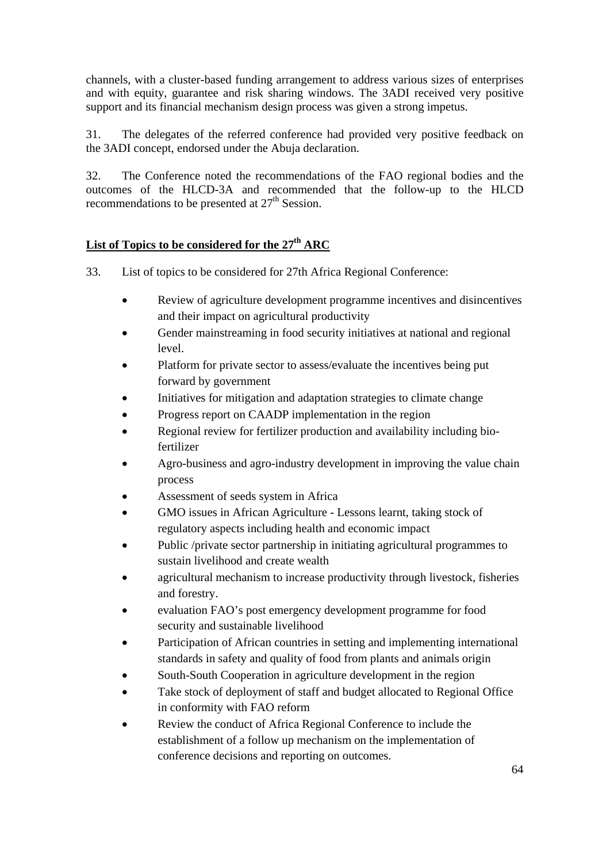channels, with a cluster-based funding arrangement to address various sizes of enterprises and with equity, guarantee and risk sharing windows. The 3ADI received very positive support and its financial mechanism design process was given a strong impetus.

31. The delegates of the referred conference had provided very positive feedback on the 3ADI concept, endorsed under the Abuja declaration.

32. The Conference noted the recommendations of the FAO regional bodies and the outcomes of the HLCD-3A and recommended that the follow-up to the HLCD recommendations to be presented at  $27<sup>th</sup>$  Session.

# List of Topics to be considered for the 27<sup>th</sup> ARC

33. List of topics to be considered for 27th Africa Regional Conference:

- Review of agriculture development programme incentives and disincentives and their impact on agricultural productivity
- Gender mainstreaming in food security initiatives at national and regional level.
- Platform for private sector to assess/evaluate the incentives being put forward by government
- Initiatives for mitigation and adaptation strategies to climate change
- Progress report on CAADP implementation in the region
- Regional review for fertilizer production and availability including biofertilizer
- Agro-business and agro-industry development in improving the value chain process
- Assessment of seeds system in Africa
- GMO issues in African Agriculture Lessons learnt, taking stock of regulatory aspects including health and economic impact
- Public /private sector partnership in initiating agricultural programmes to sustain livelihood and create wealth
- agricultural mechanism to increase productivity through livestock, fisheries and forestry.
- evaluation FAO's post emergency development programme for food security and sustainable livelihood
- Participation of African countries in setting and implementing international standards in safety and quality of food from plants and animals origin
- South-South Cooperation in agriculture development in the region
- Take stock of deployment of staff and budget allocated to Regional Office in conformity with FAO reform
- Review the conduct of Africa Regional Conference to include the establishment of a follow up mechanism on the implementation of conference decisions and reporting on outcomes.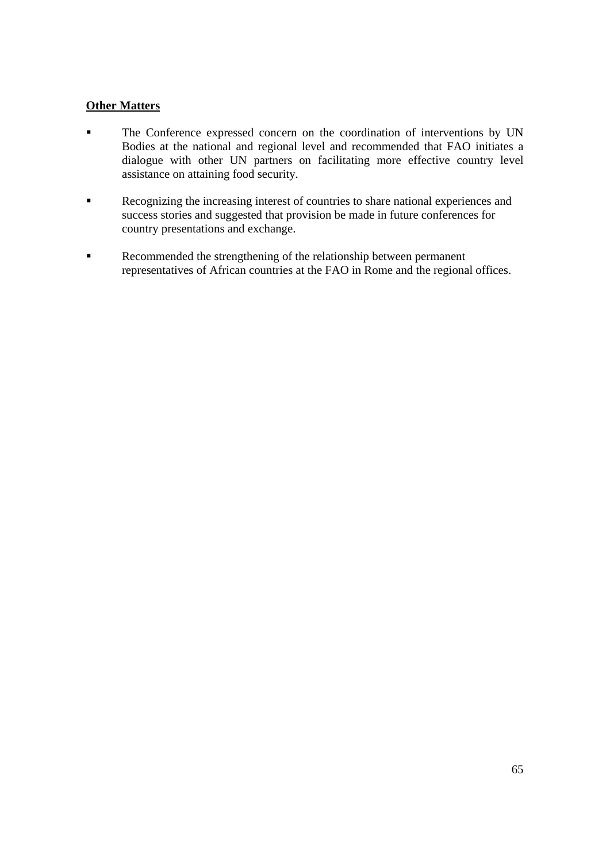# **Other Matters**

- The Conference expressed concern on the coordination of interventions by UN Bodies at the national and regional level and recommended that FAO initiates a dialogue with other UN partners on facilitating more effective country level assistance on attaining food security.
- Recognizing the increasing interest of countries to share national experiences and success stories and suggested that provision be made in future conferences for country presentations and exchange.
- Recommended the strengthening of the relationship between permanent representatives of African countries at the FAO in Rome and the regional offices.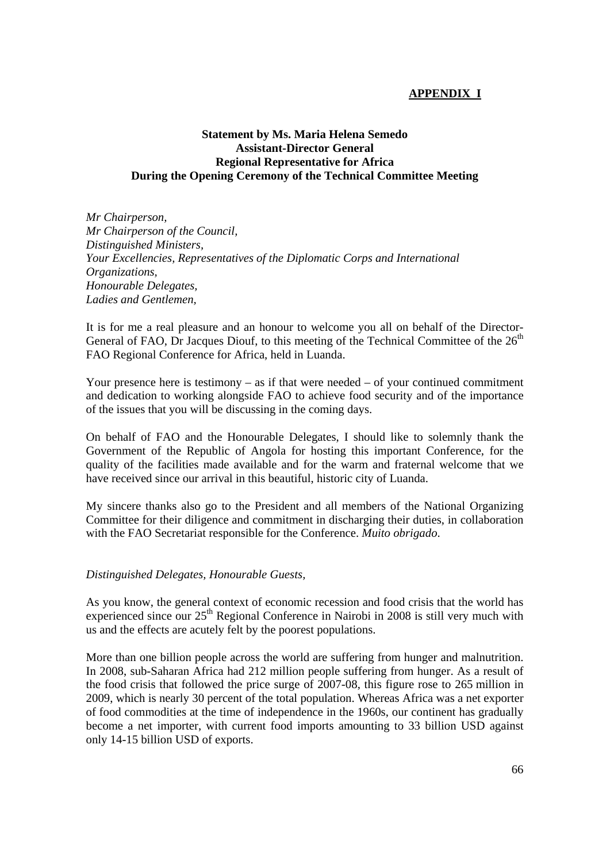# **APPENDIX I**

## **Statement by Ms. Maria Helena Semedo Assistant-Director General Regional Representative for Africa During the Opening Ceremony of the Technical Committee Meeting**

*Mr Chairperson, Mr Chairperson of the Council, Distinguished Ministers, Your Excellencies, Representatives of the Diplomatic Corps and International Organizations, Honourable Delegates, Ladies and Gentlemen,*

It is for me a real pleasure and an honour to welcome you all on behalf of the Director-General of FAO, Dr Jacques Diouf, to this meeting of the Technical Committee of the  $26<sup>th</sup>$ FAO Regional Conference for Africa, held in Luanda.

Your presence here is testimony – as if that were needed – of your continued commitment and dedication to working alongside FAO to achieve food security and of the importance of the issues that you will be discussing in the coming days.

On behalf of FAO and the Honourable Delegates, I should like to solemnly thank the Government of the Republic of Angola for hosting this important Conference, for the quality of the facilities made available and for the warm and fraternal welcome that we have received since our arrival in this beautiful, historic city of Luanda.

My sincere thanks also go to the President and all members of the National Organizing Committee for their diligence and commitment in discharging their duties, in collaboration with the FAO Secretariat responsible for the Conference. *Muito obrigado*.

#### *Distinguished Delegates, Honourable Guests,*

As you know, the general context of economic recession and food crisis that the world has experienced since our 25<sup>th</sup> Regional Conference in Nairobi in 2008 is still very much with us and the effects are acutely felt by the poorest populations.

More than one billion people across the world are suffering from hunger and malnutrition. In 2008, sub-Saharan Africa had 212 million people suffering from hunger. As a result of the food crisis that followed the price surge of 2007-08, this figure rose to 265 million in 2009, which is nearly 30 percent of the total population. Whereas Africa was a net exporter of food commodities at the time of independence in the 1960s, our continent has gradually become a net importer, with current food imports amounting to 33 billion USD against only 14-15 billion USD of exports.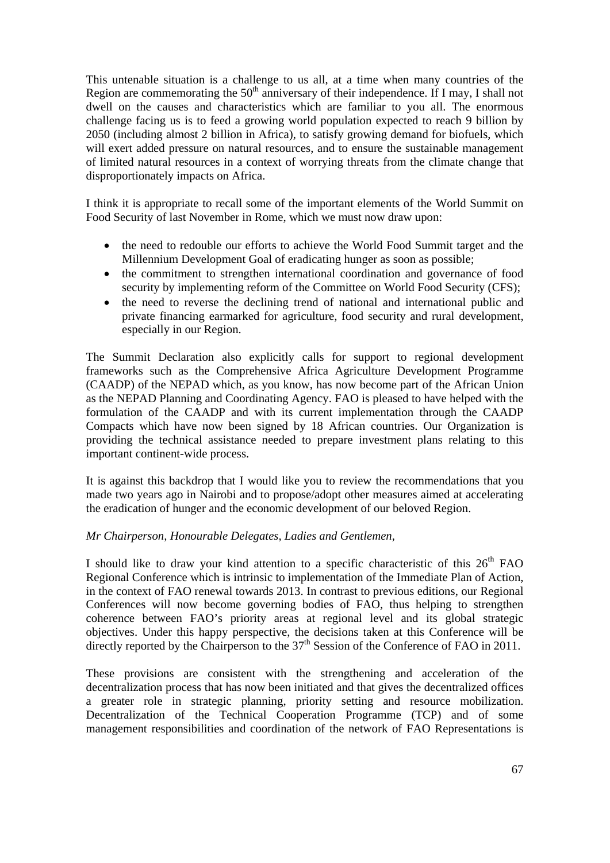This untenable situation is a challenge to us all, at a time when many countries of the Region are commemorating the  $50<sup>th</sup>$  anniversary of their independence. If I may, I shall not dwell on the causes and characteristics which are familiar to you all. The enormous challenge facing us is to feed a growing world population expected to reach 9 billion by 2050 (including almost 2 billion in Africa), to satisfy growing demand for biofuels, which will exert added pressure on natural resources, and to ensure the sustainable management of limited natural resources in a context of worrying threats from the climate change that disproportionately impacts on Africa.

I think it is appropriate to recall some of the important elements of the World Summit on Food Security of last November in Rome, which we must now draw upon:

- the need to redouble our efforts to achieve the World Food Summit target and the Millennium Development Goal of eradicating hunger as soon as possible;
- the commitment to strengthen international coordination and governance of food security by implementing reform of the Committee on World Food Security (CFS);
- the need to reverse the declining trend of national and international public and private financing earmarked for agriculture, food security and rural development, especially in our Region.

The Summit Declaration also explicitly calls for support to regional development frameworks such as the Comprehensive Africa Agriculture Development Programme (CAADP) of the NEPAD which, as you know, has now become part of the African Union as the NEPAD Planning and Coordinating Agency. FAO is pleased to have helped with the formulation of the CAADP and with its current implementation through the CAADP Compacts which have now been signed by 18 African countries. Our Organization is providing the technical assistance needed to prepare investment plans relating to this important continent-wide process.

It is against this backdrop that I would like you to review the recommendations that you made two years ago in Nairobi and to propose/adopt other measures aimed at accelerating the eradication of hunger and the economic development of our beloved Region.

## *Mr Chairperson, Honourable Delegates, Ladies and Gentlemen,*

I should like to draw your kind attention to a specific characteristic of this  $26<sup>th</sup> FAO$ Regional Conference which is intrinsic to implementation of the Immediate Plan of Action, in the context of FAO renewal towards 2013. In contrast to previous editions, our Regional Conferences will now become governing bodies of FAO, thus helping to strengthen coherence between FAO's priority areas at regional level and its global strategic objectives. Under this happy perspective, the decisions taken at this Conference will be directly reported by the Chairperson to the  $37<sup>th</sup>$  Session of the Conference of FAO in 2011.

These provisions are consistent with the strengthening and acceleration of the decentralization process that has now been initiated and that gives the decentralized offices a greater role in strategic planning, priority setting and resource mobilization. Decentralization of the Technical Cooperation Programme (TCP) and of some management responsibilities and coordination of the network of FAO Representations is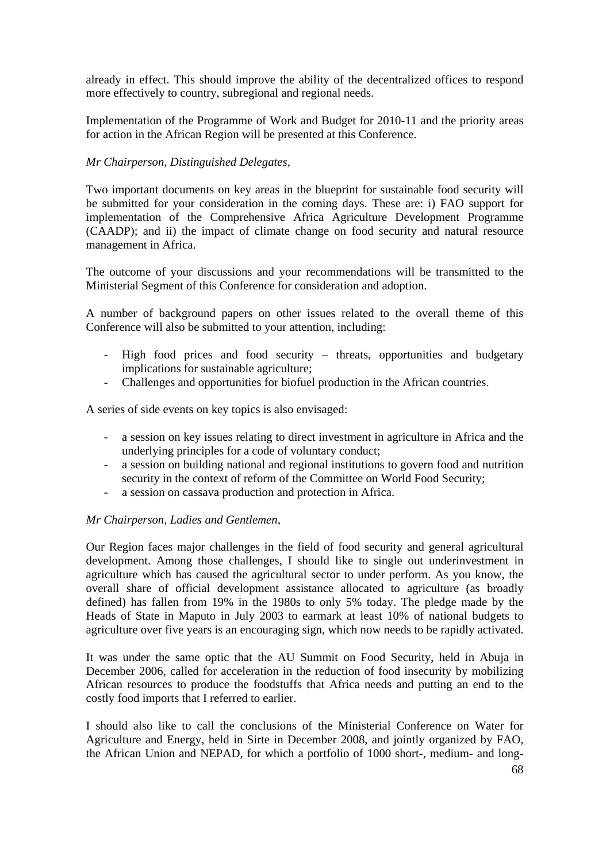already in effect. This should improve the ability of the decentralized offices to respond more effectively to country, subregional and regional needs.

Implementation of the Programme of Work and Budget for 2010-11 and the priority areas for action in the African Region will be presented at this Conference.

## *Mr Chairperson, Distinguished Delegates,*

Two important documents on key areas in the blueprint for sustainable food security will be submitted for your consideration in the coming days. These are: i) FAO support for implementation of the Comprehensive Africa Agriculture Development Programme (CAADP); and ii) the impact of climate change on food security and natural resource management in Africa.

The outcome of your discussions and your recommendations will be transmitted to the Ministerial Segment of this Conference for consideration and adoption.

A number of background papers on other issues related to the overall theme of this Conference will also be submitted to your attention, including:

- High food prices and food security threats, opportunities and budgetary implications for sustainable agriculture;
- Challenges and opportunities for biofuel production in the African countries.

A series of side events on key topics is also envisaged:

- a session on key issues relating to direct investment in agriculture in Africa and the underlying principles for a code of voluntary conduct;
- a session on building national and regional institutions to govern food and nutrition security in the context of reform of the Committee on World Food Security;
- a session on cassava production and protection in Africa.

## *Mr Chairperson, Ladies and Gentlemen*,

Our Region faces major challenges in the field of food security and general agricultural development. Among those challenges, I should like to single out underinvestment in agriculture which has caused the agricultural sector to under perform. As you know, the overall share of official development assistance allocated to agriculture (as broadly defined) has fallen from 19% in the 1980s to only 5% today. The pledge made by the Heads of State in Maputo in July 2003 to earmark at least 10% of national budgets to agriculture over five years is an encouraging sign, which now needs to be rapidly activated.

It was under the same optic that the AU Summit on Food Security, held in Abuja in December 2006, called for acceleration in the reduction of food insecurity by mobilizing African resources to produce the foodstuffs that Africa needs and putting an end to the costly food imports that I referred to earlier.

I should also like to call the conclusions of the Ministerial Conference on Water for Agriculture and Energy, held in Sirte in December 2008, and jointly organized by FAO, the African Union and NEPAD, for which a portfolio of 1000 short-, medium- and long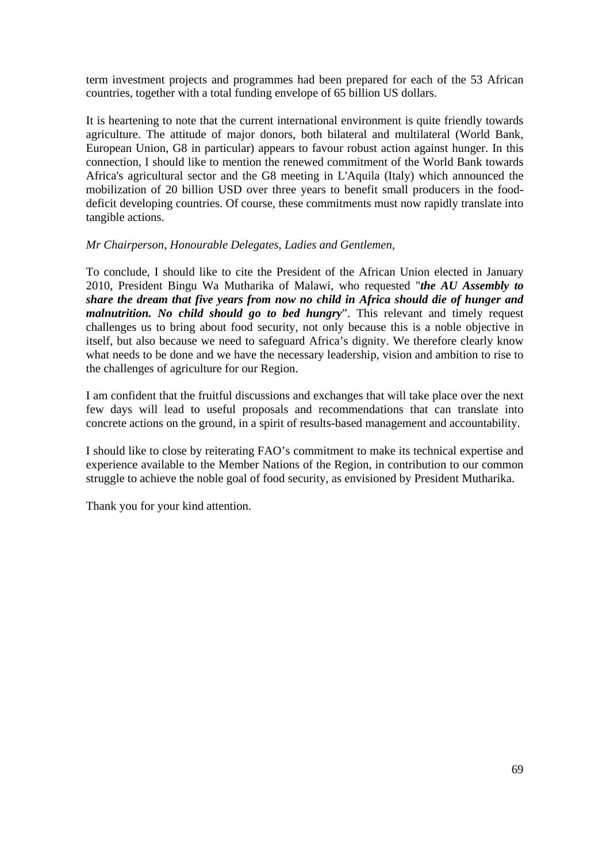term investment projects and programmes had been prepared for each of the 53 African countries, together with a total funding envelope of 65 billion US dollars.

It is heartening to note that the current international environment is quite friendly towards agriculture. The attitude of major donors, both bilateral and multilateral (World Bank, European Union, G8 in particular) appears to favour robust action against hunger. In this connection, I should like to mention the renewed commitment of the World Bank towards Africa's agricultural sector and the G8 meeting in L'Aquila (Italy) which announced the mobilization of 20 billion USD over three years to benefit small producers in the fooddeficit developing countries. Of course, these commitments must now rapidly translate into tangible actions.

#### *Mr Chairperson, Honourable Delegates, Ladies and Gentlemen,*

To conclude, I should like to cite the President of the African Union elected in January 2010, President Bingu Wa Mutharika of Malawi, who requested "*the AU Assembly to share the dream that five years from now no child in Africa should die of hunger and malnutrition. No child should go to bed hungry*". This relevant and timely request challenges us to bring about food security, not only because this is a noble objective in itself, but also because we need to safeguard Africa's dignity. We therefore clearly know what needs to be done and we have the necessary leadership, vision and ambition to rise to the challenges of agriculture for our Region.

I am confident that the fruitful discussions and exchanges that will take place over the next few days will lead to useful proposals and recommendations that can translate into concrete actions on the ground, in a spirit of results-based management and accountability.

I should like to close by reiterating FAO's commitment to make its technical expertise and experience available to the Member Nations of the Region, in contribution to our common struggle to achieve the noble goal of food security, as envisioned by President Mutharika.

Thank you for your kind attention.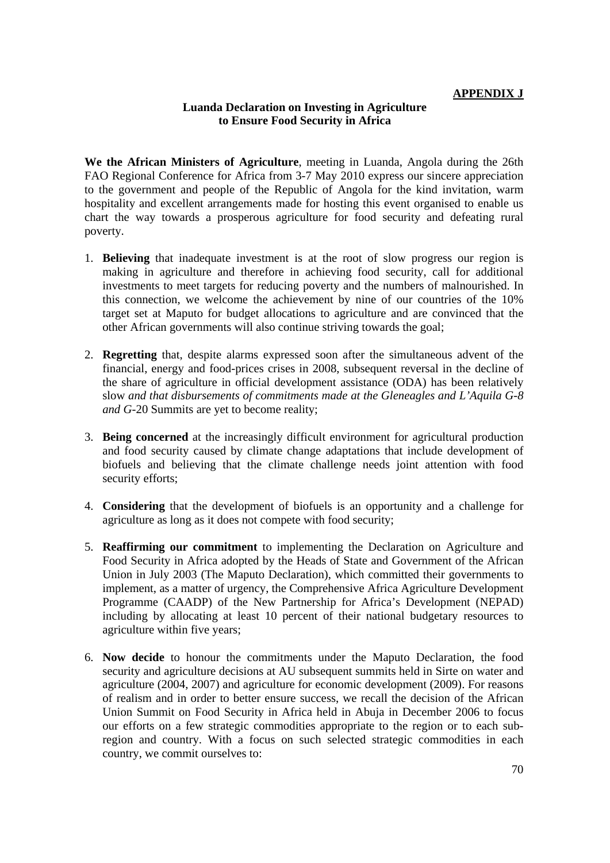## **APPENDIX J**

## **Luanda Declaration on Investing in Agriculture to Ensure Food Security in Africa**

**We the African Ministers of Agriculture**, meeting in Luanda, Angola during the 26th FAO Regional Conference for Africa from 3-7 May 2010 express our sincere appreciation to the government and people of the Republic of Angola for the kind invitation, warm hospitality and excellent arrangements made for hosting this event organised to enable us chart the way towards a prosperous agriculture for food security and defeating rural poverty.

- 1. **Believing** that inadequate investment is at the root of slow progress our region is making in agriculture and therefore in achieving food security, call for additional investments to meet targets for reducing poverty and the numbers of malnourished. In this connection, we welcome the achievement by nine of our countries of the 10% target set at Maputo for budget allocations to agriculture and are convinced that the other African governments will also continue striving towards the goal;
- 2. **Regretting** that, despite alarms expressed soon after the simultaneous advent of the financial, energy and food-prices crises in 2008, subsequent reversal in the decline of the share of agriculture in official development assistance (ODA) has been relatively slow *and that disbursements of commitments made at the Gleneagles and L'Aquila G-8 and G-*20 Summits are yet to become reality;
- 3. **Being concerned** at the increasingly difficult environment for agricultural production and food security caused by climate change adaptations that include development of biofuels and believing that the climate challenge needs joint attention with food security efforts;
- 4. **Considering** that the development of biofuels is an opportunity and a challenge for agriculture as long as it does not compete with food security;
- 5. **Reaffirming our commitment** to implementing the Declaration on Agriculture and Food Security in Africa adopted by the Heads of State and Government of the African Union in July 2003 (The Maputo Declaration), which committed their governments to implement, as a matter of urgency, the Comprehensive Africa Agriculture Development Programme (CAADP) of the New Partnership for Africa's Development (NEPAD) including by allocating at least 10 percent of their national budgetary resources to agriculture within five years;
- 6. **Now decide** to honour the commitments under the Maputo Declaration, the food security and agriculture decisions at AU subsequent summits held in Sirte on water and agriculture (2004, 2007) and agriculture for economic development (2009). For reasons of realism and in order to better ensure success, we recall the decision of the African Union Summit on Food Security in Africa held in Abuja in December 2006 to focus our efforts on a few strategic commodities appropriate to the region or to each subregion and country. With a focus on such selected strategic commodities in each country, we commit ourselves to: